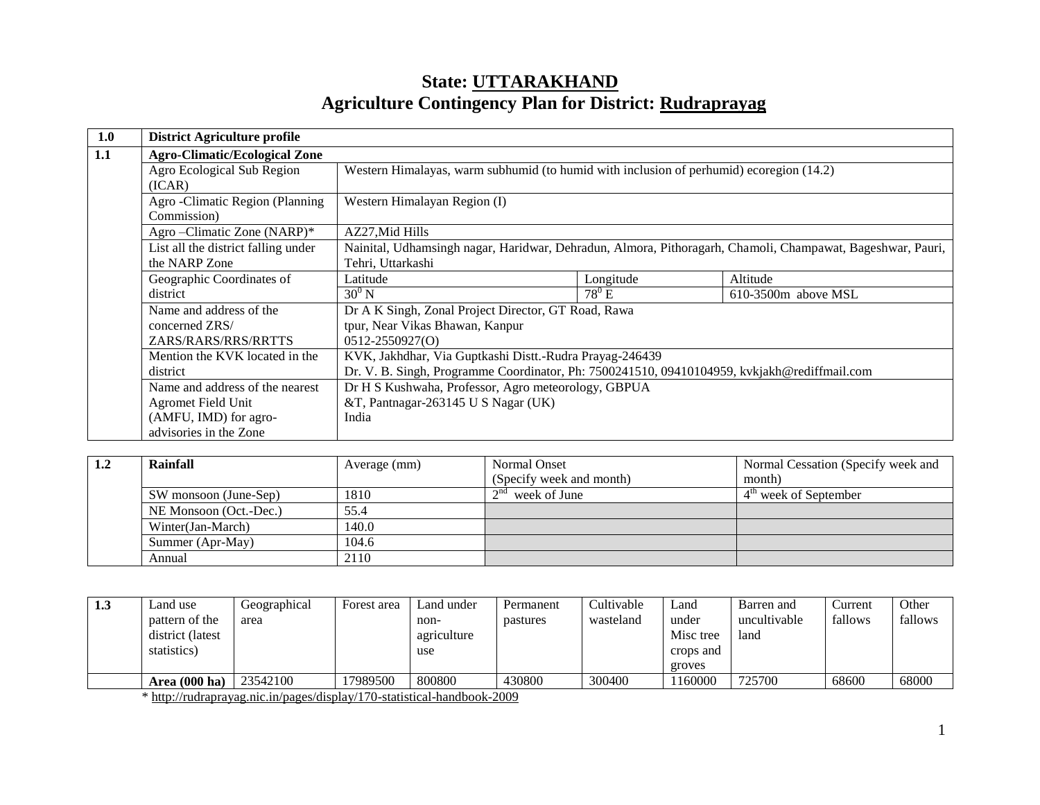# **State: UTTARAKHAND Agriculture Contingency Plan for District: Rudraprayag**

| 1.0 | <b>District Agriculture profile</b>  |                                                                                                            |           |                       |  |  |  |
|-----|--------------------------------------|------------------------------------------------------------------------------------------------------------|-----------|-----------------------|--|--|--|
| 1.1 | <b>Agro-Climatic/Ecological Zone</b> |                                                                                                            |           |                       |  |  |  |
|     | Agro Ecological Sub Region           | Western Himalayas, warm subhumid (to humid with inclusion of perhumid) ecoregion (14.2)                    |           |                       |  |  |  |
|     | (ICAR)                               |                                                                                                            |           |                       |  |  |  |
|     | Agro - Climatic Region (Planning     | Western Himalayan Region (I)                                                                               |           |                       |  |  |  |
|     | Commission)                          |                                                                                                            |           |                       |  |  |  |
|     | Agro-Climatic Zone (NARP)*           | AZ27, Mid Hills                                                                                            |           |                       |  |  |  |
|     | List all the district falling under  | Nainital, Udhamsingh nagar, Haridwar, Dehradun, Almora, Pithoragarh, Chamoli, Champawat, Bageshwar, Pauri, |           |                       |  |  |  |
|     | the NARP Zone                        | Tehri, Uttarkashi                                                                                          |           |                       |  |  |  |
|     | Geographic Coordinates of            | Latitude                                                                                                   | Longitude | Altitude              |  |  |  |
|     | district                             | $30^0$ N                                                                                                   | $78^0$ E  | $610-3500m$ above MSL |  |  |  |
|     | Name and address of the              | Dr A K Singh, Zonal Project Director, GT Road, Rawa                                                        |           |                       |  |  |  |
|     | concerned ZRS/                       | tpur, Near Vikas Bhawan, Kanpur                                                                            |           |                       |  |  |  |
|     | ZARS/RARS/RRS/RRTTS                  | $0512 - 2550927(0)$                                                                                        |           |                       |  |  |  |
|     | Mention the KVK located in the       | KVK, Jakhdhar, Via Guptkashi Distt.-Rudra Prayag-246439                                                    |           |                       |  |  |  |
|     | district                             | Dr. V. B. Singh, Programme Coordinator, Ph: 7500241510, 09410104959, kvkjakh@rediffmail.com                |           |                       |  |  |  |
|     | Name and address of the nearest      | Dr H S Kushwaha, Professor, Agro meteorology, GBPUA                                                        |           |                       |  |  |  |
|     | Agromet Field Unit                   | &T, Pantnagar-263145 U S Nagar (UK)                                                                        |           |                       |  |  |  |
|     | (AMFU, IMD) for agro-                | India                                                                                                      |           |                       |  |  |  |
|     | advisories in the Zone               |                                                                                                            |           |                       |  |  |  |

| 1.2 | Rainfall                   | Average (mm) | Normal Onset             | Normal Cessation (Specify week and |
|-----|----------------------------|--------------|--------------------------|------------------------------------|
|     |                            |              | (Specify week and month) | month)                             |
|     | SW monsoon (June-Sep)      | 1810         | $12^{nd}$ week of June   | $4th$ week of September            |
|     | NE Monsoon (Oct.-Dec.)     | 55.4         |                          |                                    |
|     | Winter(Jan-March)<br>140.0 |              |                          |                                    |
|     | Summer (Apr-May)           | 104.6        |                          |                                    |
|     | Annual                     | 2110         |                          |                                    |

| 1.3 | Land use<br>pattern of the<br>district (latest)<br>statistics) | Geographical<br>area                                                       | Forest area | Land under<br>non-<br>agriculture<br>use | Permanent<br>pastures | Cultivable<br>wasteland | Land<br>under<br>Misc tree<br>crops and | Barren and<br>uncultivable<br>land | Current<br>fallows | Other<br>fallows |
|-----|----------------------------------------------------------------|----------------------------------------------------------------------------|-------------|------------------------------------------|-----------------------|-------------------------|-----------------------------------------|------------------------------------|--------------------|------------------|
|     |                                                                |                                                                            |             |                                          |                       |                         | groves                                  |                                    |                    |                  |
|     | Area $(000 \text{ ha})$                                        | 23542100                                                                   | 17989500    | 800800                                   | 430800                | 300400                  | 1160000                                 | 725700                             | 68600              | 68000            |
|     |                                                                | $*$ bttp://wrdnaparroo.nic.in/pages/digplay/170_statistical_bandhaal: 2000 |             |                                          |                       |                         |                                         |                                    |                    |                  |

\*<http://rudraprayag.nic.in/pages/display/170-statistical-handbook-2009>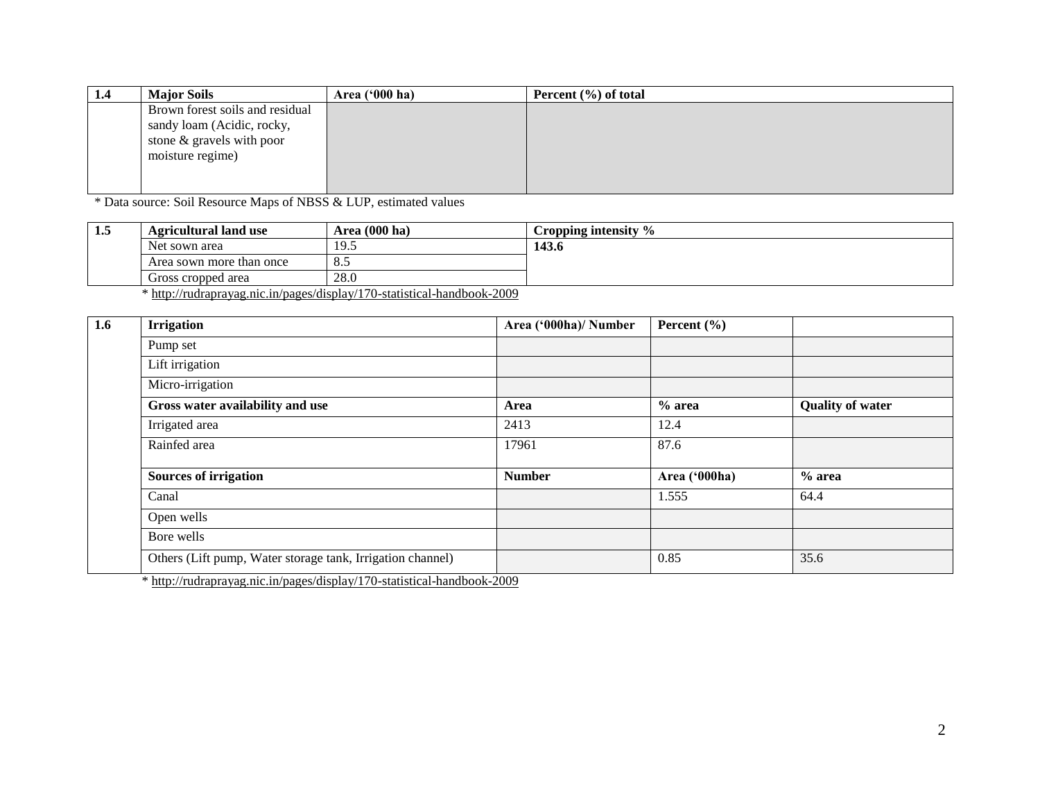| 1.4 | <b>Major Soils</b>              | Area $('000 ha)$ | Percent $(\% )$ of total |
|-----|---------------------------------|------------------|--------------------------|
|     | Brown forest soils and residual |                  |                          |
|     | sandy loam (Acidic, rocky,      |                  |                          |
|     | stone & gravels with poor       |                  |                          |
|     | moisture regime)                |                  |                          |
|     |                                 |                  |                          |
|     |                                 |                  |                          |

\* Data source: Soil Resource Maps of NBSS & LUP, estimated values

| 1.3 | <b>Agricultural land use</b>                                                                                                                    | Area (000 ha)                        | Cropping intensity $\%$ |
|-----|-------------------------------------------------------------------------------------------------------------------------------------------------|--------------------------------------|-------------------------|
|     | Net sown area                                                                                                                                   | 19.5                                 | 143.6                   |
|     | Area sown more than once                                                                                                                        | o.J                                  |                         |
|     | Gross cropped area                                                                                                                              | 28.0                                 |                         |
|     | $\cdots$<br>$\mathbf{a}$ and $\mathbf{a}$ and $\mathbf{a}$ and $\mathbf{a}$ and $\mathbf{a}$ and $\mathbf{a}$ and $\mathbf{a}$ and $\mathbf{a}$ | $\sim$ $\sim$ $\sim$<br>$\mathbf{A}$ |                         |

\*<http://rudraprayag.nic.in/pages/display/170-statistical-handbook-2009>

| 1.6 | <b>Irrigation</b>                                                                                                                                                                                                                                                                                                                                    | Area ('000ha)/ Number | Percent $(\% )$ |                         |
|-----|------------------------------------------------------------------------------------------------------------------------------------------------------------------------------------------------------------------------------------------------------------------------------------------------------------------------------------------------------|-----------------------|-----------------|-------------------------|
|     | Pump set                                                                                                                                                                                                                                                                                                                                             |                       |                 |                         |
|     | Lift irrigation                                                                                                                                                                                                                                                                                                                                      |                       |                 |                         |
|     | Micro-irrigation                                                                                                                                                                                                                                                                                                                                     |                       |                 |                         |
|     | Gross water availability and use                                                                                                                                                                                                                                                                                                                     | Area                  | $%$ area        | <b>Quality of water</b> |
|     | Irrigated area                                                                                                                                                                                                                                                                                                                                       | 2413                  | 12.4            |                         |
|     | Rainfed area                                                                                                                                                                                                                                                                                                                                         | 17961                 | 87.6            |                         |
|     |                                                                                                                                                                                                                                                                                                                                                      |                       |                 |                         |
|     | <b>Sources of irrigation</b>                                                                                                                                                                                                                                                                                                                         | <b>Number</b>         | Area ('000ha)   | $%$ area                |
|     | Canal                                                                                                                                                                                                                                                                                                                                                |                       | 1.555           | 64.4                    |
|     | Open wells                                                                                                                                                                                                                                                                                                                                           |                       |                 |                         |
|     | Bore wells                                                                                                                                                                                                                                                                                                                                           |                       |                 |                         |
|     | Others (Lift pump, Water storage tank, Irrigation channel)                                                                                                                                                                                                                                                                                           |                       | 0.85            | 35.6                    |
|     | $\frac{1}{2}$ $\frac{1}{2}$ $\frac{1}{2}$ $\frac{1}{2}$ $\frac{1}{2}$ $\frac{1}{2}$ $\frac{1}{2}$ $\frac{1}{2}$ $\frac{1}{2}$ $\frac{1}{2}$ $\frac{1}{2}$ $\frac{1}{2}$ $\frac{1}{2}$ $\frac{1}{2}$ $\frac{1}{2}$ $\frac{1}{2}$ $\frac{1}{2}$ $\frac{1}{2}$ $\frac{1}{2}$ $\frac{1}{2}$ $\frac{1}{2}$ $\frac{1}{2}$<br>$1.1 \t1.1 \t1.1 \t1.1 \t1.1$ |                       |                 |                         |

\*<http://rudraprayag.nic.in/pages/display/170-statistical-handbook-2009>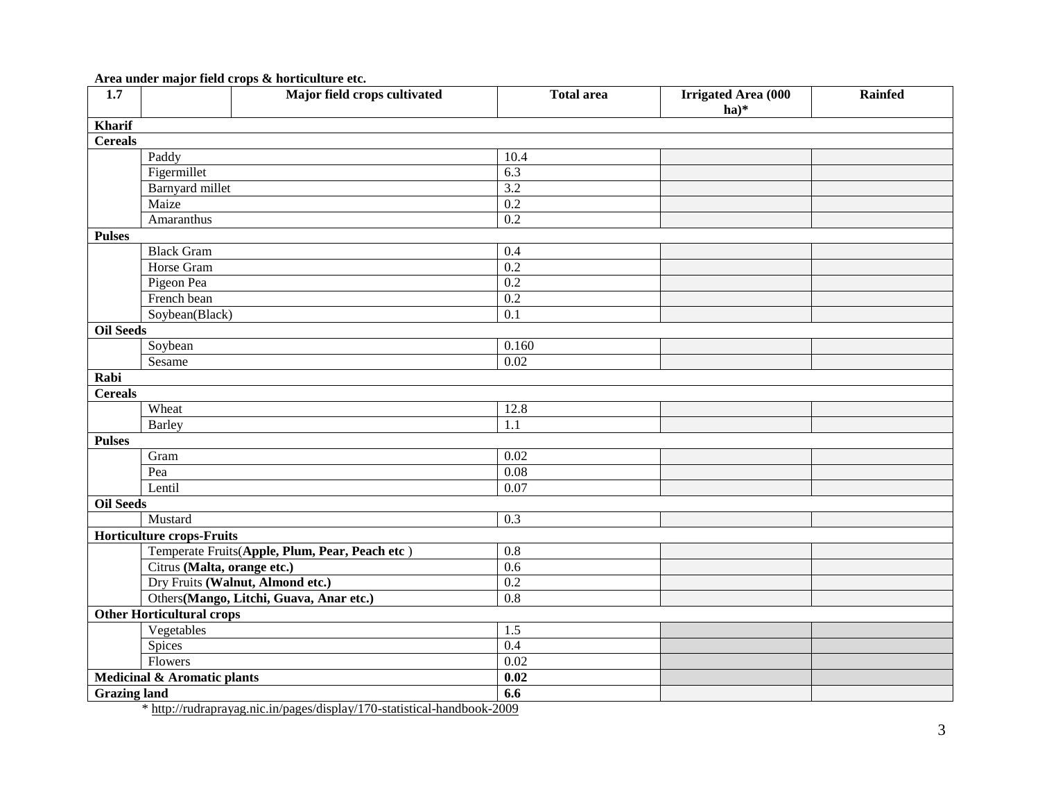**Area under major field crops & horticulture etc.**

| 1.7                 |                                  | Major field crops cultivated                   | <b>Total area</b> | <b>Irrigated Area (000</b><br>$ha)*$ | <b>Rainfed</b> |
|---------------------|----------------------------------|------------------------------------------------|-------------------|--------------------------------------|----------------|
| Kharif              |                                  |                                                |                   |                                      |                |
| <b>Cereals</b>      |                                  |                                                |                   |                                      |                |
|                     | Paddy                            |                                                | 10.4              |                                      |                |
|                     | Figermillet                      |                                                | $\overline{6.3}$  |                                      |                |
|                     | Barnyard millet                  |                                                | 3.2               |                                      |                |
|                     | Maize                            |                                                | $\overline{0.2}$  |                                      |                |
|                     | Amaranthus                       |                                                | 0.2               |                                      |                |
| <b>Pulses</b>       |                                  |                                                |                   |                                      |                |
|                     | <b>Black Gram</b>                |                                                | 0.4               |                                      |                |
|                     | Horse Gram                       |                                                | 0.2               |                                      |                |
|                     | Pigeon Pea                       |                                                | 0.2               |                                      |                |
|                     | French bean                      |                                                | 0.2               |                                      |                |
|                     | Soybean(Black)                   |                                                | $\overline{0.1}$  |                                      |                |
| <b>Oil Seeds</b>    |                                  |                                                |                   |                                      |                |
|                     | Soybean                          |                                                | 0.160             |                                      |                |
|                     | Sesame                           |                                                | 0.02              |                                      |                |
| Rabi                |                                  |                                                |                   |                                      |                |
| <b>Cereals</b>      |                                  |                                                |                   |                                      |                |
|                     | Wheat                            |                                                | 12.8              |                                      |                |
|                     | <b>Barley</b>                    |                                                | 1.1               |                                      |                |
| <b>Pulses</b>       |                                  |                                                |                   |                                      |                |
|                     | Gram                             |                                                | $\overline{0.02}$ |                                      |                |
|                     | Pea                              |                                                | 0.08              |                                      |                |
|                     | Lentil                           |                                                | 0.07              |                                      |                |
| <b>Oil Seeds</b>    |                                  |                                                |                   |                                      |                |
|                     | Mustard                          |                                                | 0.3               |                                      |                |
|                     | <b>Horticulture crops-Fruits</b> |                                                |                   |                                      |                |
|                     |                                  | Temperate Fruits(Apple, Plum, Pear, Peach etc) | $\overline{0.8}$  |                                      |                |
|                     | Citrus (Malta, orange etc.)      |                                                | 0.6               |                                      |                |
|                     |                                  | Dry Fruits (Walnut, Almond etc.)               | $\overline{0.2}$  |                                      |                |
|                     |                                  | Others(Mango, Litchi, Guava, Anar etc.)        | 0.8               |                                      |                |
|                     | <b>Other Horticultural crops</b> |                                                |                   |                                      |                |
|                     | Vegetables                       |                                                | 1.5               |                                      |                |
|                     | Spices                           |                                                | 0.4               |                                      |                |
|                     | Flowers                          |                                                | 0.02              |                                      |                |
|                     | Medicinal & Aromatic plants      |                                                | 0.02              |                                      |                |
| <b>Grazing land</b> |                                  |                                                | 6.6               |                                      |                |

\*<http://rudraprayag.nic.in/pages/display/170-statistical-handbook-2009>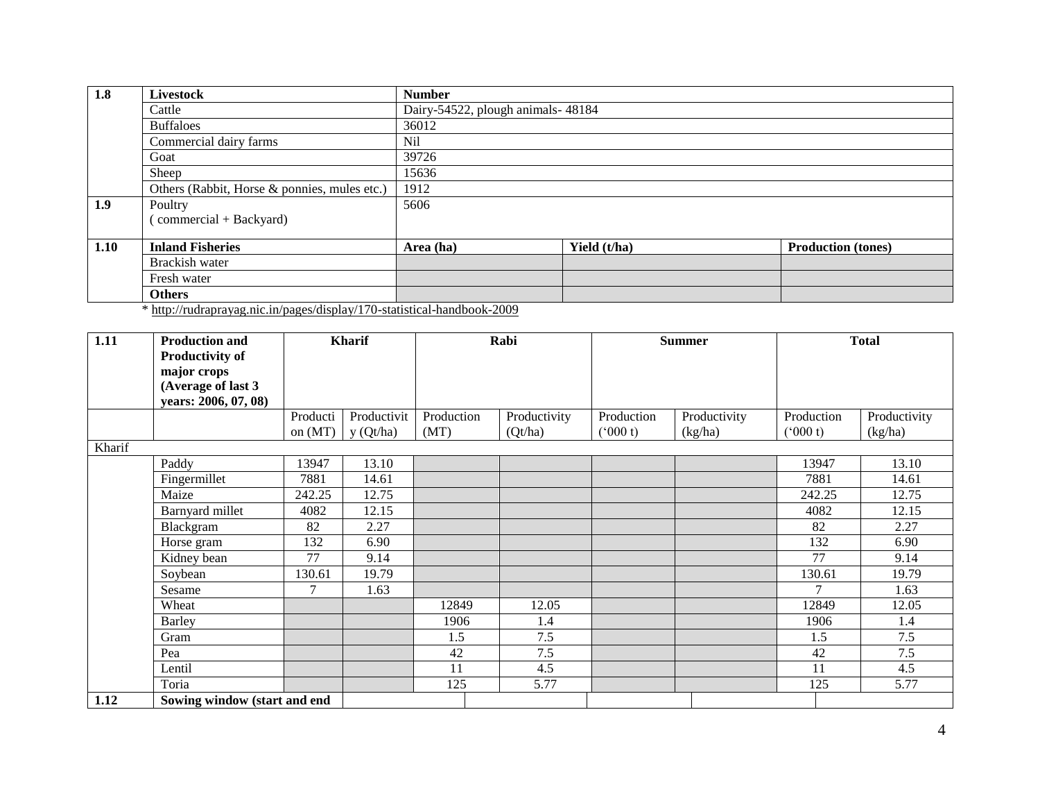| 1.8  | Livestock                                                               | <b>Number</b>                     |              |                           |  |  |  |  |  |
|------|-------------------------------------------------------------------------|-----------------------------------|--------------|---------------------------|--|--|--|--|--|
|      | Cattle                                                                  | Dairy-54522, plough animals-48184 |              |                           |  |  |  |  |  |
|      | <b>Buffaloes</b>                                                        | 36012                             |              |                           |  |  |  |  |  |
|      | Commercial dairy farms                                                  | N <sub>il</sub>                   |              |                           |  |  |  |  |  |
|      | Goat                                                                    | 39726                             |              |                           |  |  |  |  |  |
|      | Sheep                                                                   | 15636                             |              |                           |  |  |  |  |  |
|      | Others (Rabbit, Horse & ponnies, mules etc.)                            | 1912                              |              |                           |  |  |  |  |  |
| 1.9  | Poultry                                                                 | 5606                              |              |                           |  |  |  |  |  |
|      | (commercial + Backyard)                                                 |                                   |              |                           |  |  |  |  |  |
|      |                                                                         |                                   |              |                           |  |  |  |  |  |
| 1.10 | <b>Inland Fisheries</b>                                                 | Area (ha)                         | Yield (t/ha) | <b>Production (tones)</b> |  |  |  |  |  |
|      | Brackish water                                                          |                                   |              |                           |  |  |  |  |  |
|      | Fresh water                                                             |                                   |              |                           |  |  |  |  |  |
|      | <b>Others</b>                                                           |                                   |              |                           |  |  |  |  |  |
|      | * http://rudraprayag.nic.in/pages/display/170-statistical-handbook-2009 |                                   |              |                           |  |  |  |  |  |

| 1.11   | <b>Production and</b><br><b>Productivity of</b><br>major crops<br>(Average of last 3 |                 | <b>Kharif</b> | Rabi       |              |            | <b>Summer</b> | <b>Total</b>  |              |  |
|--------|--------------------------------------------------------------------------------------|-----------------|---------------|------------|--------------|------------|---------------|---------------|--------------|--|
|        | years: 2006, 07, 08)                                                                 | Producti        | Productivit   | Production | Productivity | Production | Productivity  | Production    | Productivity |  |
|        |                                                                                      | on $(MT)$       | y(Qt/ha)      | (MT)       | (Qt/ha)      | (000 t)    | (kg/ha)       | $(^{6}000 t)$ | (kg/ha)      |  |
| Kharif |                                                                                      |                 |               |            |              |            |               |               |              |  |
|        | Paddy                                                                                | 13947           | 13.10         |            |              |            |               | 13947         | 13.10        |  |
|        | Fingermillet                                                                         | 7881            | 14.61         |            |              |            |               | 7881          | 14.61        |  |
|        | Maize                                                                                | 242.25          | 12.75         |            |              |            |               | 242.25        | 12.75        |  |
|        | Barnyard millet                                                                      | 4082            | 12.15         |            |              |            |               | 4082          | 12.15        |  |
|        | Blackgram                                                                            | 82              | 2.27          |            |              |            |               | 82            | 2.27         |  |
|        | Horse gram                                                                           | 132             | 6.90          |            |              |            |               | 132           | 6.90         |  |
|        | Kidney bean                                                                          | $\overline{77}$ | 9.14          |            |              |            |               | 77            | 9.14         |  |
|        | Soybean                                                                              | 130.61          | 19.79         |            |              |            |               | 130.61        | 19.79        |  |
|        | Sesame                                                                               | 7               | 1.63          |            |              |            |               |               | 1.63         |  |
|        | Wheat                                                                                |                 |               | 12849      | 12.05        |            |               | 12849         | 12.05        |  |
|        | <b>Barley</b>                                                                        |                 |               | 1906       | 1.4          |            |               | 1906          | 1.4          |  |
|        | Gram                                                                                 |                 |               | 1.5        | 7.5          |            |               | 1.5           | 7.5          |  |
|        | Pea                                                                                  |                 |               | 42         | 7.5          |            |               | 42            | 7.5          |  |
|        | Lentil                                                                               |                 |               | 11         | 4.5          |            |               | 11            | 4.5          |  |
|        | Toria                                                                                |                 |               | 125        | 5.77         |            |               | 125           | 5.77         |  |
| 1.12   | Sowing window (start and end                                                         |                 |               |            |              |            |               |               |              |  |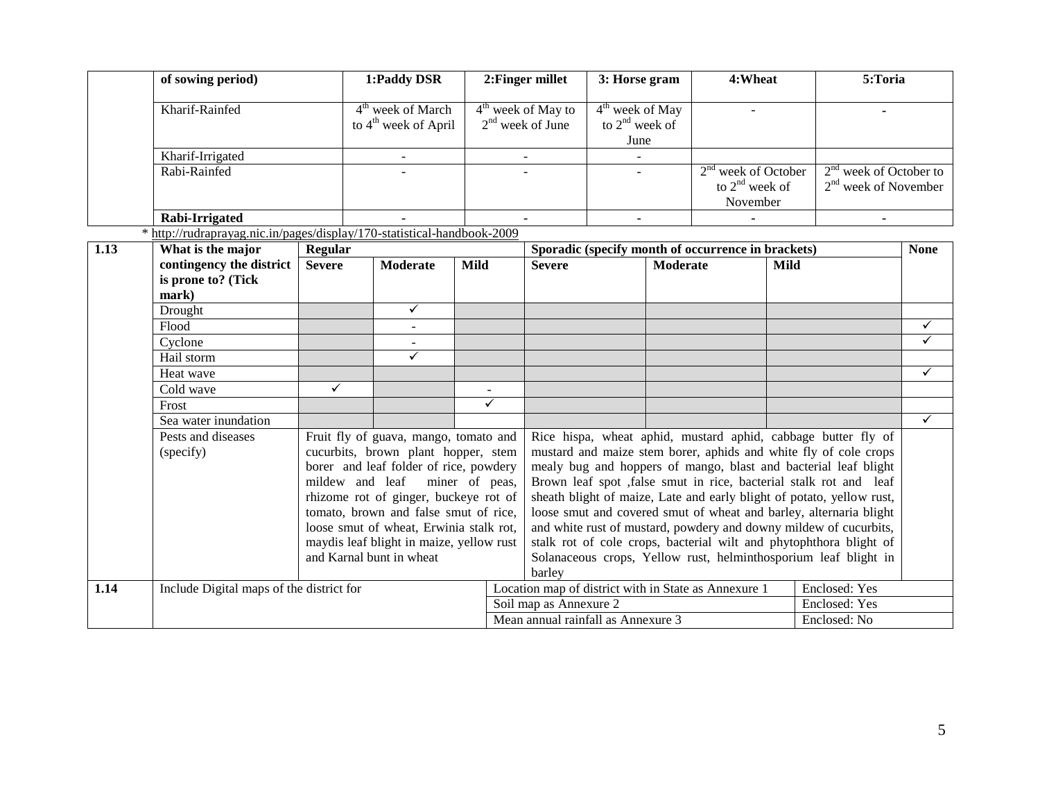|      | of sowing period)                                                       |               | 1:Paddy DSR                                                                         |                | 2: Finger millet                           | 3: Horse gram |                                               | 4:Wheat                                              |                                                       | 5:Toria                                                                                                                                 |              |
|------|-------------------------------------------------------------------------|---------------|-------------------------------------------------------------------------------------|----------------|--------------------------------------------|---------------|-----------------------------------------------|------------------------------------------------------|-------------------------------------------------------|-----------------------------------------------------------------------------------------------------------------------------------------|--------------|
|      | Kharif-Rainfed                                                          |               | $4th$ week of March<br>to 4 <sup>th</sup> week of April                             |                | $4th$ week of May to<br>$2nd$ week of June |               | $4th$ week of May<br>to $2nd$ week of<br>June |                                                      |                                                       |                                                                                                                                         |              |
|      | Kharif-Irrigated                                                        |               |                                                                                     |                |                                            |               |                                               |                                                      |                                                       |                                                                                                                                         |              |
|      | Rabi-Rainfed                                                            |               |                                                                                     |                |                                            |               |                                               |                                                      | $2nd$ week of October<br>to $2nd$ week of<br>November | $2nd$ week of October to<br>$2nd$ week of November                                                                                      |              |
|      | Rabi-Irrigated                                                          |               |                                                                                     |                |                                            |               |                                               |                                                      |                                                       |                                                                                                                                         |              |
|      | * http://rudraprayag.nic.in/pages/display/170-statistical-handbook-2009 |               |                                                                                     |                |                                            |               |                                               |                                                      |                                                       |                                                                                                                                         |              |
| 1.13 | What is the major                                                       | Regular       |                                                                                     |                |                                            |               |                                               | Sporadic (specify month of occurrence in brackets)   |                                                       |                                                                                                                                         | <b>None</b>  |
|      | contingency the district<br>is prone to? (Tick<br>mark)                 | <b>Severe</b> | <b>Moderate</b>                                                                     | Mild           | <b>Severe</b>                              |               | Moderate                                      |                                                      | Mild                                                  |                                                                                                                                         |              |
|      | Drought                                                                 |               | $\checkmark$                                                                        |                |                                            |               |                                               |                                                      |                                                       |                                                                                                                                         |              |
|      | Flood                                                                   |               | $\blacksquare$                                                                      |                |                                            |               |                                               |                                                      |                                                       |                                                                                                                                         | ✓            |
|      | Cyclone                                                                 |               |                                                                                     |                |                                            |               |                                               |                                                      |                                                       |                                                                                                                                         | $\checkmark$ |
|      | Hail storm                                                              |               | $\checkmark$                                                                        |                |                                            |               |                                               |                                                      |                                                       |                                                                                                                                         |              |
|      | Heat wave                                                               |               |                                                                                     |                |                                            |               |                                               |                                                      |                                                       |                                                                                                                                         | $\checkmark$ |
|      | Cold wave                                                               | ✓             |                                                                                     |                |                                            |               |                                               |                                                      |                                                       |                                                                                                                                         |              |
|      | Frost                                                                   |               |                                                                                     | ✓              |                                            |               |                                               |                                                      |                                                       |                                                                                                                                         |              |
|      | Sea water inundation                                                    |               |                                                                                     |                |                                            |               |                                               |                                                      |                                                       |                                                                                                                                         | $\checkmark$ |
|      | Pests and diseases                                                      |               | Fruit fly of guava, mango, tomato and                                               |                |                                            |               |                                               |                                                      |                                                       | Rice hispa, wheat aphid, mustard aphid, cabbage butter fly of                                                                           |              |
|      | (specify)                                                               |               | cucurbits, brown plant hopper, stem                                                 |                |                                            |               |                                               |                                                      |                                                       | mustard and maize stem borer, aphids and white fly of cole crops                                                                        |              |
|      |                                                                         |               | borer and leaf folder of rice, powdery                                              |                |                                            |               |                                               |                                                      |                                                       | mealy bug and hoppers of mango, blast and bacterial leaf blight                                                                         |              |
|      |                                                                         |               | mildew and leaf                                                                     | miner of peas, |                                            |               |                                               |                                                      |                                                       | Brown leaf spot ,false smut in rice, bacterial stalk rot and leaf                                                                       |              |
|      |                                                                         |               | rhizome rot of ginger, buckeye rot of                                               |                |                                            |               |                                               |                                                      |                                                       | sheath blight of maize, Late and early blight of potato, yellow rust,                                                                   |              |
|      |                                                                         |               | tomato, brown and false smut of rice,                                               |                |                                            |               |                                               |                                                      |                                                       | loose smut and covered smut of wheat and barley, alternaria blight                                                                      |              |
|      |                                                                         |               | loose smut of wheat, Erwinia stalk rot,<br>maydis leaf blight in maize, yellow rust |                |                                            |               |                                               |                                                      |                                                       | and white rust of mustard, powdery and downy mildew of cucurbits,<br>stalk rot of cole crops, bacterial wilt and phytophthora blight of |              |
|      |                                                                         |               | and Karnal bunt in wheat                                                            |                |                                            |               |                                               |                                                      |                                                       | Solanaceous crops, Yellow rust, helminthosporium leaf blight in                                                                         |              |
|      |                                                                         |               |                                                                                     |                | barley                                     |               |                                               |                                                      |                                                       |                                                                                                                                         |              |
| 1.14 | Include Digital maps of the district for                                |               |                                                                                     |                |                                            |               |                                               | Location map of district with in State as Annexure 1 |                                                       | Enclosed: Yes                                                                                                                           |              |
|      |                                                                         |               |                                                                                     |                | Soil map as Annexure 2                     |               |                                               |                                                      |                                                       | Enclosed: Yes                                                                                                                           |              |
|      |                                                                         |               |                                                                                     |                | Mean annual rainfall as Annexure 3         |               |                                               |                                                      |                                                       | Enclosed: No                                                                                                                            |              |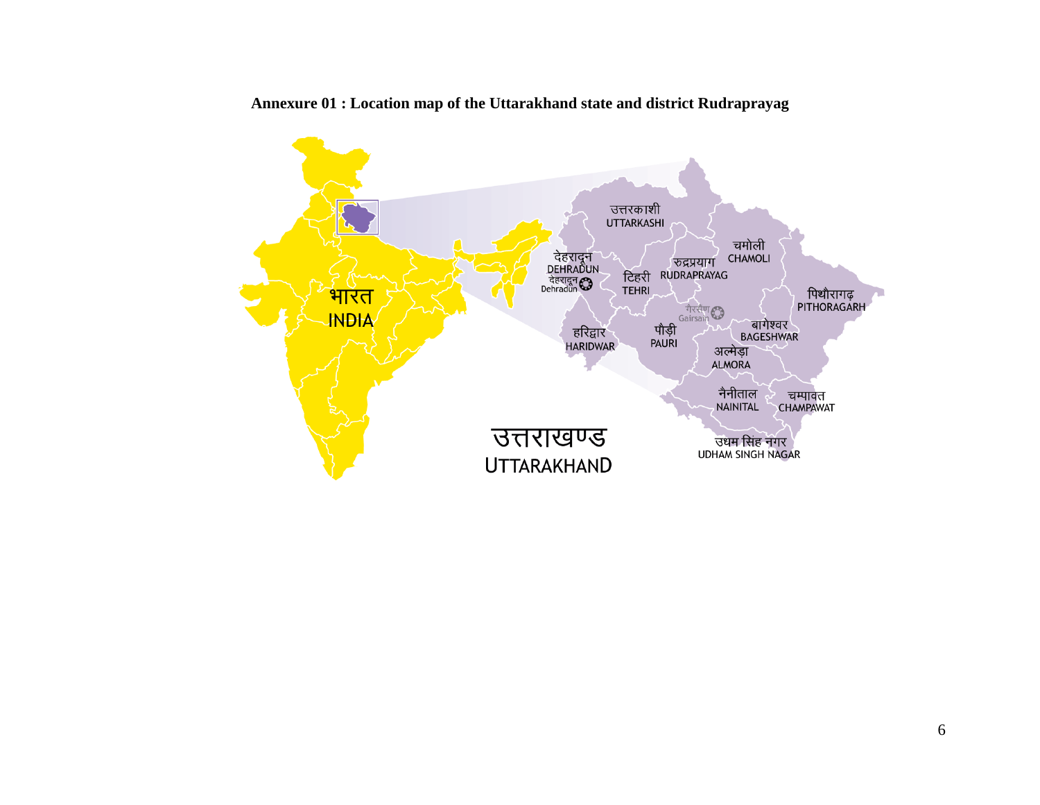

**Annexure 01 : Location map of the Uttarakhand state and district Rudraprayag**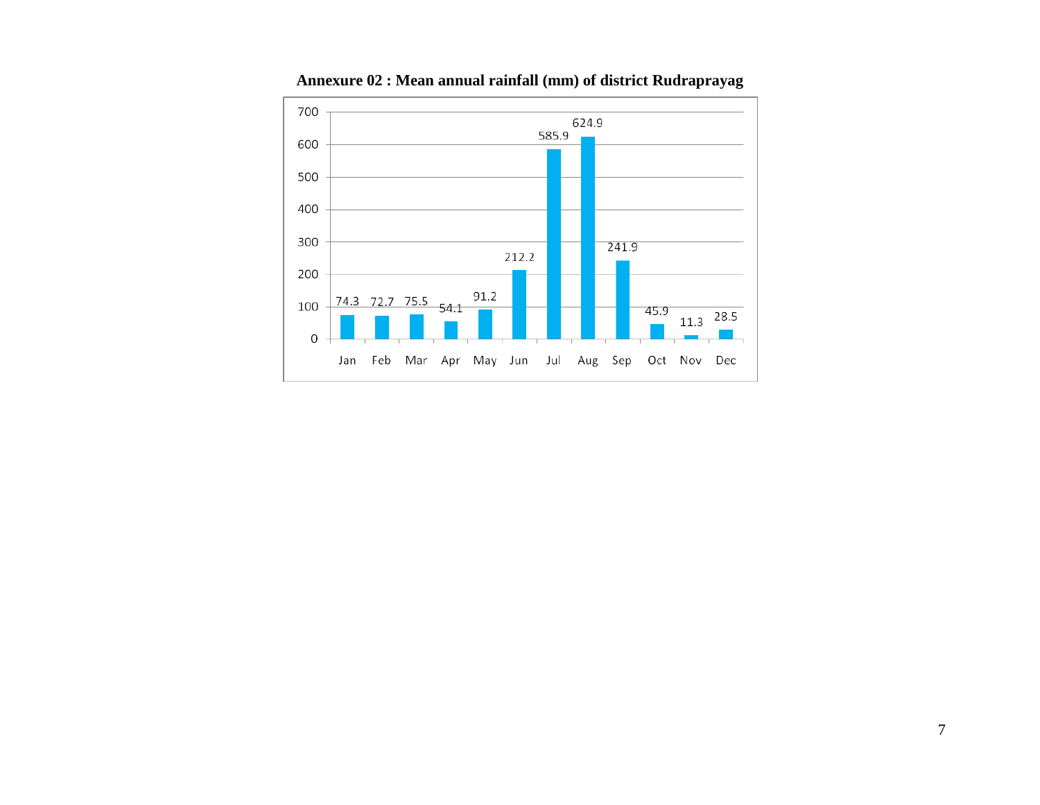

**Annexure 02 : Mean annual rainfall (mm) of district Rudraprayag**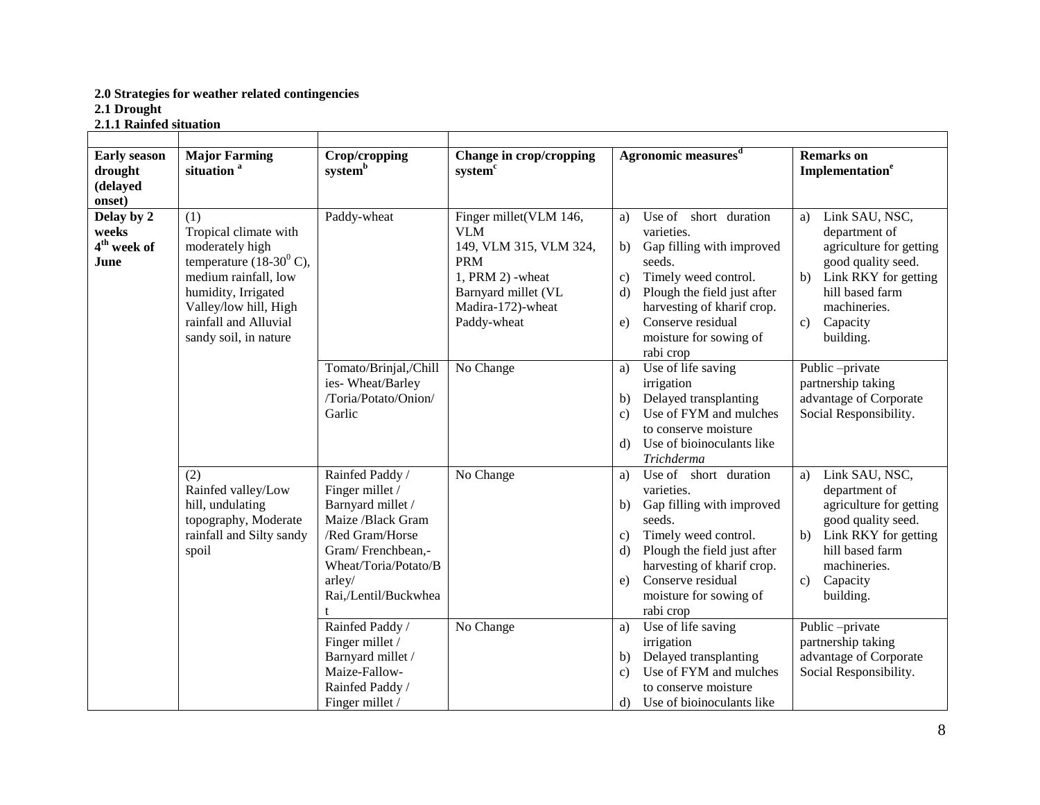#### **2.0 Strategies for weather related contingencies 2.1 Drought 2.1.1 Rainfed situation**

| <b>Early season</b><br>drought<br>(delayed<br>onset)   | <b>Major Farming</b><br>situation <sup>a</sup>                                                                                                                                                                   | Crop/cropping<br>systemb                                                                                                                                                       | Change in crop/cropping<br>system <sup>c</sup>                                                                                                                | Agronomic measures <sup>d</sup>                                                                                                                                                                                                                                                | <b>Remarks</b> on<br>Implementation <sup>e</sup>                                                                                                                                                   |
|--------------------------------------------------------|------------------------------------------------------------------------------------------------------------------------------------------------------------------------------------------------------------------|--------------------------------------------------------------------------------------------------------------------------------------------------------------------------------|---------------------------------------------------------------------------------------------------------------------------------------------------------------|--------------------------------------------------------------------------------------------------------------------------------------------------------------------------------------------------------------------------------------------------------------------------------|----------------------------------------------------------------------------------------------------------------------------------------------------------------------------------------------------|
| Delay by 2<br>weeks<br>4 <sup>th</sup> week of<br>June | (1)<br>Tropical climate with<br>moderately high<br>temperature $(18-30^0 \text{ C})$ ,<br>medium rainfall, low<br>humidity, Irrigated<br>Valley/low hill, High<br>rainfall and Alluvial<br>sandy soil, in nature | Paddy-wheat                                                                                                                                                                    | Finger millet(VLM 146,<br><b>VLM</b><br>149, VLM 315, VLM 324,<br><b>PRM</b><br>1, PRM $2)$ -wheat<br>Barnyard millet (VL<br>Madira-172)-wheat<br>Paddy-wheat | Use of short duration<br>a)<br>varieties.<br>Gap filling with improved<br>b)<br>seeds.<br>Timely weed control.<br>$\mathbf{c})$<br>Plough the field just after<br>$\mathbf{d}$<br>harvesting of kharif crop.<br>Conserve residual<br>e)<br>moisture for sowing of<br>rabi crop | Link SAU, NSC,<br>a)<br>department of<br>agriculture for getting<br>good quality seed.<br>Link RKY for getting<br>b)<br>hill based farm<br>machineries.<br>Capacity<br>$\mathbf{c}$<br>building.   |
|                                                        |                                                                                                                                                                                                                  | Tomato/Brinjal,/Chill<br>ies- Wheat/Barley<br>/Toria/Potato/Onion/<br>Garlic                                                                                                   | No Change                                                                                                                                                     | Use of life saving<br>a)<br>irrigation<br>Delayed transplanting<br>b)<br>Use of FYM and mulches<br>$\mathbf{c}$<br>to conserve moisture<br>Use of bioinoculants like<br>d)<br>Trichderma                                                                                       | Public -private<br>partnership taking<br>advantage of Corporate<br>Social Responsibility.                                                                                                          |
|                                                        | (2)<br>Rainfed valley/Low<br>hill, undulating<br>topography, Moderate<br>rainfall and Silty sandy<br>spoil                                                                                                       | Rainfed Paddy /<br>Finger millet /<br>Barnyard millet /<br>Maize /Black Gram<br>/Red Gram/Horse<br>Gram/Frenchbean,-<br>Wheat/Toria/Potato/B<br>arley/<br>Rai,/Lentil/Buckwhea | No Change                                                                                                                                                     | Use of short duration<br>a)<br>varieties.<br>Gap filling with improved<br>b)<br>seeds.<br>Timely weed control.<br>$\mathbf{c})$<br>Plough the field just after<br>$\rm d$<br>harvesting of kharif crop.<br>Conserve residual<br>e)<br>moisture for sowing of<br>rabi crop      | Link SAU, NSC,<br>a)<br>department of<br>agriculture for getting<br>good quality seed.<br>Link RKY for getting<br>b)<br>hill based farm<br>machineries.<br>Capacity<br>$\mathbf{c}$ )<br>building. |
|                                                        |                                                                                                                                                                                                                  | Rainfed Paddy /<br>Finger millet /<br>Barnyard millet /<br>Maize-Fallow-<br>Rainfed Paddy /<br>Finger millet /                                                                 | No Change                                                                                                                                                     | Use of life saving<br>a)<br>irrigation<br>Delayed transplanting<br>b)<br>Use of FYM and mulches<br>$\mathbf{c}$ )<br>to conserve moisture<br>Use of bioinoculants like<br>d)                                                                                                   | Public -private<br>partnership taking<br>advantage of Corporate<br>Social Responsibility.                                                                                                          |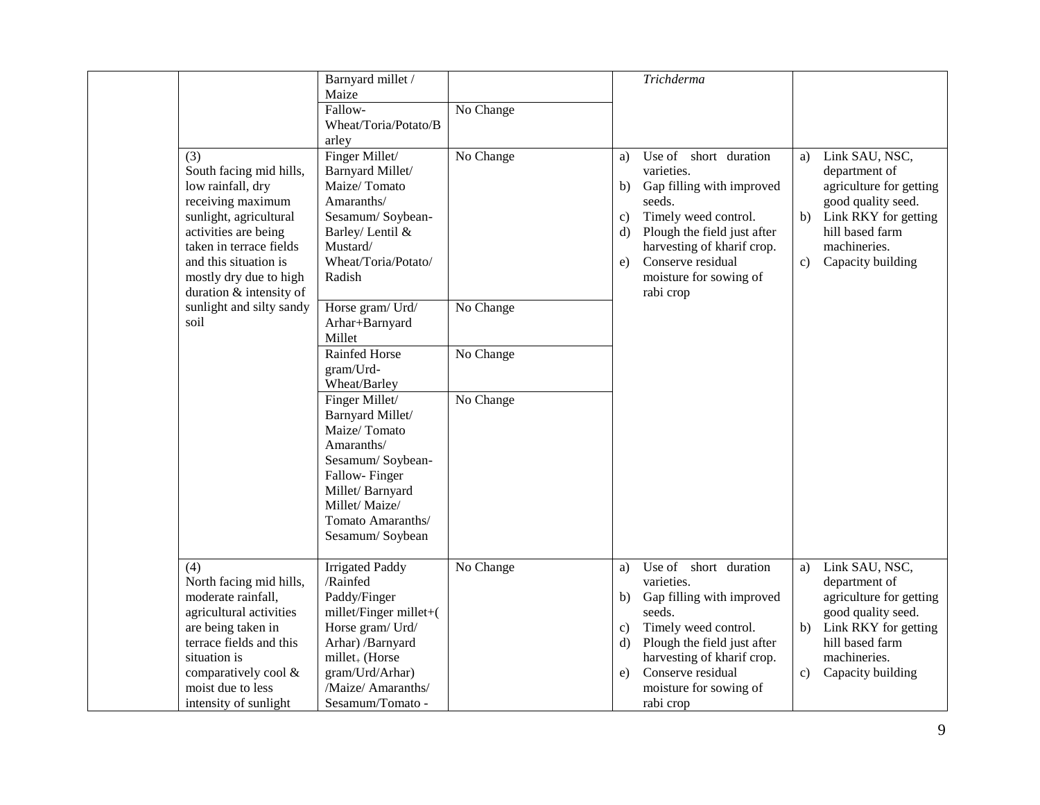|                          | Barnyard millet /<br>Maize |           |              | Trichderma                  |    |                         |
|--------------------------|----------------------------|-----------|--------------|-----------------------------|----|-------------------------|
|                          | Fallow-                    | No Change |              |                             |    |                         |
|                          | Wheat/Toria/Potato/B       |           |              |                             |    |                         |
|                          | arley                      |           |              |                             |    |                         |
| (3)                      | Finger Millet/             | No Change | a)           | Use of<br>short duration    | a) | Link SAU, NSC,          |
| South facing mid hills,  | Barnyard Millet/           |           |              | varieties.                  |    | department of           |
| low rainfall, dry        | Maize/Tomato               |           | b)           | Gap filling with improved   |    | agriculture for getting |
| receiving maximum        | Amaranths/                 |           |              | seeds.                      |    | good quality seed.      |
| sunlight, agricultural   | Sesamum/Soybean-           |           | $\mathbf{c}$ | Timely weed control.        | b) | Link RKY for getting    |
| activities are being     | Barley/ Lentil &           |           | d)           | Plough the field just after |    | hill based farm         |
| taken in terrace fields  | Mustard/                   |           |              | harvesting of kharif crop.  |    | machineries.            |
| and this situation is    | Wheat/Toria/Potato/        |           | e)           | Conserve residual           | c) | Capacity building       |
| mostly dry due to high   | Radish                     |           |              | moisture for sowing of      |    |                         |
| duration & intensity of  |                            |           |              | rabi crop                   |    |                         |
| sunlight and silty sandy | Horse gram/Urd/            | No Change |              |                             |    |                         |
| soil                     | Arhar+Barnyard             |           |              |                             |    |                         |
|                          | Millet                     |           |              |                             |    |                         |
|                          | Rainfed Horse              | No Change |              |                             |    |                         |
|                          | gram/Urd-                  |           |              |                             |    |                         |
|                          | Wheat/Barley               |           |              |                             |    |                         |
|                          | Finger Millet/             | No Change |              |                             |    |                         |
|                          | Barnyard Millet/           |           |              |                             |    |                         |
|                          | Maize/Tomato               |           |              |                             |    |                         |
|                          | Amaranths/                 |           |              |                             |    |                         |
|                          | Sesamum/Soybean-           |           |              |                             |    |                         |
|                          | Fallow-Finger              |           |              |                             |    |                         |
|                          | Millet/Barnyard            |           |              |                             |    |                         |
|                          | Millet/Maize/              |           |              |                             |    |                         |
|                          | Tomato Amaranths/          |           |              |                             |    |                         |
|                          | Sesamum/Soybean            |           |              |                             |    |                         |
| (4)                      | <b>Irrigated Paddy</b>     | No Change | a)           | Use of<br>short duration    | a) | Link SAU, NSC,          |
| North facing mid hills,  | /Rainfed                   |           |              | varieties.                  |    | department of           |
| moderate rainfall,       | Paddy/Finger               |           | b)           | Gap filling with improved   |    | agriculture for getting |
| agricultural activities  | millet/Finger millet+(     |           |              | seeds.                      |    | good quality seed.      |
| are being taken in       | Horse gram/ Urd/           |           | $\mathbf{c}$ | Timely weed control.        | b) | Link RKY for getting    |
| terrace fields and this  | Arhar) /Barnyard           |           | d)           | Plough the field just after |    | hill based farm         |
| situation is             | $millet_{+}$ (Horse        |           |              | harvesting of kharif crop.  |    | machineries.            |
| comparatively cool &     | gram/Urd/Arhar)            |           | e)           | Conserve residual           | c) | Capacity building       |
| moist due to less        | /Maize/ Amaranths/         |           |              | moisture for sowing of      |    |                         |
| intensity of sunlight    | Sesamum/Tomato -           |           |              | rabi crop                   |    |                         |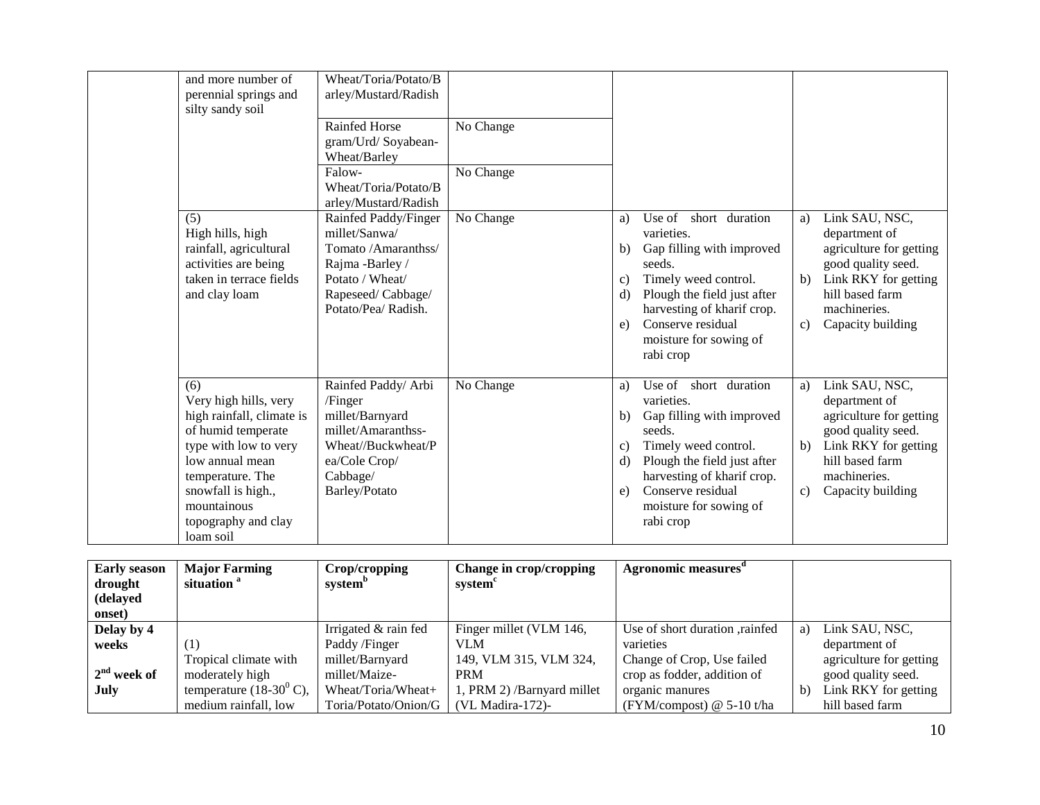| and more number of<br>perennial springs and<br>silty sandy soil                                                                                                                                                          | Wheat/Toria/Potato/B<br>arley/Mustard/Radish<br><b>Rainfed Horse</b><br>gram/Urd/Soyabean-<br>Wheat/Barley<br>Falow-<br>Wheat/Toria/Potato/B<br>arley/Mustard/Radish | No Change<br>No Change |                                                                                                                                                                                                                                                                |                          |                                                                                                                                                                  |
|--------------------------------------------------------------------------------------------------------------------------------------------------------------------------------------------------------------------------|----------------------------------------------------------------------------------------------------------------------------------------------------------------------|------------------------|----------------------------------------------------------------------------------------------------------------------------------------------------------------------------------------------------------------------------------------------------------------|--------------------------|------------------------------------------------------------------------------------------------------------------------------------------------------------------|
| (5)<br>High hills, high<br>rainfall, agricultural<br>activities are being<br>taken in terrace fields<br>and clay loam                                                                                                    | Rainfed Paddy/Finger<br>millet/Sanwa/<br>Tomato /Amaranthss/<br>Rajma -Barley /<br>Potato / Wheat/<br>Rapeseed/Cabbage/<br>Potato/Pea/ Radish.                       | No Change              | Use of short duration<br>a)<br>varieties.<br>Gap filling with improved<br>b)<br>seeds.<br>Timely weed control.<br>C)<br>Plough the field just after<br>d)<br>harvesting of kharif crop.<br>Conserve residual<br>e)<br>moisture for sowing of<br>rabi crop      | a)<br>$\mathbf{b}$<br>c) | Link SAU, NSC,<br>department of<br>agriculture for getting<br>good quality seed.<br>Link RKY for getting<br>hill based farm<br>machineries.<br>Capacity building |
| (6)<br>Very high hills, very<br>high rainfall, climate is<br>of humid temperate<br>type with low to very<br>low annual mean<br>temperature. The<br>snowfall is high.,<br>mountainous<br>topography and clay<br>loam soil | Rainfed Paddy/ Arbi<br>/Finger<br>millet/Barnyard<br>millet/Amaranthss-<br>Wheat//Buckwheat/P<br>ea/Cole Crop/<br>Cabbage/<br><b>Barley/Potato</b>                   | No Change              | Use of short duration<br>a)<br>varieties.<br>Gap filling with improved<br>b)<br>seeds.<br>Timely weed control.<br>C)<br>Plough the field just after<br>$\rm d$<br>harvesting of kharif crop.<br>Conserve residual<br>e)<br>moisture for sowing of<br>rabi crop | a)<br>b)<br>c)           | Link SAU, NSC,<br>department of<br>agriculture for getting<br>good quality seed.<br>Link RKY for getting<br>hill based farm<br>machineries.<br>Capacity building |

| <b>Early season</b><br>drought<br>(delayed | <b>Major Farming</b><br>situation <sup>a</sup> | Crop/cropping<br>system <sup>b</sup> | Change in crop/cropping<br>system <sup>c</sup> | Agronomic measures <sup>a</sup> |    |                         |
|--------------------------------------------|------------------------------------------------|--------------------------------------|------------------------------------------------|---------------------------------|----|-------------------------|
| onset)                                     |                                                |                                      |                                                |                                 |    |                         |
| Delay by 4                                 |                                                | Irrigated & rain fed                 | Finger millet (VLM 146,                        | Use of short duration, rainfed  | a) | Link SAU, NSC,          |
| weeks                                      | (1)                                            | Paddy /Finger                        | <b>VLM</b>                                     | varieties                       |    | department of           |
|                                            | Tropical climate with                          | millet/Barnyard                      | 149, VLM 315, VLM 324,                         | Change of Crop, Use failed      |    | agriculture for getting |
| $2nd$ week of                              | moderately high                                | millet/Maize-                        | <b>PRM</b>                                     | crop as fodder, addition of     |    | good quality seed.      |
| July                                       | temperature $(18-30^0 \text{ C})$ ,            | Wheat/Toria/Wheat+                   | 1, PRM 2) /Barnyard millet                     | organic manures                 | b) | Link RKY for getting    |
|                                            | medium rainfall, low                           | Toria/Potato/Onion/G                 | $(VLMadira-172)$ -                             | (FYM/compost) $@$ 5-10 t/ha     |    | hill based farm         |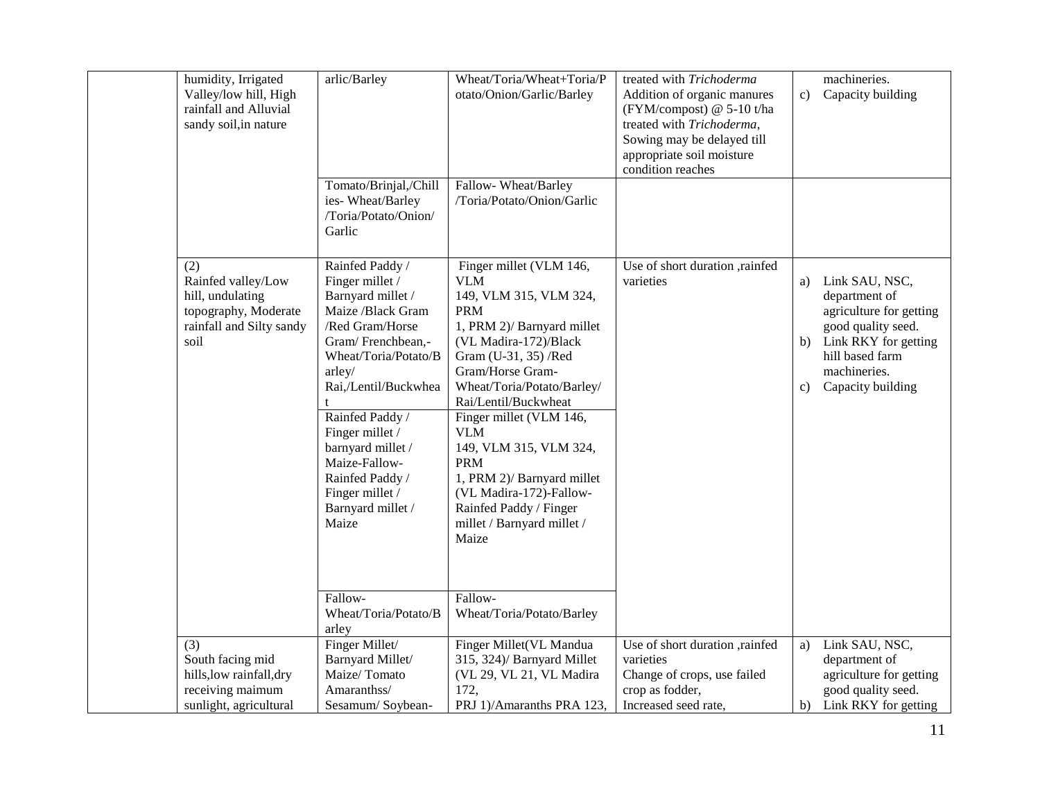| humidity, Irrigated<br>Valley/low hill, High<br>rainfall and Alluvial<br>sandy soil, in nature            | arlic/Barley                                                                                                                                                                                                                                                                                                                              | Wheat/Toria/Wheat+Toria/P<br>otato/Onion/Garlic/Barley                                                                                                                                                                                                                                                                                                                                                                                                       | treated with Trichoderma<br>Addition of organic manures<br>(FYM/compost) @ 5-10 t/ha<br>treated with Trichoderma,<br>Sowing may be delayed till<br>appropriate soil moisture<br>condition reaches | c)             | machineries.<br>Capacity building                                                                                                                                |
|-----------------------------------------------------------------------------------------------------------|-------------------------------------------------------------------------------------------------------------------------------------------------------------------------------------------------------------------------------------------------------------------------------------------------------------------------------------------|--------------------------------------------------------------------------------------------------------------------------------------------------------------------------------------------------------------------------------------------------------------------------------------------------------------------------------------------------------------------------------------------------------------------------------------------------------------|---------------------------------------------------------------------------------------------------------------------------------------------------------------------------------------------------|----------------|------------------------------------------------------------------------------------------------------------------------------------------------------------------|
|                                                                                                           | Tomato/Brinjal,/Chill<br>ies-Wheat/Barley<br>/Toria/Potato/Onion/<br>Garlic                                                                                                                                                                                                                                                               | Fallow-Wheat/Barley<br>/Toria/Potato/Onion/Garlic                                                                                                                                                                                                                                                                                                                                                                                                            |                                                                                                                                                                                                   |                |                                                                                                                                                                  |
| (2)<br>Rainfed valley/Low<br>hill, undulating<br>topography, Moderate<br>rainfall and Silty sandy<br>soil | Rainfed Paddy /<br>Finger millet /<br>Barnyard millet /<br>Maize /Black Gram<br>/Red Gram/Horse<br>Gram/Frenchbean,-<br>Wheat/Toria/Potato/B<br>arley/<br>Rai,/Lentil/Buckwhea<br>Rainfed Paddy /<br>Finger millet /<br>barnyard millet /<br>Maize-Fallow-<br>Rainfed Paddy /<br>Finger millet /<br>Barnyard millet /<br>Maize<br>Fallow- | Finger millet (VLM 146,<br><b>VLM</b><br>149, VLM 315, VLM 324,<br><b>PRM</b><br>1, PRM 2)/ Barnyard millet<br>(VL Madira-172)/Black<br>Gram (U-31, 35) /Red<br>Gram/Horse Gram-<br>Wheat/Toria/Potato/Barley/<br>Rai/Lentil/Buckwheat<br>Finger millet (VLM 146,<br><b>VLM</b><br>149, VLM 315, VLM 324,<br><b>PRM</b><br>1, PRM 2)/ Barnyard millet<br>(VL Madira-172)-Fallow-<br>Rainfed Paddy / Finger<br>millet / Barnyard millet /<br>Maize<br>Fallow- | Use of short duration ,rainfed<br>varieties                                                                                                                                                       | a)<br>b)<br>c) | Link SAU, NSC,<br>department of<br>agriculture for getting<br>good quality seed.<br>Link RKY for getting<br>hill based farm<br>machineries.<br>Capacity building |
|                                                                                                           | Wheat/Toria/Potato/B<br>arley                                                                                                                                                                                                                                                                                                             | Wheat/Toria/Potato/Barley                                                                                                                                                                                                                                                                                                                                                                                                                                    |                                                                                                                                                                                                   |                |                                                                                                                                                                  |
| (3)<br>South facing mid<br>hills, low rainfall, dry<br>receiving maimum<br>sunlight, agricultural         | Finger Millet/<br>Barnyard Millet/<br>Maize/Tomato<br>Amaranthss/<br>Sesamum/Soybean-                                                                                                                                                                                                                                                     | Finger Millet(VL Mandua<br>315, 324)/ Barnyard Millet<br>(VL 29, VL 21, VL Madira<br>172,<br>PRJ 1)/Amaranths PRA 123,                                                                                                                                                                                                                                                                                                                                       | Use of short duration ,rainfed<br>varieties<br>Change of crops, use failed<br>crop as fodder,<br>Increased seed rate,                                                                             | a)             | Link SAU, NSC,<br>department of<br>agriculture for getting<br>good quality seed.<br>b) Link RKY for getting                                                      |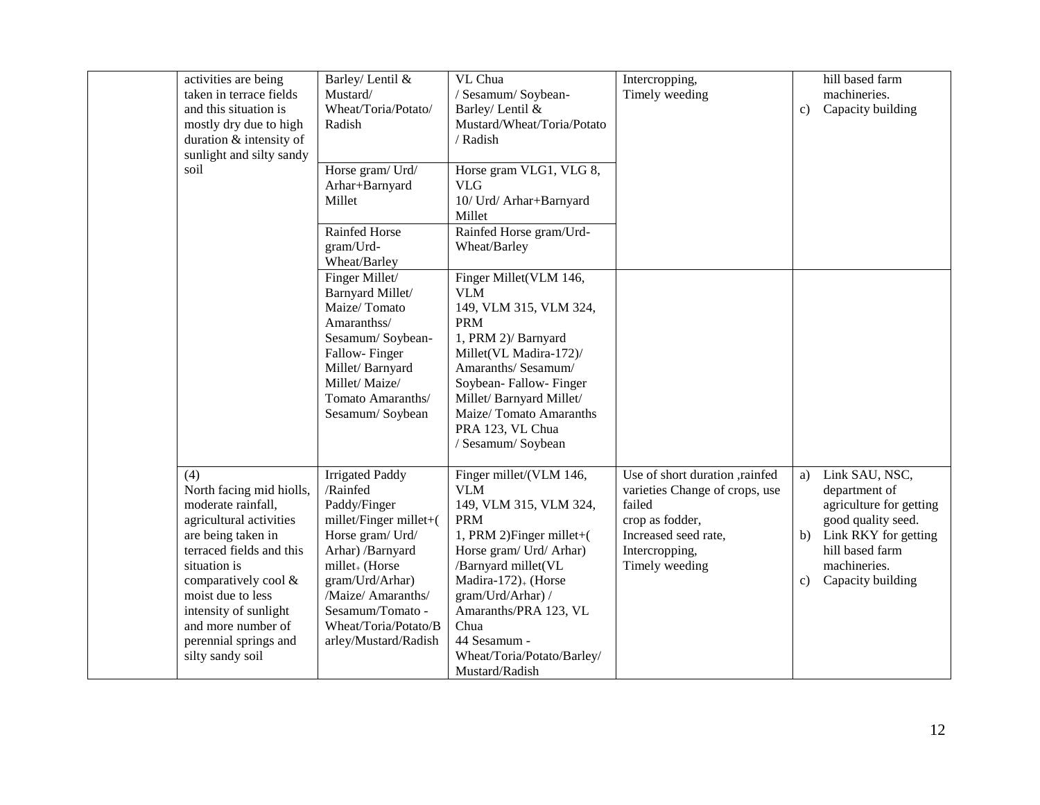| activities are being<br>taken in terrace fields<br>and this situation is<br>mostly dry due to high<br>duration & intensity of<br>sunlight and silty sandy                                                                                                                                   | Barley/ Lentil &<br>Mustard/<br>Wheat/Toria/Potato/<br>Radish                                                                                                                                                                                                   | VL Chua<br>/ Sesamum/ Soybean-<br>Barley/ Lentil &<br>Mustard/Wheat/Toria/Potato<br>/ Radish                                                                                                                                                                                                                          | Intercropping,<br>Timely weeding                                                                                                                          | c)             | hill based farm<br>machineries.<br>Capacity building                                                                                                             |
|---------------------------------------------------------------------------------------------------------------------------------------------------------------------------------------------------------------------------------------------------------------------------------------------|-----------------------------------------------------------------------------------------------------------------------------------------------------------------------------------------------------------------------------------------------------------------|-----------------------------------------------------------------------------------------------------------------------------------------------------------------------------------------------------------------------------------------------------------------------------------------------------------------------|-----------------------------------------------------------------------------------------------------------------------------------------------------------|----------------|------------------------------------------------------------------------------------------------------------------------------------------------------------------|
| soil                                                                                                                                                                                                                                                                                        | Horse gram/Urd/<br>Arhar+Barnyard<br>Millet<br>Rainfed Horse<br>gram/Urd-<br>Wheat/Barley                                                                                                                                                                       | Horse gram VLG1, VLG 8,<br><b>VLG</b><br>10/ Urd/ Arhar+Barnyard<br>Millet<br>Rainfed Horse gram/Urd-<br>Wheat/Barley                                                                                                                                                                                                 |                                                                                                                                                           |                |                                                                                                                                                                  |
|                                                                                                                                                                                                                                                                                             | Finger Millet/<br>Barnyard Millet/<br>Maize/Tomato<br>Amaranthss/<br>Sesamum/Soybean-<br>Fallow-Finger<br>Millet/Barnyard<br>Millet/Maize/<br>Tomato Amaranths/<br>Sesamum/Soybean                                                                              | Finger Millet(VLM 146,<br><b>VLM</b><br>149, VLM 315, VLM 324,<br><b>PRM</b><br>1, PRM 2)/ Barnyard<br>Millet(VL Madira-172)/<br>Amaranths/ Sesamum/<br>Soybean-Fallow-Finger<br>Millet/ Barnyard Millet/<br>Maize/Tomato Amaranths<br>PRA 123, VL Chua<br>/ Sesamum/ Soybean                                         |                                                                                                                                                           |                |                                                                                                                                                                  |
| (4)<br>North facing mid hiolls,<br>moderate rainfall,<br>agricultural activities<br>are being taken in<br>terraced fields and this<br>situation is<br>comparatively cool &<br>moist due to less<br>intensity of sunlight<br>and more number of<br>perennial springs and<br>silty sandy soil | <b>Irrigated Paddy</b><br>/Rainfed<br>Paddy/Finger<br>millet/Finger millet+(<br>Horse gram/ Urd/<br>Arhar) /Barnyard<br>millet <sub>+</sub> (Horse<br>gram/Urd/Arhar)<br>/Maize/ Amaranths/<br>Sesamum/Tomato -<br>Wheat/Toria/Potato/B<br>arley/Mustard/Radish | Finger millet/(VLM 146,<br><b>VLM</b><br>149, VLM 315, VLM 324,<br><b>PRM</b><br>1, PRM 2) Finger millet+(<br>Horse gram/ Urd/ Arhar)<br>/Barnyard millet(VL<br>Madira-172) <sub>+</sub> (Horse<br>gram/Urd/Arhar) /<br>Amaranths/PRA 123, VL<br>Chua<br>44 Sesamum -<br>Wheat/Toria/Potato/Barley/<br>Mustard/Radish | Use of short duration ,rainfed<br>varieties Change of crops, use<br>failed<br>crop as fodder,<br>Increased seed rate,<br>Intercropping,<br>Timely weeding | a)<br>b)<br>C) | Link SAU, NSC,<br>department of<br>agriculture for getting<br>good quality seed.<br>Link RKY for getting<br>hill based farm<br>machineries.<br>Capacity building |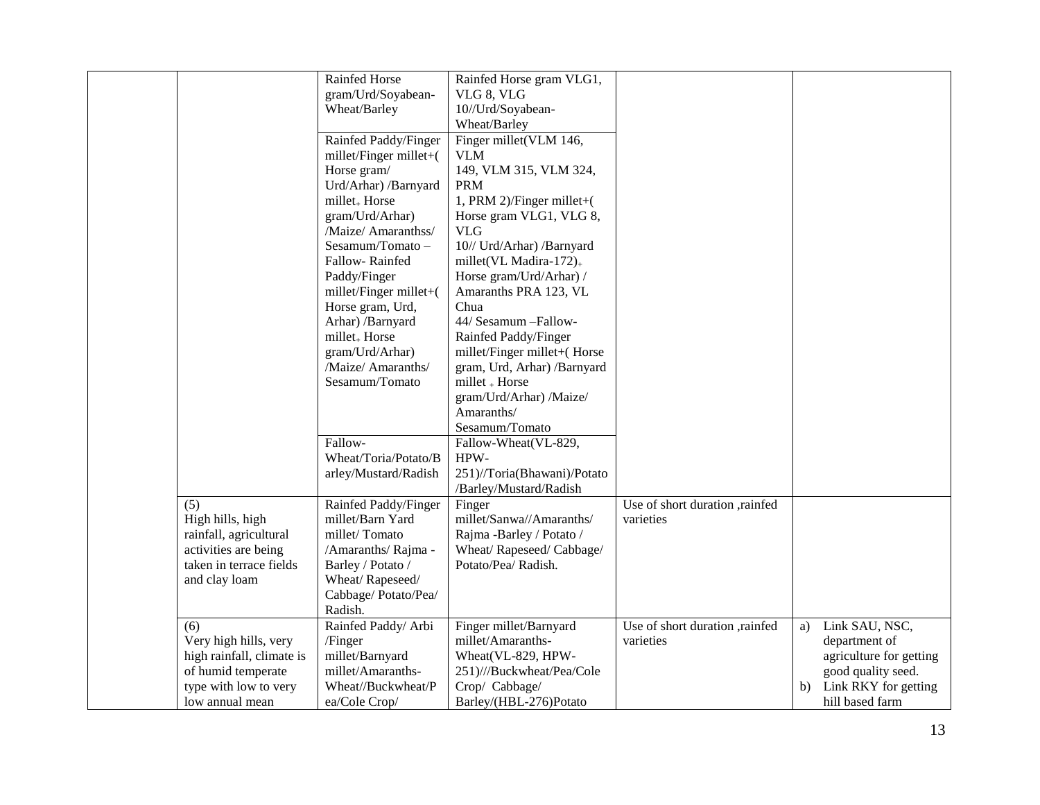|                           | Rainfed Horse             | Rainfed Horse gram VLG1,     |                                |                            |
|---------------------------|---------------------------|------------------------------|--------------------------------|----------------------------|
|                           | gram/Urd/Soyabean-        | VLG 8, VLG                   |                                |                            |
|                           | Wheat/Barley              | 10//Urd/Soyabean-            |                                |                            |
|                           |                           | Wheat/Barley                 |                                |                            |
|                           |                           |                              |                                |                            |
|                           | Rainfed Paddy/Finger      | Finger millet(VLM 146,       |                                |                            |
|                           | millet/Finger millet+(    | <b>VLM</b>                   |                                |                            |
|                           | Horse gram/               | 149, VLM 315, VLM 324,       |                                |                            |
|                           | Urd/Arhar) /Barnyard      | <b>PRM</b>                   |                                |                            |
|                           | millet <sub>+</sub> Horse | 1, PRM 2)/Finger millet+(    |                                |                            |
|                           | gram/Urd/Arhar)           | Horse gram VLG1, VLG 8,      |                                |                            |
|                           | /Maize/ Amaranthss/       | <b>VLG</b>                   |                                |                            |
|                           | Sesamum/Tomato-           | 10// Urd/Arhar) /Barnyard    |                                |                            |
|                           | Fallow-Rainfed            | millet(VL Madira-172) $_{+}$ |                                |                            |
|                           | Paddy/Finger              | Horse gram/Urd/Arhar) /      |                                |                            |
|                           | millet/Finger millet+(    | Amaranths PRA 123, VL        |                                |                            |
|                           | Horse gram, Urd,          | Chua                         |                                |                            |
|                           | Arhar) /Barnyard          | 44/ Sesamum - Fallow-        |                                |                            |
|                           | millet <sub>+</sub> Horse | Rainfed Paddy/Finger         |                                |                            |
|                           | gram/Urd/Arhar)           | millet/Finger millet+(Horse  |                                |                            |
|                           | /Maize/ Amaranths/        | gram, Urd, Arhar) /Barnyard  |                                |                            |
|                           | Sesamum/Tomato            | millet + Horse               |                                |                            |
|                           |                           | gram/Urd/Arhar) /Maize/      |                                |                            |
|                           |                           | Amaranths/                   |                                |                            |
|                           |                           | Sesamum/Tomato               |                                |                            |
|                           | Fallow-                   | Fallow-Wheat(VL-829,         |                                |                            |
|                           | Wheat/Toria/Potato/B      | HPW-                         |                                |                            |
|                           | arley/Mustard/Radish      | 251)//Toria(Bhawani)/Potato  |                                |                            |
|                           |                           | /Barley/Mustard/Radish       |                                |                            |
| $\overline{(5)}$          | Rainfed Paddy/Finger      | Finger                       | Use of short duration ,rainfed |                            |
| High hills, high          | millet/Barn Yard          | millet/Sanwa//Amaranths/     | varieties                      |                            |
| rainfall, agricultural    | millet/Tomato             | Rajma -Barley / Potato /     |                                |                            |
| activities are being      | /Amaranths/ Rajma -       | Wheat/Rapeseed/Cabbage/      |                                |                            |
| taken in terrace fields   | Barley / Potato /         | Potato/Pea/ Radish.          |                                |                            |
| and clay loam             | Wheat/Rapeseed/           |                              |                                |                            |
|                           | Cabbage/Potato/Pea/       |                              |                                |                            |
|                           | Radish.                   |                              |                                |                            |
| (6)                       | Rainfed Paddy/ Arbi       | Finger millet/Barnyard       | Use of short duration ,rainfed | Link SAU, NSC,<br>a)       |
| Very high hills, very     | /Finger                   | millet/Amaranths-            | varieties                      | department of              |
| high rainfall, climate is | millet/Barnyard           | Wheat (VL-829, HPW-          |                                | agriculture for getting    |
| of humid temperate        | millet/Amaranths-         | 251)///Buckwheat/Pea/Cole    |                                | good quality seed.         |
| type with low to very     | Wheat//Buckwheat/P        | Crop/ Cabbage/               |                                | Link RKY for getting<br>b) |
| low annual mean           | ea/Cole Crop/             | Barley/(HBL-276)Potato       |                                | hill based farm            |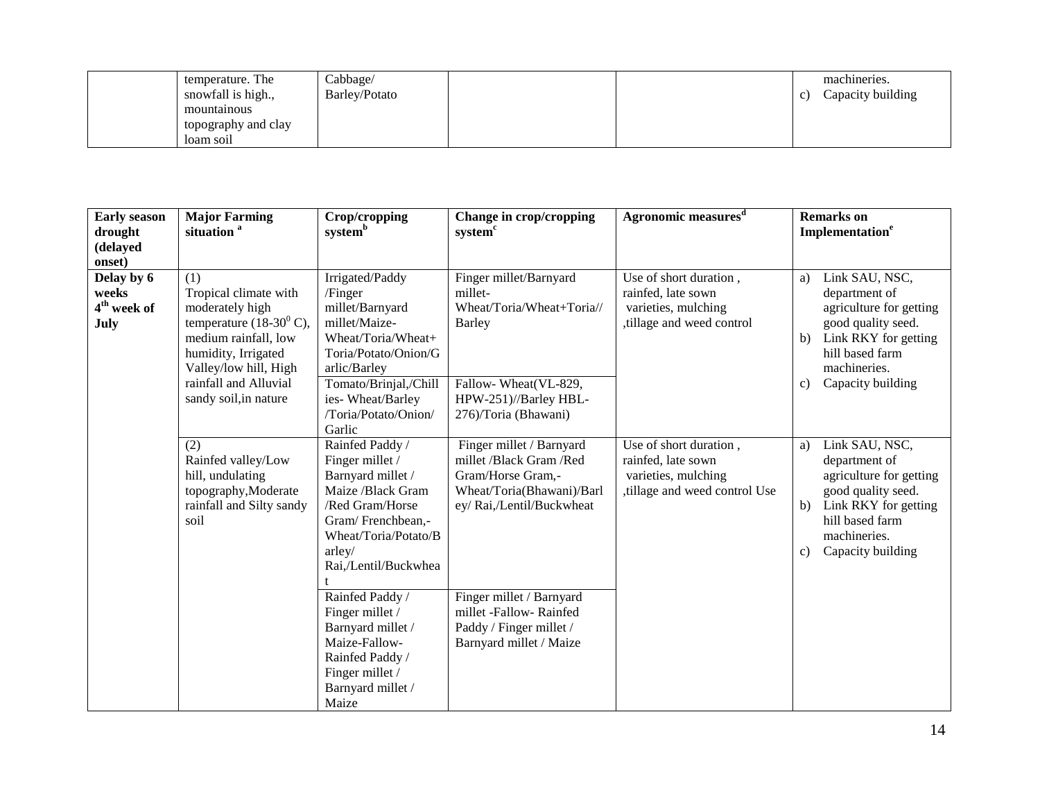| temperature. The    | Cabbage/      |  |             | machineries.      |
|---------------------|---------------|--|-------------|-------------------|
| snowfall is high.,  | Barley/Potato |  | $\mathbf c$ | Capacity building |
| mountainous         |               |  |             |                   |
| topography and clay |               |  |             |                   |
| loam soil           |               |  |             |                   |

| <b>Early season</b><br>drought                                   | <b>Major Farming</b><br>situation <sup>a</sup>                                                                                                                                                                   | Crop/cropping<br>systemb                                                                                                                                                                                    | Change in crop/cropping<br>system <sup>c</sup>                                                                                                           | Agronomic measures <sup>d</sup>                                                                      | <b>Remarks</b> on<br>Implementation <sup>e</sup>                                                                                                                                   |
|------------------------------------------------------------------|------------------------------------------------------------------------------------------------------------------------------------------------------------------------------------------------------------------|-------------------------------------------------------------------------------------------------------------------------------------------------------------------------------------------------------------|----------------------------------------------------------------------------------------------------------------------------------------------------------|------------------------------------------------------------------------------------------------------|------------------------------------------------------------------------------------------------------------------------------------------------------------------------------------|
| (delayed                                                         |                                                                                                                                                                                                                  |                                                                                                                                                                                                             |                                                                                                                                                          |                                                                                                      |                                                                                                                                                                                    |
| onset)<br>Delay by 6<br>weeks<br>4 <sup>th</sup> week of<br>July | (1)<br>Tropical climate with<br>moderately high<br>temperature $(18-30^0 \text{ C})$ ,<br>medium rainfall, low<br>humidity, Irrigated<br>Valley/low hill, High<br>rainfall and Alluvial<br>sandy soil, in nature | Irrigated/Paddy<br>/Finger<br>millet/Barnyard<br>millet/Maize-<br>Wheat/Toria/Wheat+<br>Toria/Potato/Onion/G<br>arlic/Barley<br>Tomato/Brinjal,/Chill<br>ies-Wheat/Barley<br>/Toria/Potato/Onion/<br>Garlic | Finger millet/Barnyard<br>millet-<br>Wheat/Toria/Wheat+Toria//<br><b>Barley</b><br>Fallow-Wheat(VL-829,<br>HPW-251)//Barley HBL-<br>276)/Toria (Bhawani) | Use of short duration,<br>rainfed, late sown<br>varieties, mulching<br>,tillage and weed control     | Link SAU, NSC,<br>a)<br>department of<br>agriculture for getting<br>good quality seed.<br>Link RKY for getting<br>b)<br>hill based farm<br>machineries.<br>Capacity building<br>c) |
|                                                                  | (2)<br>Rainfed valley/Low<br>hill, undulating<br>topography, Moderate<br>rainfall and Silty sandy<br>soil                                                                                                        | Rainfed Paddy /<br>Finger millet /<br>Barnyard millet /<br>Maize /Black Gram<br>/Red Gram/Horse<br>Gram/Frenchbean,-<br>Wheat/Toria/Potato/B<br>arley/<br>Rai,/Lentil/Buckwhea                              | Finger millet / Barnyard<br>millet /Black Gram /Red<br>Gram/Horse Gram,-<br>Wheat/Toria(Bhawani)/Barl<br>ey/ Rai,/Lentil/Buckwheat                       | Use of short duration,<br>rainfed, late sown<br>varieties, mulching<br>,tillage and weed control Use | Link SAU, NSC,<br>a)<br>department of<br>agriculture for getting<br>good quality seed.<br>Link RKY for getting<br>b)<br>hill based farm<br>machineries.<br>Capacity building<br>c) |
|                                                                  |                                                                                                                                                                                                                  | Rainfed Paddy /<br>Finger millet /<br>Barnyard millet /<br>Maize-Fallow-<br>Rainfed Paddy /<br>Finger millet /<br>Barnyard millet /<br>Maize                                                                | Finger millet / Barnyard<br>millet -Fallow- Rainfed<br>Paddy / Finger millet /<br>Barnyard millet / Maize                                                |                                                                                                      |                                                                                                                                                                                    |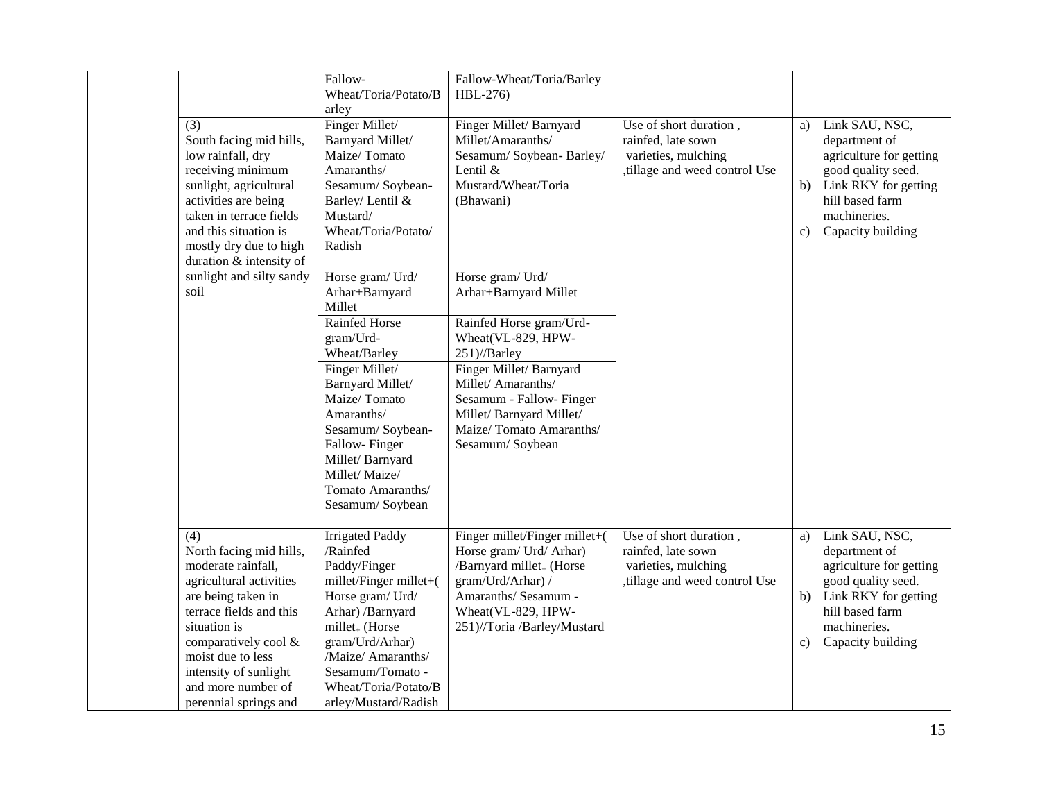|                                                                                                                                                                                                                                                                       | Fallow-<br>Wheat/Toria/Potato/B<br>arley                                                                                                                                                                                                                 | Fallow-Wheat/Toria/Barley<br>HBL-276)                                                                                                                                                                             |                                                                                                     |                |                                                                                                                                                                  |
|-----------------------------------------------------------------------------------------------------------------------------------------------------------------------------------------------------------------------------------------------------------------------|----------------------------------------------------------------------------------------------------------------------------------------------------------------------------------------------------------------------------------------------------------|-------------------------------------------------------------------------------------------------------------------------------------------------------------------------------------------------------------------|-----------------------------------------------------------------------------------------------------|----------------|------------------------------------------------------------------------------------------------------------------------------------------------------------------|
| (3)<br>South facing mid hills,<br>low rainfall, dry<br>receiving minimum<br>sunlight, agricultural<br>activities are being<br>taken in terrace fields<br>and this situation is<br>mostly dry due to high<br>duration & intensity of                                   | Finger Millet/<br>Barnyard Millet/<br>Maize/Tomato<br>Amaranths/<br>Sesamum/Soybean-<br>Barley/ Lentil &<br>Mustard/<br>Wheat/Toria/Potato/<br>Radish                                                                                                    | Finger Millet/Barnyard<br>Millet/Amaranths/<br>Sesamum/Soybean-Barley/<br>Lentil &<br>Mustard/Wheat/Toria<br>(Bhawani)                                                                                            | Use of short duration,<br>rainfed, late sown<br>varieties, mulching<br>tillage and weed control Use | a)<br>b)<br>c) | Link SAU, NSC,<br>department of<br>agriculture for getting<br>good quality seed.<br>Link RKY for getting<br>hill based farm<br>machineries.<br>Capacity building |
| sunlight and silty sandy<br>soil                                                                                                                                                                                                                                      | Horse gram/ Urd/<br>Arhar+Barnyard<br>Millet                                                                                                                                                                                                             | Horse gram/ Urd/<br>Arhar+Barnyard Millet                                                                                                                                                                         |                                                                                                     |                |                                                                                                                                                                  |
|                                                                                                                                                                                                                                                                       | Rainfed Horse<br>gram/Urd-<br>Wheat/Barley<br>Finger Millet/<br>Barnyard Millet/<br>Maize/Tomato<br>Amaranths/<br>Sesamum/Soybean-<br>Fallow-Finger<br>Millet/Barnyard<br>Millet/Maize/<br>Tomato Amaranths/<br>Sesamum/Soybean                          | Rainfed Horse gram/Urd-<br>Wheat(VL-829, HPW-<br>251)//Barley<br>Finger Millet/Barnyard<br>Millet/Amaranths/<br>Sesamum - Fallow- Finger<br>Millet/Barnyard Millet/<br>Maize/Tomato Amaranths/<br>Sesamum/Soybean |                                                                                                     |                |                                                                                                                                                                  |
| (4)<br>North facing mid hills,<br>moderate rainfall,<br>agricultural activities<br>are being taken in<br>terrace fields and this<br>situation is<br>comparatively cool &<br>moist due to less<br>intensity of sunlight<br>and more number of<br>perennial springs and | <b>Irrigated Paddy</b><br>/Rainfed<br>Paddy/Finger<br>millet/Finger millet+(<br>Horse gram/ Urd/<br>Arhar) /Barnyard<br>$millet_{+}$ (Horse<br>gram/Urd/Arhar)<br>/Maize/ Amaranths/<br>Sesamum/Tomato -<br>Wheat/Toria/Potato/B<br>arley/Mustard/Radish | Finger millet/Finger millet+(<br>Horse gram/ Urd/ Arhar)<br>/Barnyard millet <sub>+</sub> (Horse<br>gram/Urd/Arhar) /<br>Amaranths/ Sesamum -<br>Wheat(VL-829, HPW-<br>251)//Toria /Barley/Mustard                | Use of short duration,<br>rainfed, late sown<br>varieties, mulching<br>tillage and weed control Use | a)<br>b)<br>c) | Link SAU, NSC,<br>department of<br>agriculture for getting<br>good quality seed.<br>Link RKY for getting<br>hill based farm<br>machineries.<br>Capacity building |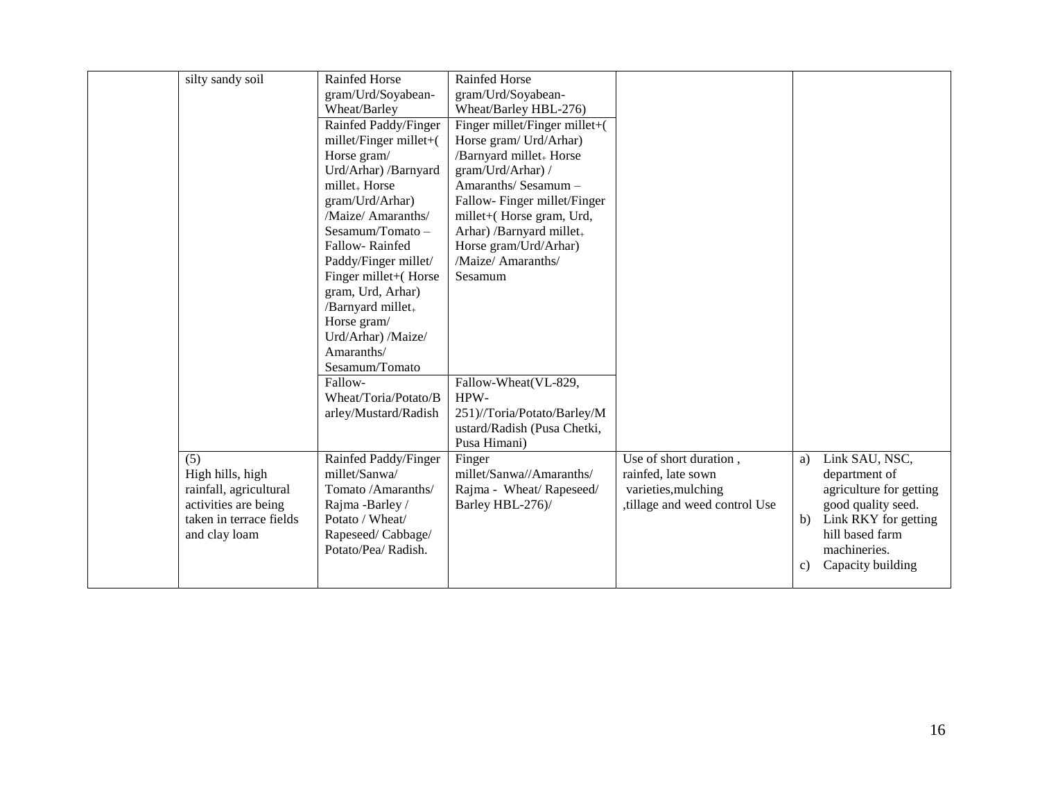| silty sandy soil        | Rainfed Horse               | Rainfed Horse                       |                              |    |                         |
|-------------------------|-----------------------------|-------------------------------------|------------------------------|----|-------------------------|
|                         | gram/Urd/Soyabean-          | gram/Urd/Soyabean-                  |                              |    |                         |
|                         | Wheat/Barley                | Wheat/Barley HBL-276)               |                              |    |                         |
|                         | Rainfed Paddy/Finger        | Finger millet/Finger millet+(       |                              |    |                         |
|                         | $millet/Finger$ millet+ $($ | Horse gram/ Urd/Arhar)              |                              |    |                         |
|                         | Horse gram/                 | /Barnyard millet <sub>+</sub> Horse |                              |    |                         |
|                         | Urd/Arhar) /Barnyard        | gram/Urd/Arhar) /                   |                              |    |                         |
|                         | millet <sub>+</sub> Horse   | Amaranths/Sesamum-                  |                              |    |                         |
|                         | gram/Urd/Arhar)             | Fallow-Finger millet/Finger         |                              |    |                         |
|                         | /Maize/ Amaranths/          | millet+(Horse gram, Urd,            |                              |    |                         |
|                         | $Sesamum/Tomato -$          | Arhar) /Barnyard millet.            |                              |    |                         |
|                         | Fallow-Rainfed              | Horse gram/Urd/Arhar)               |                              |    |                         |
|                         | Paddy/Finger millet/        | /Maize/ Amaranths/                  |                              |    |                         |
|                         | Finger millet+(Horse        | Sesamum                             |                              |    |                         |
|                         | gram, Urd, Arhar)           |                                     |                              |    |                         |
|                         | /Barnyard millet.           |                                     |                              |    |                         |
|                         | Horse gram/                 |                                     |                              |    |                         |
|                         | Urd/Arhar) /Maize/          |                                     |                              |    |                         |
|                         | Amaranths/                  |                                     |                              |    |                         |
|                         | Sesamum/Tomato              |                                     |                              |    |                         |
|                         | Fallow-                     | Fallow-Wheat(VL-829,                |                              |    |                         |
|                         | Wheat/Toria/Potato/B        | HPW-                                |                              |    |                         |
|                         | arley/Mustard/Radish        | 251)//Toria/Potato/Barley/M         |                              |    |                         |
|                         |                             | ustard/Radish (Pusa Chetki,         |                              |    |                         |
|                         |                             | Pusa Himani)                        |                              |    |                         |
| (5)                     | Rainfed Paddy/Finger        | Finger                              | Use of short duration,       | a) | Link SAU, NSC,          |
| High hills, high        | millet/Sanwa/               | millet/Sanwa//Amaranths/            | rainfed, late sown           |    | department of           |
| rainfall, agricultural  | Tomato /Amaranths/          | Rajma - Wheat/Rapeseed/             | varieties, mulching          |    | agriculture for getting |
| activities are being    | Rajma -Barley /             | Barley HBL-276)/                    | tillage and weed control Use |    | good quality seed.      |
| taken in terrace fields | Potato / Wheat/             |                                     |                              | b) | Link RKY for getting    |
| and clay loam           | Rapeseed/Cabbage/           |                                     |                              |    | hill based farm         |
|                         | Potato/Pea/ Radish.         |                                     |                              |    | machineries.            |
|                         |                             |                                     |                              | c) | Capacity building       |
|                         |                             |                                     |                              |    |                         |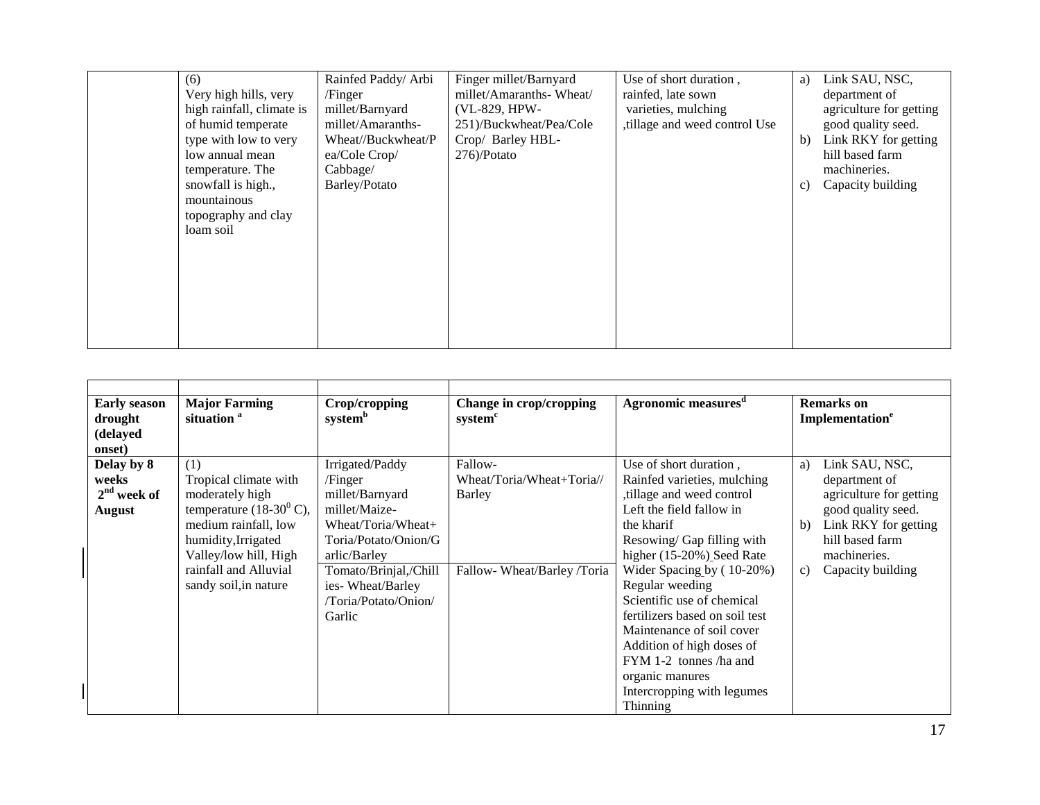| (6)                       | Rainfed Paddy/ Arbi | Finger millet/Barnyard  | Use of short duration,       | a) | Link SAU, NSC,          |
|---------------------------|---------------------|-------------------------|------------------------------|----|-------------------------|
| Very high hills, very     | /Finger             | millet/Amaranths-Wheat/ | rainfed, late sown           |    | department of           |
| high rainfall, climate is | millet/Barnyard     | (VL-829, HPW-           | varieties, mulching          |    | agriculture for getting |
| of humid temperate        | millet/Amaranths-   | 251)/Buckwheat/Pea/Cole | tillage and weed control Use |    | good quality seed.      |
| type with low to very     | Wheat//Buckwheat/P  | Crop/ Barley HBL-       |                              | b) | Link RKY for getting    |
| low annual mean           | ea/Cole Crop/       | $276$ )/Potato          |                              |    | hill based farm         |
| temperature. The          | Cabbage/            |                         |                              |    | machineries.            |
| snowfall is high.,        | Barley/Potato       |                         |                              | c) | Capacity building       |
| mountainous               |                     |                         |                              |    |                         |
| topography and clay       |                     |                         |                              |    |                         |
| loam soil                 |                     |                         |                              |    |                         |
|                           |                     |                         |                              |    |                         |
|                           |                     |                         |                              |    |                         |
|                           |                     |                         |                              |    |                         |
|                           |                     |                         |                              |    |                         |
|                           |                     |                         |                              |    |                         |
|                           |                     |                         |                              |    |                         |
|                           |                     |                         |                              |    |                         |

| <b>Early season</b><br>drought<br>(delayed<br>onset)  | <b>Major Farming</b><br>situation <sup>a</sup>                                                                                                                                                                   | Crop/cropping<br>system <sup>b</sup>                                                                                                                                                                        | Change in crop/cropping<br>system <sup>c</sup>                              | <b>Agronomic measures</b> <sup>a</sup>                                                                                                                                                                                                                                                                                                                                                                                                                  | <b>Remarks</b> on<br>Implementation <sup>e</sup>                                                                                                                                   |
|-------------------------------------------------------|------------------------------------------------------------------------------------------------------------------------------------------------------------------------------------------------------------------|-------------------------------------------------------------------------------------------------------------------------------------------------------------------------------------------------------------|-----------------------------------------------------------------------------|---------------------------------------------------------------------------------------------------------------------------------------------------------------------------------------------------------------------------------------------------------------------------------------------------------------------------------------------------------------------------------------------------------------------------------------------------------|------------------------------------------------------------------------------------------------------------------------------------------------------------------------------------|
| Delay by 8<br>weeks<br>$2nd$ week of<br><b>August</b> | (1)<br>Tropical climate with<br>moderately high<br>temperature $(18-30^0 \text{ C})$ ,<br>medium rainfall, low<br>humidity, Irrigated<br>Valley/low hill, High<br>rainfall and Alluvial<br>sandy soil, in nature | Irrigated/Paddy<br>/Finger<br>millet/Barnyard<br>millet/Maize-<br>Wheat/Toria/Wheat+<br>Toria/Potato/Onion/G<br>arlic/Barley<br>Tomato/Brinjal,/Chill<br>ies-Wheat/Barley<br>/Toria/Potato/Onion/<br>Garlic | Fallow-<br>Wheat/Toria/Wheat+Toria//<br>Barley<br>Fallow-Wheat/Barley/Toria | Use of short duration,<br>Rainfed varieties, mulching<br>tillage and weed control<br>Left the field fallow in<br>the kharif<br>Resowing/ Gap filling with<br>higher (15-20%) Seed Rate<br>Wider Spacing by (10-20%)<br>Regular weeding<br>Scientific use of chemical<br>fertilizers based on soil test<br>Maintenance of soil cover<br>Addition of high doses of<br>FYM 1-2 tonnes /ha and<br>organic manures<br>Intercropping with legumes<br>Thinning | Link SAU, NSC,<br>a)<br>department of<br>agriculture for getting<br>good quality seed.<br>Link RKY for getting<br>b)<br>hill based farm<br>machineries.<br>Capacity building<br>c) |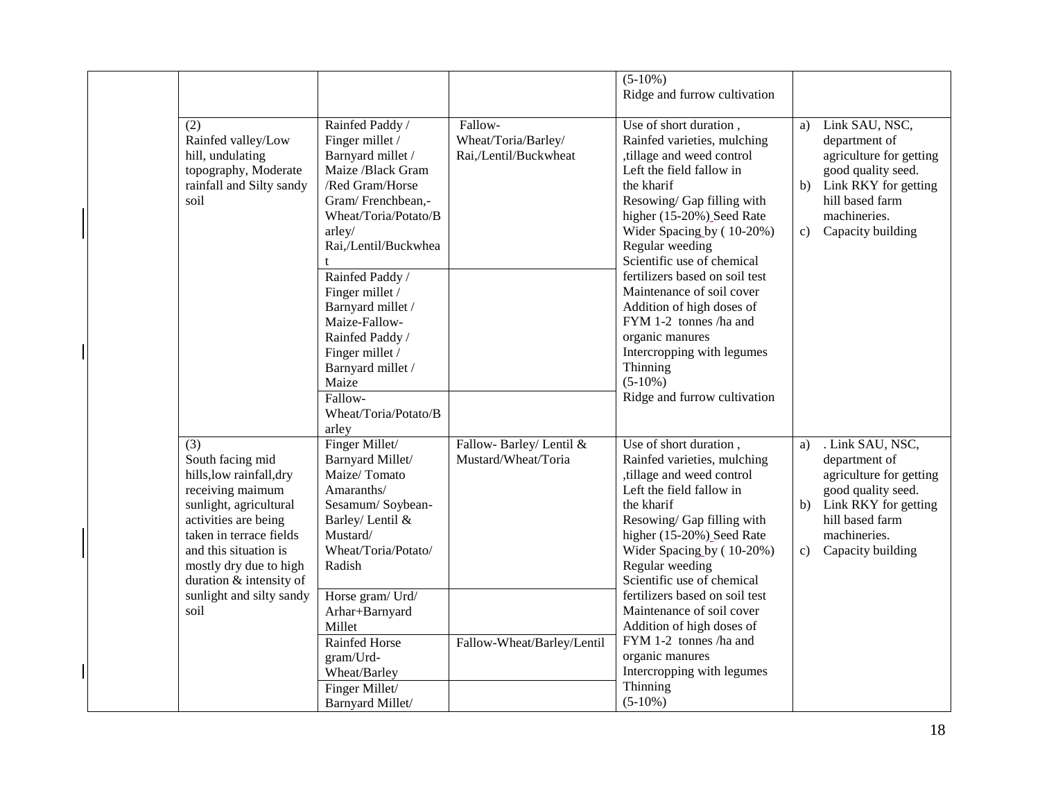|                                                                                                                                                                                                                                                                        |                                                                                                                                                                                                                                                                                                                                                                            |                                                         | $(5-10\%)$<br>Ridge and furrow cultivation                                                                                                                                                                                                                                                                                                                                                                                                                                                             |                                                                                                                                                                                      |
|------------------------------------------------------------------------------------------------------------------------------------------------------------------------------------------------------------------------------------------------------------------------|----------------------------------------------------------------------------------------------------------------------------------------------------------------------------------------------------------------------------------------------------------------------------------------------------------------------------------------------------------------------------|---------------------------------------------------------|--------------------------------------------------------------------------------------------------------------------------------------------------------------------------------------------------------------------------------------------------------------------------------------------------------------------------------------------------------------------------------------------------------------------------------------------------------------------------------------------------------|--------------------------------------------------------------------------------------------------------------------------------------------------------------------------------------|
| (2)<br>Rainfed valley/Low<br>hill, undulating<br>topography, Moderate<br>rainfall and Silty sandy<br>soil                                                                                                                                                              | Rainfed Paddy /<br>Finger millet /<br>Barnyard millet /<br>Maize /Black Gram<br>/Red Gram/Horse<br>Gram/Frenchbean,-<br>Wheat/Toria/Potato/B<br>arley/<br>Rai,/Lentil/Buckwhea<br>Rainfed Paddy /<br>Finger millet /<br>Barnyard millet /<br>Maize-Fallow-<br>Rainfed Paddy /<br>Finger millet /<br>Barnyard millet /<br>Maize<br>Fallow-<br>Wheat/Toria/Potato/B<br>arley | Fallow-<br>Wheat/Toria/Barley/<br>Rai,/Lentil/Buckwheat | Use of short duration,<br>Rainfed varieties, mulching<br>, tillage and weed control<br>Left the field fallow in<br>the kharif<br>Resowing/Gap filling with<br>higher (15-20%) Seed Rate<br>Wider Spacing by (10-20%)<br>Regular weeding<br>Scientific use of chemical<br>fertilizers based on soil test<br>Maintenance of soil cover<br>Addition of high doses of<br>FYM 1-2 tonnes /ha and<br>organic manures<br>Intercropping with legumes<br>Thinning<br>$(5-10\%)$<br>Ridge and furrow cultivation | Link SAU, NSC,<br>a)<br>department of<br>agriculture for getting<br>good quality seed.<br>Link RKY for getting<br>b)<br>hill based farm<br>machineries.<br>Capacity building<br>C)   |
| (3)<br>South facing mid<br>hills, low rainfall, dry<br>receiving maimum<br>sunlight, agricultural<br>activities are being<br>taken in terrace fields<br>and this situation is<br>mostly dry due to high<br>duration & intensity of<br>sunlight and silty sandy<br>soil | Finger Millet/<br>Barnyard Millet/<br>Maize/Tomato<br>Amaranths/<br>Sesamum/Soybean-<br>Barley/ Lentil &<br>Mustard/<br>Wheat/Toria/Potato/<br>Radish<br>Horse gram/ Urd/<br>Arhar+Barnyard<br>Millet                                                                                                                                                                      | Fallow-Barley/Lentil &<br>Mustard/Wheat/Toria           | Use of short duration,<br>Rainfed varieties, mulching<br>,tillage and weed control<br>Left the field fallow in<br>the kharif<br>Resowing/ Gap filling with<br>higher (15-20%) Seed Rate<br>Wider Spacing by (10-20%)<br>Regular weeding<br>Scientific use of chemical<br>fertilizers based on soil test<br>Maintenance of soil cover<br>Addition of high doses of                                                                                                                                      | . Link SAU, NSC,<br>a)<br>department of<br>agriculture for getting<br>good quality seed.<br>Link RKY for getting<br>b)<br>hill based farm<br>machineries.<br>Capacity building<br>c) |
|                                                                                                                                                                                                                                                                        | <b>Rainfed Horse</b><br>gram/Urd-<br>Wheat/Barley<br>Finger Millet/<br>Barnyard Millet/                                                                                                                                                                                                                                                                                    | Fallow-Wheat/Barley/Lentil                              | FYM 1-2 tonnes /ha and<br>organic manures<br>Intercropping with legumes<br>Thinning<br>$(5-10\%)$                                                                                                                                                                                                                                                                                                                                                                                                      |                                                                                                                                                                                      |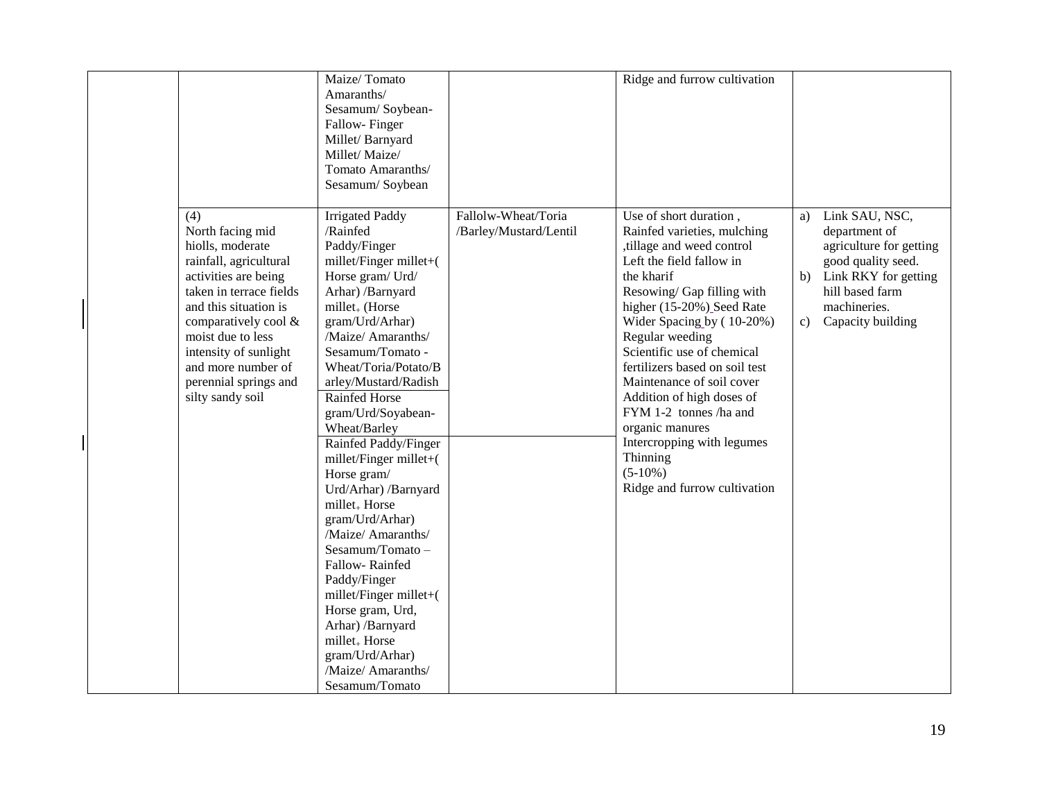|                                                                                                                                                                                                                                                                                            | Maize/Tomato<br>Amaranths/<br>Sesamum/Soybean-<br>Fallow-Finger<br>Millet/Barnyard<br>Millet/Maize/<br>Tomato Amaranths/<br>Sesamum/Soybean                                                                                                                                                                                                                                                                                                                                                                                                                                                                                                                                                                 |                                               | Ridge and furrow cultivation                                                                                                                                                                                                                                                                                                                                                                                                                                                                         |                                                                                                                                                                                    |
|--------------------------------------------------------------------------------------------------------------------------------------------------------------------------------------------------------------------------------------------------------------------------------------------|-------------------------------------------------------------------------------------------------------------------------------------------------------------------------------------------------------------------------------------------------------------------------------------------------------------------------------------------------------------------------------------------------------------------------------------------------------------------------------------------------------------------------------------------------------------------------------------------------------------------------------------------------------------------------------------------------------------|-----------------------------------------------|------------------------------------------------------------------------------------------------------------------------------------------------------------------------------------------------------------------------------------------------------------------------------------------------------------------------------------------------------------------------------------------------------------------------------------------------------------------------------------------------------|------------------------------------------------------------------------------------------------------------------------------------------------------------------------------------|
| (4)<br>North facing mid<br>hiolls, moderate<br>rainfall, agricultural<br>activities are being<br>taken in terrace fields<br>and this situation is<br>comparatively cool &<br>moist due to less<br>intensity of sunlight<br>and more number of<br>perennial springs and<br>silty sandy soil | <b>Irrigated Paddy</b><br>/Rainfed<br>Paddy/Finger<br>millet/Finger millet+(<br>Horse gram/ Urd/<br>Arhar) /Barnyard<br>millet <sub>+</sub> (Horse<br>gram/Urd/Arhar)<br>/Maize/ Amaranths/<br>Sesamum/Tomato -<br>Wheat/Toria/Potato/B<br>arley/Mustard/Radish<br><b>Rainfed Horse</b><br>gram/Urd/Soyabean-<br>Wheat/Barley<br>Rainfed Paddy/Finger<br>millet/Finger millet+(<br>Horse gram/<br>Urd/Arhar) /Barnyard<br>millet <sub>+</sub> Horse<br>gram/Urd/Arhar)<br>/Maize/ Amaranths/<br>Sesamum/Tomato-<br>Fallow-Rainfed<br>Paddy/Finger<br>millet/Finger millet+(<br>Horse gram, Urd,<br>Arhar) /Barnyard<br>millet <sub>+</sub> Horse<br>gram/Urd/Arhar)<br>/Maize/ Amaranths/<br>Sesamum/Tomato | Fallolw-Wheat/Toria<br>/Barley/Mustard/Lentil | Use of short duration,<br>Rainfed varieties, mulching<br>tillage and weed control<br>Left the field fallow in<br>the kharif<br>Resowing/Gap filling with<br>higher (15-20%) Seed Rate<br>Wider Spacing by (10-20%)<br>Regular weeding<br>Scientific use of chemical<br>fertilizers based on soil test<br>Maintenance of soil cover<br>Addition of high doses of<br>FYM 1-2 tonnes /ha and<br>organic manures<br>Intercropping with legumes<br>Thinning<br>$(5-10\%)$<br>Ridge and furrow cultivation | Link SAU, NSC,<br>a)<br>department of<br>agriculture for getting<br>good quality seed.<br>Link RKY for getting<br>b)<br>hill based farm<br>machineries.<br>Capacity building<br>c) |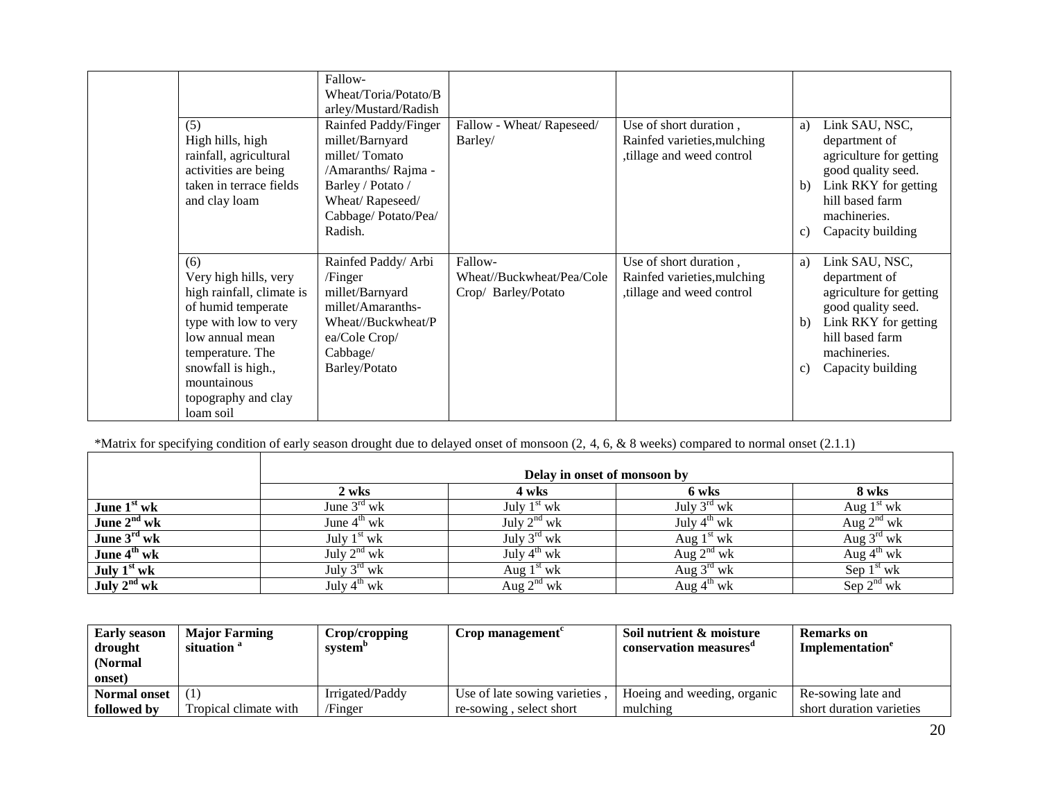|                                                                                                                                                                                                                          | Fallow-<br>Wheat/Toria/Potato/B<br>arley/Mustard/Radish                                                                                                  |                                                             |                                                                                   |                |                                                                                                                                                                  |
|--------------------------------------------------------------------------------------------------------------------------------------------------------------------------------------------------------------------------|----------------------------------------------------------------------------------------------------------------------------------------------------------|-------------------------------------------------------------|-----------------------------------------------------------------------------------|----------------|------------------------------------------------------------------------------------------------------------------------------------------------------------------|
| (5)<br>High hills, high<br>rainfall, agricultural<br>activities are being<br>taken in terrace fields<br>and clay loam                                                                                                    | Rainfed Paddy/Finger<br>millet/Barnyard<br>millet/Tomato<br>/Amaranths/Rajma -<br>Barley / Potato /<br>Wheat/Rapeseed/<br>Cabbage/Potato/Pea/<br>Radish. | Fallow - Wheat/Rapeseed/<br>Barley/                         | Use of short duration,<br>Rainfed varieties, mulching<br>tillage and weed control | a)<br>b)<br>c) | Link SAU, NSC,<br>department of<br>agriculture for getting<br>good quality seed.<br>Link RKY for getting<br>hill based farm<br>machineries.<br>Capacity building |
| (6)<br>Very high hills, very<br>high rainfall, climate is<br>of humid temperate<br>type with low to very<br>low annual mean<br>temperature. The<br>snowfall is high.,<br>mountainous<br>topography and clay<br>loam soil | Rainfed Paddy/ Arbi<br>/Finger<br>millet/Barnyard<br>millet/Amaranths-<br>Wheat//Buckwheat/P<br>ea/Cole Crop/<br>Cabbage/<br>Barley/Potato               | Fallow-<br>Wheat//Buckwheat/Pea/Cole<br>Crop/ Barley/Potato | Use of short duration,<br>Rainfed varieties, mulching<br>tillage and weed control | a)<br>b)<br>c) | Link SAU, NSC,<br>department of<br>agriculture for getting<br>good quality seed.<br>Link RKY for getting<br>hill based farm<br>machineries.<br>Capacity building |

\*Matrix for specifying condition of early season drought due to delayed onset of monsoon (2, 4, 6, & 8 weeks) compared to normal onset (2.1.1)

 $\Gamma$ 

|                         | Delay in onset of monsoon by |                         |                         |                        |  |  |  |
|-------------------------|------------------------------|-------------------------|-------------------------|------------------------|--|--|--|
|                         | 2 wks                        | 4 wks                   | 6 wks                   | 8 wks                  |  |  |  |
| June $1st$ wk           | June $3^{\text{rd}}$ wk      | July $1st$ wk           | July $3^{\text{rd}}$ wk | Aug $1st$ wk           |  |  |  |
| June $2nd$ wk           | June $4^{\text{th}}$ wk      | July $2^{nd}$ wk        | July $4^{\text{th}}$ wk | Aug $2^{nd}$ wk        |  |  |  |
| June 3rd wk             | July $1st$ wk                | July $3^{\text{rd}}$ wk | Aug $1st$ wk            | Aug $3^{\text{rd}}$ wk |  |  |  |
| June 4 <sup>th</sup> wk | July $2^{nd}$ wk             | July $4^{\text{th}}$ wk | Aug $2^{nd}$ wk         | Aug $4^{\text{th}}$ wk |  |  |  |
| July $1st$ wk           | July $3^{\text{rd}}$ wk      | Aug $1st$ wk            | Aug $3^{\text{rd}}$ wk  | Sep $1st$ wk           |  |  |  |
| July $2nd$ wk           | July $4^{th}$ wk             | Aug $2^{nd}$ wk         | Aug $4^{\text{th}}$ wk  | Sep $2^{nd}$ wk        |  |  |  |

| <b>Early season</b><br>drought<br>(Normal | <b>Major Farming</b><br>situation <sup>a</sup> | Crop/cropping<br>system" | $\mathbf{Crop}$ management    | Soil nutrient & moisture<br>conservation measures | <b>Remarks</b> on<br>Implementation <sup>e</sup> |
|-------------------------------------------|------------------------------------------------|--------------------------|-------------------------------|---------------------------------------------------|--------------------------------------------------|
| onset)                                    |                                                |                          |                               |                                                   |                                                  |
| <b>Normal onset</b>                       |                                                | Irrigated/Paddy          | Use of late sowing varieties. | Hoeing and weeding, organic                       | Re-sowing late and                               |
| followed by                               | Tropical climate with                          | /Finger                  | re-sowing, select short       | mulching                                          | short duration varieties                         |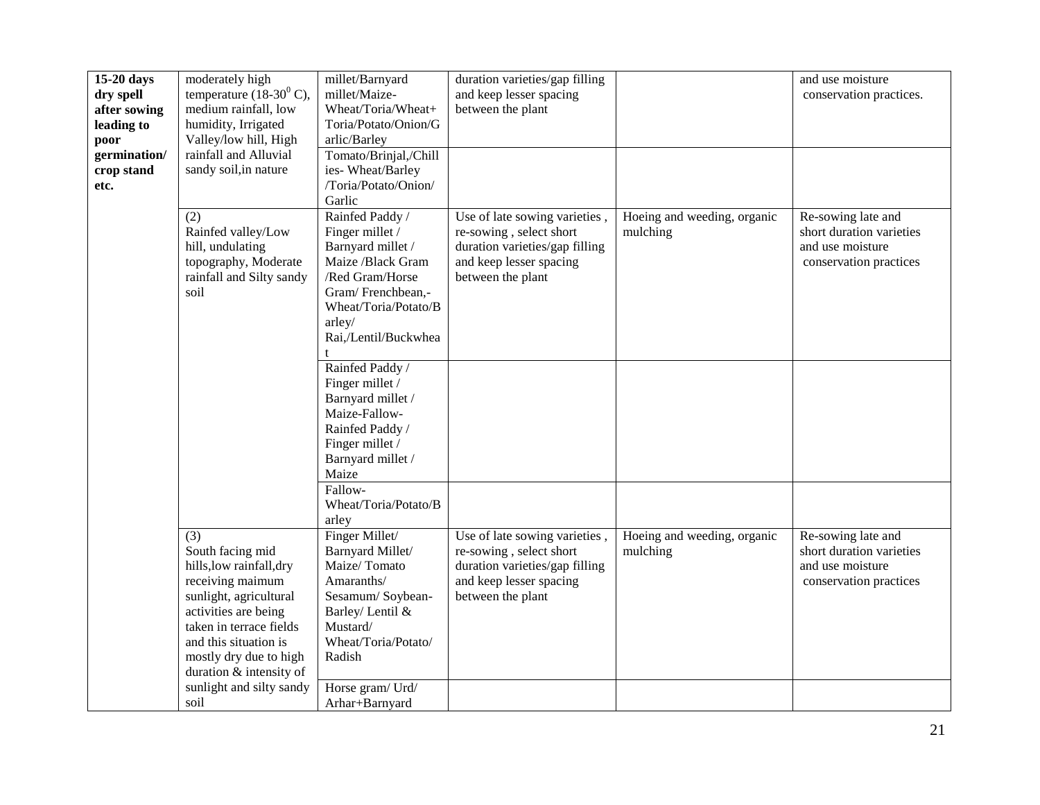| $15-20$ days | moderately high                     | millet/Barnyard       | duration varieties/gap filling |                             | and use moisture         |
|--------------|-------------------------------------|-----------------------|--------------------------------|-----------------------------|--------------------------|
| dry spell    | temperature $(18-30^0 \text{ C})$ , | millet/Maize-         | and keep lesser spacing        |                             | conservation practices.  |
| after sowing | medium rainfall, low                | Wheat/Toria/Wheat+    | between the plant              |                             |                          |
| leading to   | humidity, Irrigated                 | Toria/Potato/Onion/G  |                                |                             |                          |
| poor         | Valley/low hill, High               | arlic/Barley          |                                |                             |                          |
| germination/ | rainfall and Alluvial               | Tomato/Brinjal,/Chill |                                |                             |                          |
| crop stand   | sandy soil, in nature               | ies-Wheat/Barley      |                                |                             |                          |
| etc.         |                                     | /Toria/Potato/Onion/  |                                |                             |                          |
|              |                                     | Garlic                |                                |                             |                          |
|              | (2)                                 | Rainfed Paddy /       | Use of late sowing varieties,  | Hoeing and weeding, organic | Re-sowing late and       |
|              | Rainfed valley/Low                  | Finger millet /       | re-sowing, select short        | mulching                    | short duration varieties |
|              | hill, undulating                    | Barnyard millet /     | duration varieties/gap filling |                             | and use moisture         |
|              | topography, Moderate                | Maize /Black Gram     | and keep lesser spacing        |                             | conservation practices   |
|              | rainfall and Silty sandy            | /Red Gram/Horse       | between the plant              |                             |                          |
|              | soil                                | Gram/Frenchbean,-     |                                |                             |                          |
|              |                                     | Wheat/Toria/Potato/B  |                                |                             |                          |
|              |                                     | arley/                |                                |                             |                          |
|              |                                     | Rai,/Lentil/Buckwhea  |                                |                             |                          |
|              |                                     |                       |                                |                             |                          |
|              |                                     | Rainfed Paddy /       |                                |                             |                          |
|              |                                     | Finger millet /       |                                |                             |                          |
|              |                                     | Barnyard millet /     |                                |                             |                          |
|              |                                     | Maize-Fallow-         |                                |                             |                          |
|              |                                     | Rainfed Paddy /       |                                |                             |                          |
|              |                                     | Finger millet /       |                                |                             |                          |
|              |                                     | Barnyard millet /     |                                |                             |                          |
|              |                                     | Maize                 |                                |                             |                          |
|              |                                     | Fallow-               |                                |                             |                          |
|              |                                     | Wheat/Toria/Potato/B  |                                |                             |                          |
|              |                                     | arley                 |                                |                             |                          |
|              | (3)                                 | Finger Millet/        | Use of late sowing varieties,  | Hoeing and weeding, organic | Re-sowing late and       |
|              | South facing mid                    | Barnyard Millet/      | re-sowing, select short        | mulching                    | short duration varieties |
|              | hills, low rainfall, dry            | Maize/Tomato          | duration varieties/gap filling |                             | and use moisture         |
|              | receiving maimum                    | Amaranths/            | and keep lesser spacing        |                             | conservation practices   |
|              | sunlight, agricultural              | Sesamum/Soybean-      | between the plant              |                             |                          |
|              | activities are being                | Barley/ Lentil &      |                                |                             |                          |
|              | taken in terrace fields             | Mustard/              |                                |                             |                          |
|              | and this situation is               | Wheat/Toria/Potato/   |                                |                             |                          |
|              | mostly dry due to high              | Radish                |                                |                             |                          |
|              | duration & intensity of             |                       |                                |                             |                          |
|              | sunlight and silty sandy            | Horse gram/ Urd/      |                                |                             |                          |
|              | soil                                | Arhar+Barnyard        |                                |                             |                          |
|              |                                     |                       |                                |                             |                          |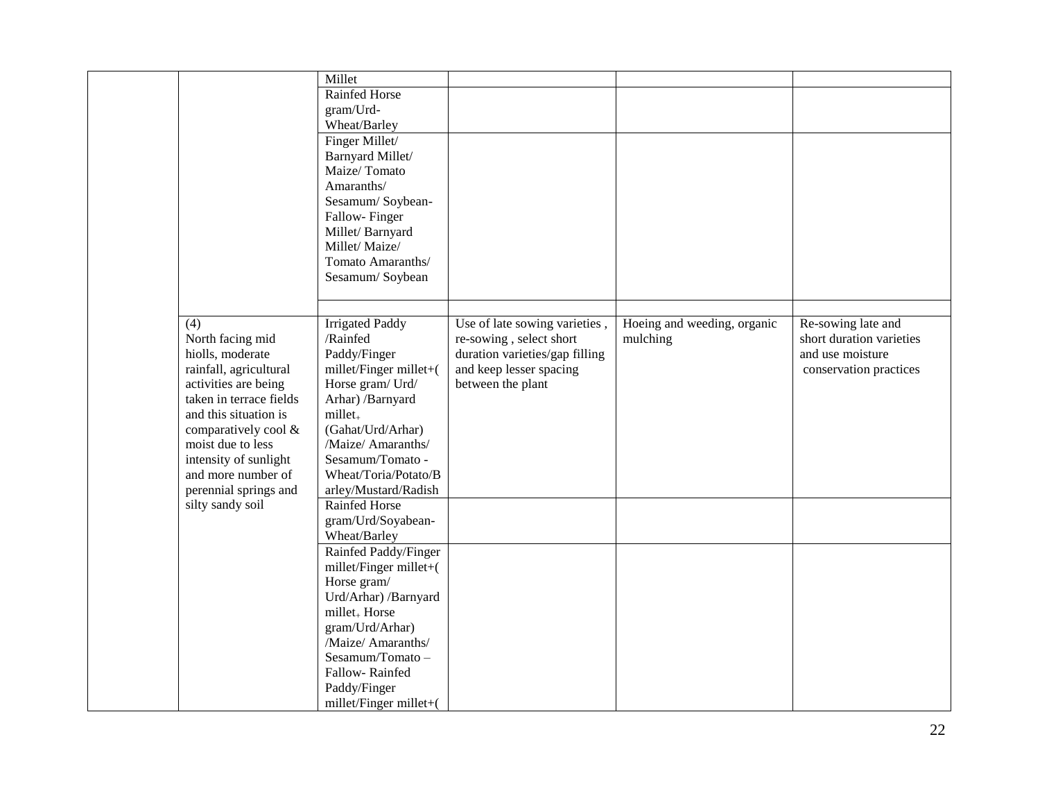|                         | Millet                    |                                |                             |                          |
|-------------------------|---------------------------|--------------------------------|-----------------------------|--------------------------|
|                         | Rainfed Horse             |                                |                             |                          |
|                         | gram/Urd-                 |                                |                             |                          |
|                         | Wheat/Barley              |                                |                             |                          |
|                         | Finger Millet/            |                                |                             |                          |
|                         | Barnyard Millet/          |                                |                             |                          |
|                         | Maize/Tomato              |                                |                             |                          |
|                         | Amaranths/                |                                |                             |                          |
|                         | Sesamum/Soybean-          |                                |                             |                          |
|                         | Fallow-Finger             |                                |                             |                          |
|                         | Millet/Barnyard           |                                |                             |                          |
|                         | Millet/Maize/             |                                |                             |                          |
|                         | Tomato Amaranths/         |                                |                             |                          |
|                         | Sesamum/Soybean           |                                |                             |                          |
|                         |                           |                                |                             |                          |
|                         |                           |                                |                             |                          |
| $\overline{(4)}$        | <b>Irrigated Paddy</b>    | Use of late sowing varieties,  | Hoeing and weeding, organic | Re-sowing late and       |
| North facing mid        | /Rainfed                  | re-sowing, select short        | mulching                    | short duration varieties |
| hiolls, moderate        | Paddy/Finger              | duration varieties/gap filling |                             | and use moisture         |
| rainfall, agricultural  | millet/Finger millet+(    | and keep lesser spacing        |                             | conservation practices   |
| activities are being    | Horse gram/ Urd/          | between the plant              |                             |                          |
| taken in terrace fields | Arhar) /Barnyard          |                                |                             |                          |
| and this situation is   | $millet_{+}$              |                                |                             |                          |
| comparatively cool &    | (Gahat/Urd/Arhar)         |                                |                             |                          |
| moist due to less       | /Maize/ Amaranths/        |                                |                             |                          |
| intensity of sunlight   | Sesamum/Tomato -          |                                |                             |                          |
| and more number of      | Wheat/Toria/Potato/B      |                                |                             |                          |
| perennial springs and   | arley/Mustard/Radish      |                                |                             |                          |
| silty sandy soil        | Rainfed Horse             |                                |                             |                          |
|                         | gram/Urd/Soyabean-        |                                |                             |                          |
|                         | Wheat/Barley              |                                |                             |                          |
|                         | Rainfed Paddy/Finger      |                                |                             |                          |
|                         | millet/Finger millet+(    |                                |                             |                          |
|                         | Horse gram/               |                                |                             |                          |
|                         | Urd/Arhar) /Barnyard      |                                |                             |                          |
|                         | millet <sub>+</sub> Horse |                                |                             |                          |
|                         | gram/Urd/Arhar)           |                                |                             |                          |
|                         | Maize/ Amaranths/         |                                |                             |                          |
|                         | Sesamum/Tomato-           |                                |                             |                          |
|                         | Fallow-Rainfed            |                                |                             |                          |
|                         | Paddy/Finger              |                                |                             |                          |
|                         | millet/Finger millet+(    |                                |                             |                          |
|                         |                           |                                |                             |                          |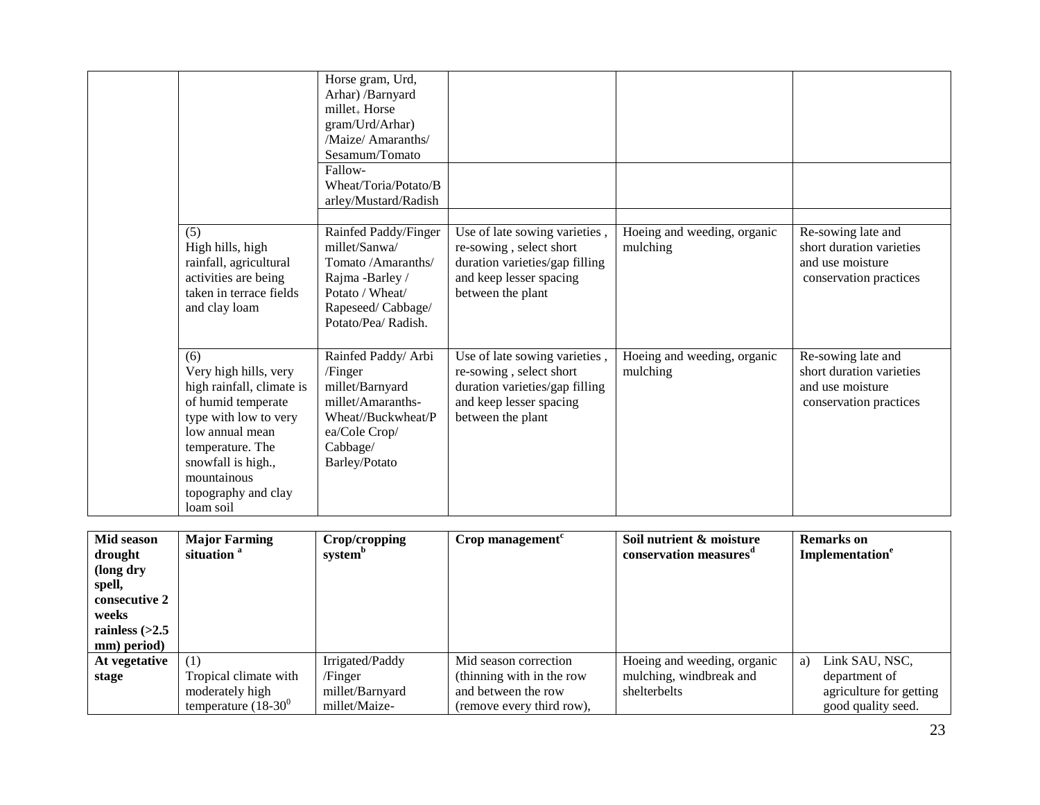|                                                                                                                                                                                                                          | Horse gram, Urd,<br>Arhar) /Barnyard<br>millet <sub>+</sub> Horse<br>gram/Urd/Arhar)<br>Maize/Amaranths/<br>Sesamum/Tomato<br>Fallow-<br>Wheat/Toria/Potato/B<br>arley/Mustard/Radish |                                                                                                                                            |                                         |                                                                                              |
|--------------------------------------------------------------------------------------------------------------------------------------------------------------------------------------------------------------------------|---------------------------------------------------------------------------------------------------------------------------------------------------------------------------------------|--------------------------------------------------------------------------------------------------------------------------------------------|-----------------------------------------|----------------------------------------------------------------------------------------------|
| (5)<br>High hills, high<br>rainfall, agricultural<br>activities are being<br>taken in terrace fields<br>and clay loam                                                                                                    | Rainfed Paddy/Finger<br>millet/Sanwa/<br>Tomato /Amaranths/<br>Rajma -Barley /<br>Potato / Wheat/<br>Rapeseed/Cabbage/<br>Potato/Pea/ Radish.                                         | Use of late sowing varieties,<br>re-sowing, select short<br>duration varieties/gap filling<br>and keep lesser spacing<br>between the plant | Hoeing and weeding, organic<br>mulching | Re-sowing late and<br>short duration varieties<br>and use moisture<br>conservation practices |
| (6)<br>Very high hills, very<br>high rainfall, climate is<br>of humid temperate<br>type with low to very<br>low annual mean<br>temperature. The<br>snowfall is high.,<br>mountainous<br>topography and clay<br>loam soil | Rainfed Paddy/ Arbi<br>/Finger<br>millet/Barnyard<br>millet/Amaranths-<br>Wheat//Buckwheat/P<br>ea/Cole Crop/<br>Cabbage/<br>Barley/Potato                                            | Use of late sowing varieties,<br>re-sowing, select short<br>duration varieties/gap filling<br>and keep lesser spacing<br>between the plant | Hoeing and weeding, organic<br>mulching | Re-sowing late and<br>short duration varieties<br>and use moisture<br>conservation practices |

| Mid season<br>drought<br>(long dry<br>spell,<br>consecutive 2<br>weeks<br>rainless $(>2.5$<br>mm) period) | <b>Major Farming</b><br>situation <sup>a</sup> | Crop/cropping<br>system <sup>o</sup> | Crop management           | Soil nutrient & moisture<br>conservation measures <sup>a</sup> | <b>Remarks</b> on<br>Implementation <sup>e</sup> |
|-----------------------------------------------------------------------------------------------------------|------------------------------------------------|--------------------------------------|---------------------------|----------------------------------------------------------------|--------------------------------------------------|
| At vegetative                                                                                             | (1)                                            | Irrigated/Paddy                      | Mid season correction     | Hoeing and weeding, organic                                    | Link SAU, NSC,<br>a)                             |
| stage                                                                                                     | Tropical climate with                          | /Finger                              | (thinning with in the row | mulching, windbreak and                                        | department of                                    |
|                                                                                                           | moderately high                                | millet/Barnyard                      | and between the row       | shelterbelts                                                   | agriculture for getting                          |
|                                                                                                           | temperature $(18-30^0)$                        | millet/Maize-                        | (remove every third row). |                                                                | good quality seed.                               |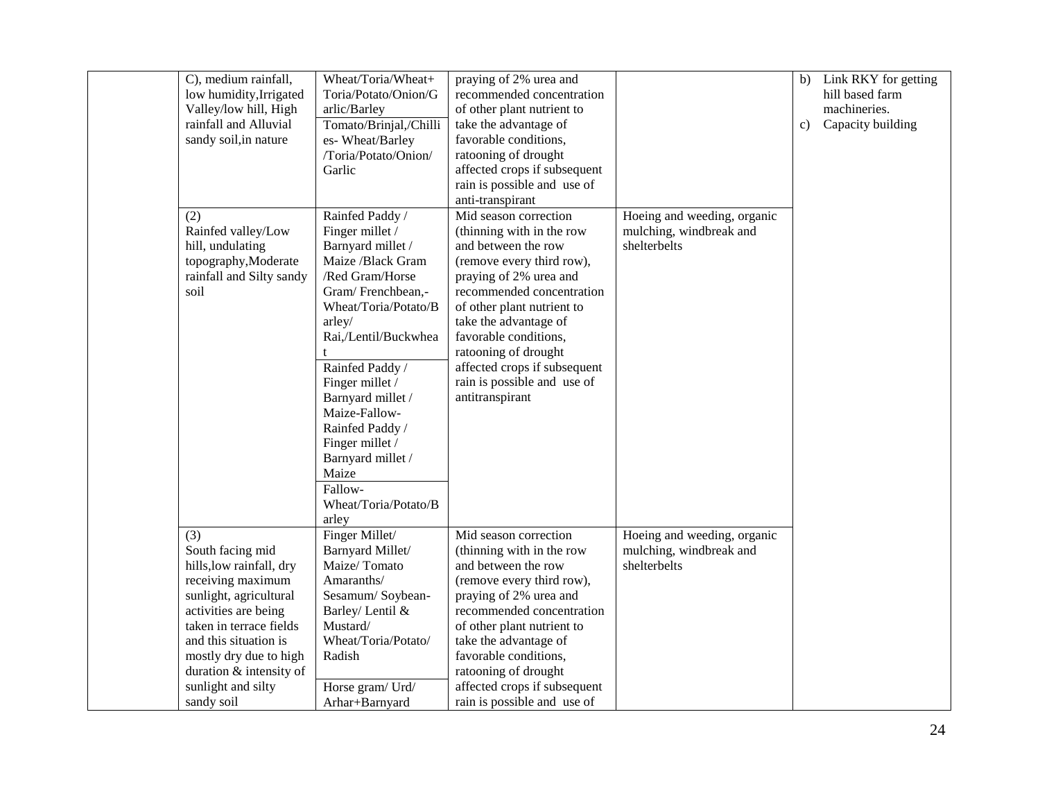| C), medium rainfall,<br>low humidity, Irrigated<br>Valley/low hill, High<br>rainfall and Alluvial<br>sandy soil, in nature<br>(2)<br>Rainfed valley/Low<br>hill, undulating<br>topography, Moderate                                                                     | Wheat/Toria/Wheat+<br>Toria/Potato/Onion/G<br>arlic/Barley<br>Tomato/Brinjal,/Chilli<br>es- Wheat/Barley<br>/Toria/Potato/Onion/<br>Garlic<br>Rainfed Paddy /<br>Finger millet /<br>Barnyard millet /<br>Maize /Black Gram                                                                 | praying of 2% urea and<br>recommended concentration<br>of other plant nutrient to<br>take the advantage of<br>favorable conditions,<br>ratooning of drought<br>affected crops if subsequent<br>rain is possible and use of<br>anti-transpirant<br>Mid season correction<br>(thinning with in the row<br>and between the row<br>(remove every third row), | Hoeing and weeding, organic<br>mulching, windbreak and<br>shelterbelts | b)<br>c) | Link RKY for getting<br>hill based farm<br>machineries.<br>Capacity building |
|-------------------------------------------------------------------------------------------------------------------------------------------------------------------------------------------------------------------------------------------------------------------------|--------------------------------------------------------------------------------------------------------------------------------------------------------------------------------------------------------------------------------------------------------------------------------------------|----------------------------------------------------------------------------------------------------------------------------------------------------------------------------------------------------------------------------------------------------------------------------------------------------------------------------------------------------------|------------------------------------------------------------------------|----------|------------------------------------------------------------------------------|
| rainfall and Silty sandy<br>soil                                                                                                                                                                                                                                        | /Red Gram/Horse<br>Gram/Frenchbean,-<br>Wheat/Toria/Potato/B<br>arley/<br>Rai,/Lentil/Buckwhea<br>Rainfed Paddy /<br>Finger millet /<br>Barnyard millet /<br>Maize-Fallow-<br>Rainfed Paddy /<br>Finger millet /<br>Barnyard millet /<br>Maize<br>Fallow-<br>Wheat/Toria/Potato/B<br>arley | praying of 2% urea and<br>recommended concentration<br>of other plant nutrient to<br>take the advantage of<br>favorable conditions,<br>ratooning of drought<br>affected crops if subsequent<br>rain is possible and use of<br>antitranspirant                                                                                                            |                                                                        |          |                                                                              |
| (3)<br>South facing mid<br>hills, low rainfall, dry<br>receiving maximum<br>sunlight, agricultural<br>activities are being<br>taken in terrace fields<br>and this situation is<br>mostly dry due to high<br>duration & intensity of<br>sunlight and silty<br>sandy soil | Finger Millet/<br>Barnyard Millet/<br>Maize/Tomato<br>Amaranths/<br>Sesamum/Soybean-<br>Barley/ Lentil &<br>Mustard/<br>Wheat/Toria/Potato/<br>Radish<br>Horse gram/ Urd/<br>Arhar+Barnyard                                                                                                | Mid season correction<br>(thinning with in the row<br>and between the row<br>(remove every third row),<br>praying of 2% urea and<br>recommended concentration<br>of other plant nutrient to<br>take the advantage of<br>favorable conditions,<br>ratooning of drought<br>affected crops if subsequent<br>rain is possible and use of                     | Hoeing and weeding, organic<br>mulching, windbreak and<br>shelterbelts |          |                                                                              |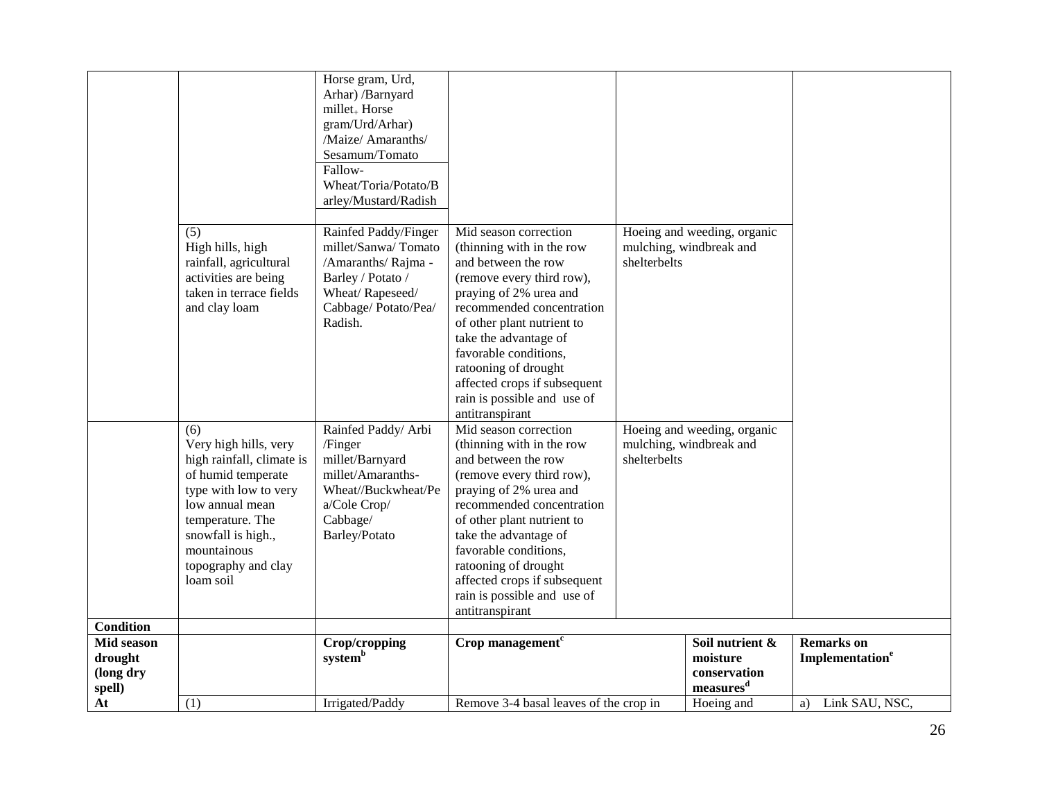|                                              |                                                                                                                                                                                                                          | Horse gram, Urd,<br>Arhar) /Barnyard<br>millet <sub>+</sub> Horse<br>gram/Urd/Arhar)<br>/Maize/ Amaranths/<br>Sesamum/Tomato<br>Fallow-<br>Wheat/Toria/Potato/B<br>arley/Mustard/Radish |                                                                                                                                                                                                                                                                                                                                                         |              |                                                                      |                                                  |
|----------------------------------------------|--------------------------------------------------------------------------------------------------------------------------------------------------------------------------------------------------------------------------|-----------------------------------------------------------------------------------------------------------------------------------------------------------------------------------------|---------------------------------------------------------------------------------------------------------------------------------------------------------------------------------------------------------------------------------------------------------------------------------------------------------------------------------------------------------|--------------|----------------------------------------------------------------------|--------------------------------------------------|
|                                              | (5)<br>High hills, high<br>rainfall, agricultural<br>activities are being<br>taken in terrace fields<br>and clay loam                                                                                                    | Rainfed Paddy/Finger<br>millet/Sanwa/Tomato<br>/Amaranths/ Rajma -<br>Barley / Potato /<br>Wheat/Rapeseed/<br>Cabbage/Potato/Pea/<br>Radish.                                            | Mid season correction<br>(thinning with in the row<br>and between the row<br>(remove every third row),<br>praying of 2% urea and<br>recommended concentration<br>of other plant nutrient to<br>take the advantage of<br>favorable conditions,<br>ratooning of drought<br>affected crops if subsequent<br>rain is possible and use of<br>antitranspirant | shelterbelts | Hoeing and weeding, organic<br>mulching, windbreak and               |                                                  |
|                                              | (6)<br>Very high hills, very<br>high rainfall, climate is<br>of humid temperate<br>type with low to very<br>low annual mean<br>temperature. The<br>snowfall is high.,<br>mountainous<br>topography and clay<br>loam soil | Rainfed Paddy/ Arbi<br>/Finger<br>millet/Barnyard<br>millet/Amaranths-<br>Wheat//Buckwheat/Pe<br>a/Cole Crop/<br>Cabbage/<br>Barley/Potato                                              | Mid season correction<br>(thinning with in the row<br>and between the row<br>(remove every third row),<br>praying of 2% urea and<br>recommended concentration<br>of other plant nutrient to<br>take the advantage of<br>favorable conditions,<br>ratooning of drought<br>affected crops if subsequent<br>rain is possible and use of<br>antitranspirant | shelterbelts | Hoeing and weeding, organic<br>mulching, windbreak and               |                                                  |
| <b>Condition</b>                             |                                                                                                                                                                                                                          |                                                                                                                                                                                         |                                                                                                                                                                                                                                                                                                                                                         |              |                                                                      |                                                  |
| Mid season<br>drought<br>(long dry<br>spell) |                                                                                                                                                                                                                          | Crop/cropping<br>systemb                                                                                                                                                                | Crop management $c$                                                                                                                                                                                                                                                                                                                                     |              | Soil nutrient &<br>moisture<br>conservation<br>measures <sup>d</sup> | <b>Remarks</b> on<br>Implementation <sup>e</sup> |
| At                                           | (1)                                                                                                                                                                                                                      | Irrigated/Paddy                                                                                                                                                                         | Remove 3-4 basal leaves of the crop in                                                                                                                                                                                                                                                                                                                  |              | Hoeing and                                                           | Link SAU, NSC,<br>a)                             |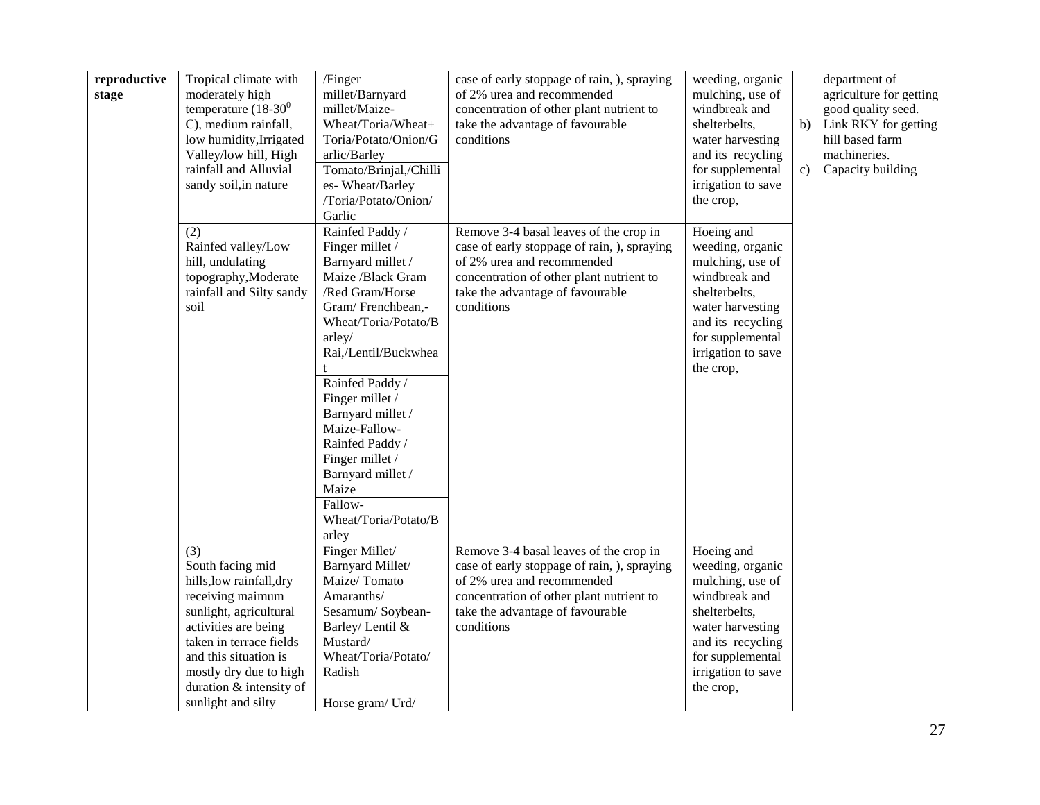| reproductive<br>stage | Tropical climate with<br>moderately high<br>temperature $(18-30^0)$<br>C), medium rainfall,<br>low humidity, Irrigated<br>Valley/low hill, High<br>rainfall and Alluvial<br>sandy soil, in nature                                                        | /Finger<br>millet/Barnyard<br>millet/Maize-<br>Wheat/Toria/Wheat+<br>Toria/Potato/Onion/G<br>arlic/Barley<br>Tomato/Brinjal,/Chilli<br>es- Wheat/Barley<br>/Toria/Potato/Onion/<br>Garlic                                                                                                                                                                                  | case of early stoppage of rain, ), spraying<br>of 2% urea and recommended<br>concentration of other plant nutrient to<br>take the advantage of favourable<br>conditions                                           | weeding, organic<br>mulching, use of<br>windbreak and<br>shelterbelts,<br>water harvesting<br>and its recycling<br>for supplemental<br>irrigation to save<br>the crop,               | department of<br>agriculture for getting<br>good quality seed.<br>Link RKY for getting<br>b)<br>hill based farm<br>machineries.<br>Capacity building<br>c) |
|-----------------------|----------------------------------------------------------------------------------------------------------------------------------------------------------------------------------------------------------------------------------------------------------|----------------------------------------------------------------------------------------------------------------------------------------------------------------------------------------------------------------------------------------------------------------------------------------------------------------------------------------------------------------------------|-------------------------------------------------------------------------------------------------------------------------------------------------------------------------------------------------------------------|--------------------------------------------------------------------------------------------------------------------------------------------------------------------------------------|------------------------------------------------------------------------------------------------------------------------------------------------------------|
|                       | (2)<br>Rainfed valley/Low<br>hill, undulating<br>topography, Moderate<br>rainfall and Silty sandy<br>soil                                                                                                                                                | Rainfed Paddy /<br>Finger millet /<br>Barnyard millet /<br>Maize /Black Gram<br>/Red Gram/Horse<br>Gram/Frenchbean,-<br>Wheat/Toria/Potato/B<br>arley/<br>Rai,/Lentil/Buckwhea<br>Rainfed Paddy /<br>Finger millet /<br>Barnyard millet /<br>Maize-Fallow-<br>Rainfed Paddy /<br>Finger millet /<br>Barnyard millet /<br>Maize<br>Fallow-<br>Wheat/Toria/Potato/B<br>arley | Remove 3-4 basal leaves of the crop in<br>case of early stoppage of rain, ), spraying<br>of 2% urea and recommended<br>concentration of other plant nutrient to<br>take the advantage of favourable<br>conditions | Hoeing and<br>weeding, organic<br>mulching, use of<br>windbreak and<br>shelterbelts,<br>water harvesting<br>and its recycling<br>for supplemental<br>irrigation to save<br>the crop, |                                                                                                                                                            |
|                       | (3)<br>South facing mid<br>hills, low rainfall, dry<br>receiving maimum<br>sunlight, agricultural<br>activities are being<br>taken in terrace fields<br>and this situation is<br>mostly dry due to high<br>duration & intensity of<br>sunlight and silty | Finger Millet/<br>Barnyard Millet/<br>Maize/Tomato<br>Amaranths/<br>Sesamum/Soybean-<br>Barley/ Lentil &<br>Mustard/<br>Wheat/Toria/Potato/<br>Radish<br>Horse gram/ Urd/                                                                                                                                                                                                  | Remove 3-4 basal leaves of the crop in<br>case of early stoppage of rain, ), spraying<br>of 2% urea and recommended<br>concentration of other plant nutrient to<br>take the advantage of favourable<br>conditions | Hoeing and<br>weeding, organic<br>mulching, use of<br>windbreak and<br>shelterbelts,<br>water harvesting<br>and its recycling<br>for supplemental<br>irrigation to save<br>the crop, |                                                                                                                                                            |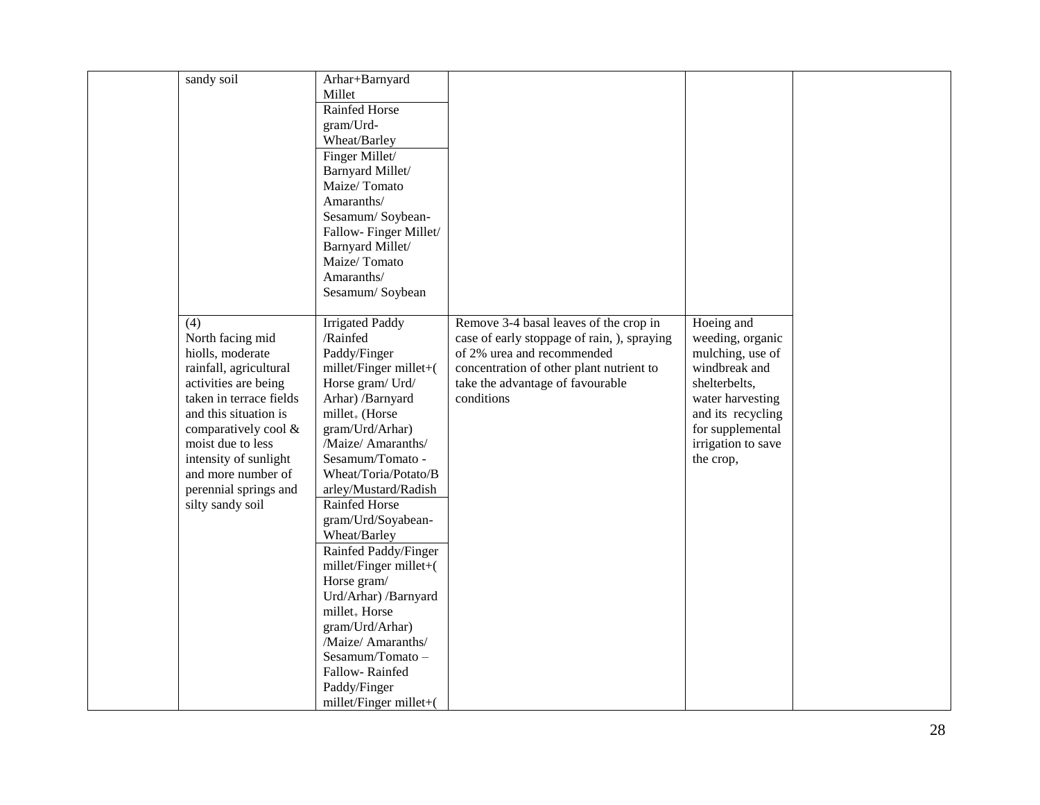| sandy soil              | Arhar+Barnyard             |                                             |                    |  |
|-------------------------|----------------------------|---------------------------------------------|--------------------|--|
|                         | Millet                     |                                             |                    |  |
|                         | Rainfed Horse              |                                             |                    |  |
|                         | gram/Urd-                  |                                             |                    |  |
|                         | Wheat/Barley               |                                             |                    |  |
|                         | Finger Millet/             |                                             |                    |  |
|                         | Barnyard Millet/           |                                             |                    |  |
|                         | Maize/Tomato               |                                             |                    |  |
|                         | Amaranths/                 |                                             |                    |  |
|                         | Sesamum/Soybean-           |                                             |                    |  |
|                         | Fallow-Finger Millet/      |                                             |                    |  |
|                         | Barnyard Millet/           |                                             |                    |  |
|                         | Maize/Tomato               |                                             |                    |  |
|                         | Amaranths/                 |                                             |                    |  |
|                         | Sesamum/Soybean            |                                             |                    |  |
|                         |                            |                                             |                    |  |
| (4)                     | <b>Irrigated Paddy</b>     | Remove 3-4 basal leaves of the crop in      | Hoeing and         |  |
| North facing mid        | /Rainfed                   | case of early stoppage of rain, ), spraying | weeding, organic   |  |
| hiolls, moderate        | Paddy/Finger               | of 2% urea and recommended                  | mulching, use of   |  |
| rainfall, agricultural  | millet/Finger millet+(     | concentration of other plant nutrient to    | windbreak and      |  |
| activities are being    | Horse gram/ Urd/           | take the advantage of favourable            | shelterbelts,      |  |
| taken in terrace fields | Arhar) /Barnyard           | conditions                                  | water harvesting   |  |
| and this situation is   | millet <sub>+</sub> (Horse |                                             | and its recycling  |  |
| comparatively cool &    | gram/Urd/Arhar)            |                                             | for supplemental   |  |
| moist due to less       | /Maize/ Amaranths/         |                                             | irrigation to save |  |
| intensity of sunlight   | Sesamum/Tomato -           |                                             | the crop,          |  |
| and more number of      | Wheat/Toria/Potato/B       |                                             |                    |  |
| perennial springs and   | arley/Mustard/Radish       |                                             |                    |  |
| silty sandy soil        | <b>Rainfed Horse</b>       |                                             |                    |  |
|                         | gram/Urd/Soyabean-         |                                             |                    |  |
|                         | Wheat/Barley               |                                             |                    |  |
|                         | Rainfed Paddy/Finger       |                                             |                    |  |
|                         | millet/Finger millet+(     |                                             |                    |  |
|                         | Horse gram/                |                                             |                    |  |
|                         | Urd/Arhar) /Barnyard       |                                             |                    |  |
|                         | millet <sub>+</sub> Horse  |                                             |                    |  |
|                         | gram/Urd/Arhar)            |                                             |                    |  |
|                         | /Maize/ Amaranths/         |                                             |                    |  |
|                         | Sesamum/Tomato-            |                                             |                    |  |
|                         | Fallow-Rainfed             |                                             |                    |  |
|                         | Paddy/Finger               |                                             |                    |  |
|                         | millet/Finger millet+(     |                                             |                    |  |
|                         |                            |                                             |                    |  |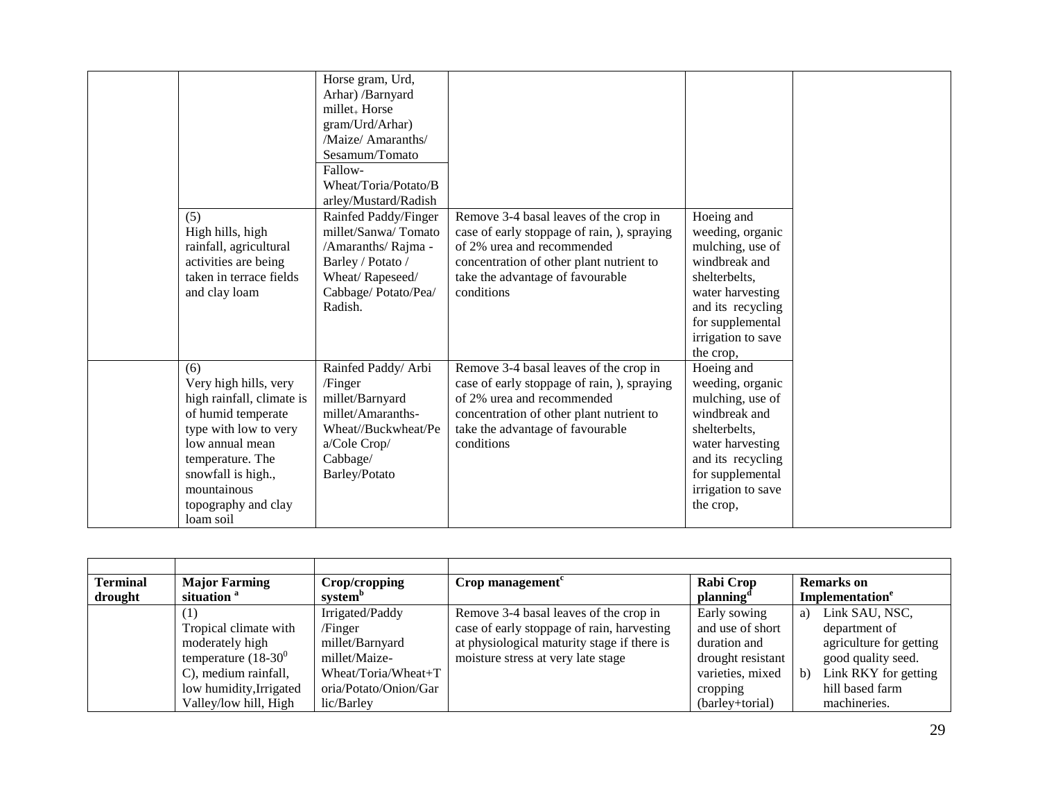| (5)              | High hills, high<br>rainfall, agricultural<br>activities are being<br>taken in terrace fields<br>and clay loam                                                                                       | Horse gram, Urd,<br>Arhar) /Barnyard<br>millet <sub>+</sub> Horse<br>gram/Urd/Arhar)<br>/Maize/ Amaranths/<br>Sesamum/Tomato<br>Fallow-<br>Wheat/Toria/Potato/B<br>arley/Mustard/Radish<br>Rainfed Paddy/Finger<br>millet/Sanwa/Tomato<br>/Amaranths/ Rajma -<br>Barley / Potato /<br>Wheat/Rapeseed/<br>Cabbage/Potato/Pea/<br>Radish. | Remove 3-4 basal leaves of the crop in<br>case of early stoppage of rain, ), spraying<br>of 2% urea and recommended<br>concentration of other plant nutrient to<br>take the advantage of favourable<br>conditions | Hoeing and<br>weeding, organic<br>mulching, use of<br>windbreak and<br>shelterbelts,<br>water harvesting<br>and its recycling<br>for supplemental<br>irrigation to save<br>the crop, |
|------------------|------------------------------------------------------------------------------------------------------------------------------------------------------------------------------------------------------|-----------------------------------------------------------------------------------------------------------------------------------------------------------------------------------------------------------------------------------------------------------------------------------------------------------------------------------------|-------------------------------------------------------------------------------------------------------------------------------------------------------------------------------------------------------------------|--------------------------------------------------------------------------------------------------------------------------------------------------------------------------------------|
| (6)<br>loam soil | Very high hills, very<br>high rainfall, climate is<br>of humid temperate<br>type with low to very<br>low annual mean<br>temperature. The<br>snowfall is high.,<br>mountainous<br>topography and clay | Rainfed Paddy/ Arbi<br>/Finger<br>millet/Barnyard<br>millet/Amaranths-<br>Wheat//Buckwheat/Pe<br>a/Cole Crop/<br>Cabbage/<br>Barley/Potato                                                                                                                                                                                              | Remove 3-4 basal leaves of the crop in<br>case of early stoppage of rain, ), spraying<br>of 2% urea and recommended<br>concentration of other plant nutrient to<br>take the advantage of favourable<br>conditions | Hoeing and<br>weeding, organic<br>mulching, use of<br>windbreak and<br>shelterbelts,<br>water harvesting<br>and its recycling<br>for supplemental<br>irrigation to save<br>the crop, |

| <b>Terminal</b> | <b>Major Farming</b>    | Crop/cropping         | Crop management <sup><math>c</math></sup>   | Rabi Crop             | <b>Remarks</b> on                    |
|-----------------|-------------------------|-----------------------|---------------------------------------------|-----------------------|--------------------------------------|
| drought         | situation <sup>a</sup>  | system <sup>"</sup>   |                                             | planning <sup>"</sup> | Implementation <sup>e</sup>          |
|                 |                         | Irrigated/Paddy       | Remove 3-4 basal leaves of the crop in      | Early sowing          | Link SAU, NSC,<br>a)                 |
|                 | Tropical climate with   | /Finger               | case of early stoppage of rain, harvesting  | and use of short      | department of                        |
|                 | moderately high         | millet/Barnyard       | at physiological maturity stage if there is | duration and          | agriculture for getting              |
|                 | temperature $(18-30^0)$ | millet/Maize-         | moisture stress at very late stage          | drought resistant     | good quality seed.                   |
|                 | C), medium rainfall,    | Wheat/Toria/Wheat+T   |                                             | varieties, mixed      | Link RKY for getting<br>$\mathbf{b}$ |
|                 | low humidity, Irrigated | oria/Potato/Onion/Gar |                                             | cropping              | hill based farm                      |
|                 | Valley/low hill, High   | lic/Barley            |                                             | (barley+torial)       | machineries.                         |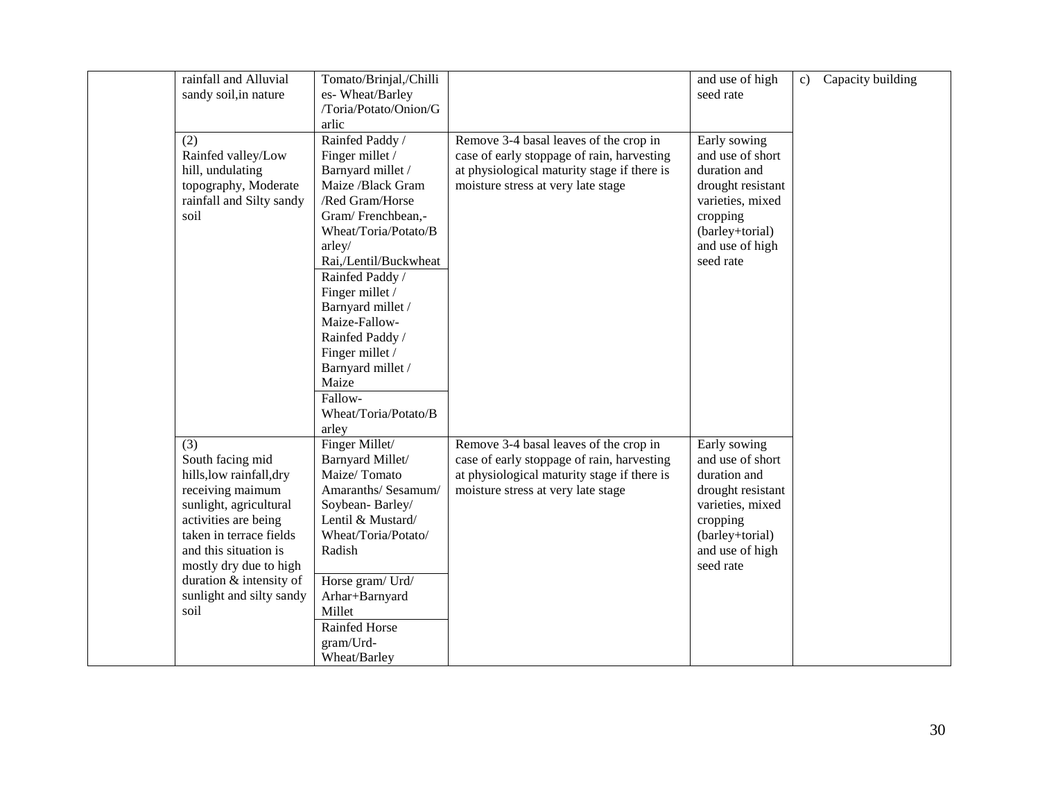| rainfall and Alluvial    | Tomato/Brinjal,/Chilli |                                             | and use of high   | $\mathbf{c}$ | Capacity building |
|--------------------------|------------------------|---------------------------------------------|-------------------|--------------|-------------------|
| sandy soil, in nature    | es-Wheat/Barley        |                                             | seed rate         |              |                   |
|                          | /Toria/Potato/Onion/G  |                                             |                   |              |                   |
|                          | arlic                  |                                             |                   |              |                   |
| (2)                      | Rainfed Paddy /        | Remove 3-4 basal leaves of the crop in      | Early sowing      |              |                   |
| Rainfed valley/Low       | Finger millet /        | case of early stoppage of rain, harvesting  | and use of short  |              |                   |
| hill, undulating         | Barnyard millet /      | at physiological maturity stage if there is | duration and      |              |                   |
| topography, Moderate     | Maize /Black Gram      | moisture stress at very late stage          | drought resistant |              |                   |
| rainfall and Silty sandy | /Red Gram/Horse        |                                             | varieties, mixed  |              |                   |
| soil                     | Gram/Frenchbean,-      |                                             | cropping          |              |                   |
|                          | Wheat/Toria/Potato/B   |                                             | (barley+torial)   |              |                   |
|                          | arley/                 |                                             | and use of high   |              |                   |
|                          | Rai,/Lentil/Buckwheat  |                                             | seed rate         |              |                   |
|                          | Rainfed Paddy /        |                                             |                   |              |                   |
|                          | Finger millet /        |                                             |                   |              |                   |
|                          | Barnyard millet /      |                                             |                   |              |                   |
|                          | Maize-Fallow-          |                                             |                   |              |                   |
|                          | Rainfed Paddy /        |                                             |                   |              |                   |
|                          | Finger millet /        |                                             |                   |              |                   |
|                          | Barnyard millet /      |                                             |                   |              |                   |
|                          | Maize                  |                                             |                   |              |                   |
|                          | Fallow-                |                                             |                   |              |                   |
|                          | Wheat/Toria/Potato/B   |                                             |                   |              |                   |
|                          | arley                  |                                             |                   |              |                   |
| (3)                      | Finger Millet/         | Remove 3-4 basal leaves of the crop in      | Early sowing      |              |                   |
| South facing mid         | Barnyard Millet/       | case of early stoppage of rain, harvesting  | and use of short  |              |                   |
| hills, low rainfall, dry | Maize/Tomato           | at physiological maturity stage if there is | duration and      |              |                   |
| receiving maimum         | Amaranths/ Sesamum/    | moisture stress at very late stage          | drought resistant |              |                   |
| sunlight, agricultural   | Soybean-Barley/        |                                             | varieties, mixed  |              |                   |
| activities are being     | Lentil & Mustard/      |                                             | cropping          |              |                   |
| taken in terrace fields  | Wheat/Toria/Potato/    |                                             | (barley+torial)   |              |                   |
| and this situation is    | Radish                 |                                             | and use of high   |              |                   |
| mostly dry due to high   |                        |                                             | seed rate         |              |                   |
| duration & intensity of  | Horse gram/ Urd/       |                                             |                   |              |                   |
| sunlight and silty sandy | Arhar+Barnyard         |                                             |                   |              |                   |
| soil                     | Millet                 |                                             |                   |              |                   |
|                          | Rainfed Horse          |                                             |                   |              |                   |
|                          | gram/Urd-              |                                             |                   |              |                   |
|                          | Wheat/Barley           |                                             |                   |              |                   |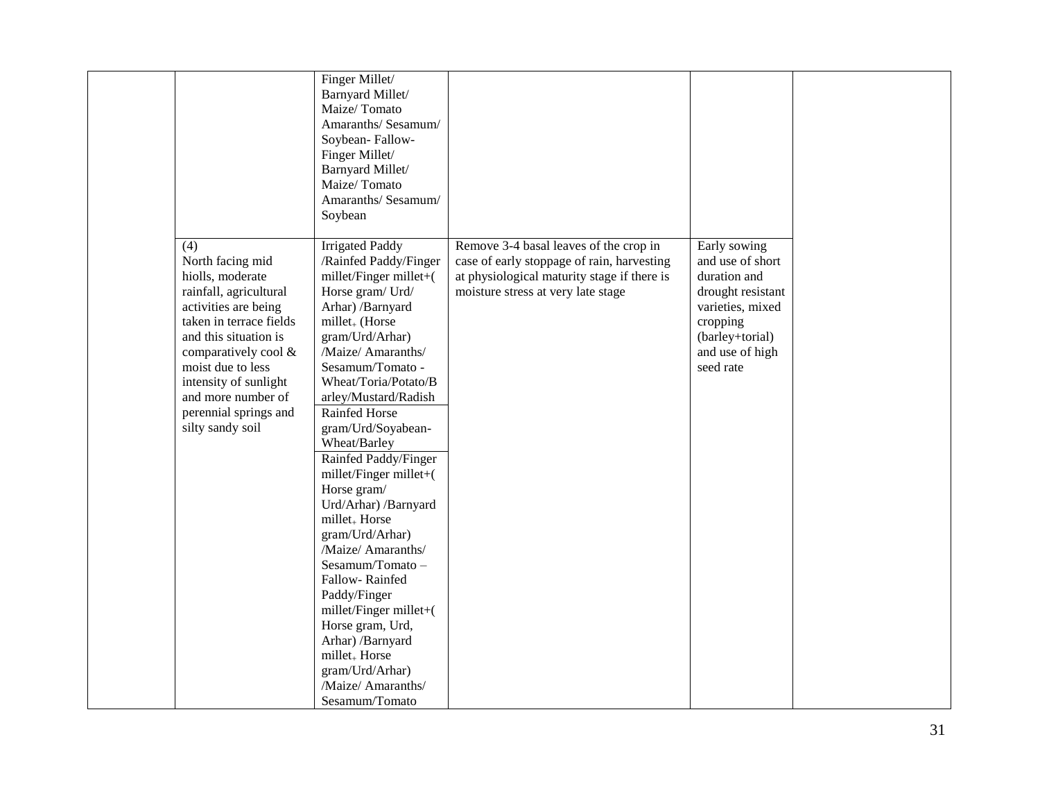|                                                                                                                                                                                                                                                                                            | Finger Millet/<br>Barnyard Millet/<br>Maize/Tomato<br>Amaranths/ Sesamum/<br>Soybean-Fallow-<br>Finger Millet/<br>Barnyard Millet/<br>Maize/Tomato<br>Amaranths/ Sesamum/<br>Soybean                                                                                                                                                                                                                                                                                                                                                                                                                                                                                                              |                                                                                                                                                                           |                                                                                                                                                          |
|--------------------------------------------------------------------------------------------------------------------------------------------------------------------------------------------------------------------------------------------------------------------------------------------|---------------------------------------------------------------------------------------------------------------------------------------------------------------------------------------------------------------------------------------------------------------------------------------------------------------------------------------------------------------------------------------------------------------------------------------------------------------------------------------------------------------------------------------------------------------------------------------------------------------------------------------------------------------------------------------------------|---------------------------------------------------------------------------------------------------------------------------------------------------------------------------|----------------------------------------------------------------------------------------------------------------------------------------------------------|
| (4)<br>North facing mid<br>hiolls, moderate<br>rainfall, agricultural<br>activities are being<br>taken in terrace fields<br>and this situation is<br>comparatively cool &<br>moist due to less<br>intensity of sunlight<br>and more number of<br>perennial springs and<br>silty sandy soil | <b>Irrigated Paddy</b><br>/Rainfed Paddy/Finger<br>millet/Finger millet+(<br>Horse gram/ Urd/<br>Arhar) /Barnyard<br>millet <sub>+</sub> (Horse<br>gram/Urd/Arhar)<br>/Maize/ Amaranths/<br>Sesamum/Tomato -<br>Wheat/Toria/Potato/B<br>arley/Mustard/Radish<br>Rainfed Horse<br>gram/Urd/Soyabean-<br>Wheat/Barley<br>Rainfed Paddy/Finger<br>millet/Finger millet+(<br>Horse gram/<br>Urd/Arhar) /Barnyard<br>millet <sub>+</sub> Horse<br>gram/Urd/Arhar)<br>/Maize/ Amaranths/<br>Sesamum/Tomato-<br>Fallow-Rainfed<br>Paddy/Finger<br>millet/Finger millet+(<br>Horse gram, Urd,<br>Arhar) /Barnyard<br>millet <sub>+</sub> Horse<br>gram/Urd/Arhar)<br>/Maize/ Amaranths/<br>Sesamum/Tomato | Remove 3-4 basal leaves of the crop in<br>case of early stoppage of rain, harvesting<br>at physiological maturity stage if there is<br>moisture stress at very late stage | Early sowing<br>and use of short<br>duration and<br>drought resistant<br>varieties, mixed<br>cropping<br>(barley+torial)<br>and use of high<br>seed rate |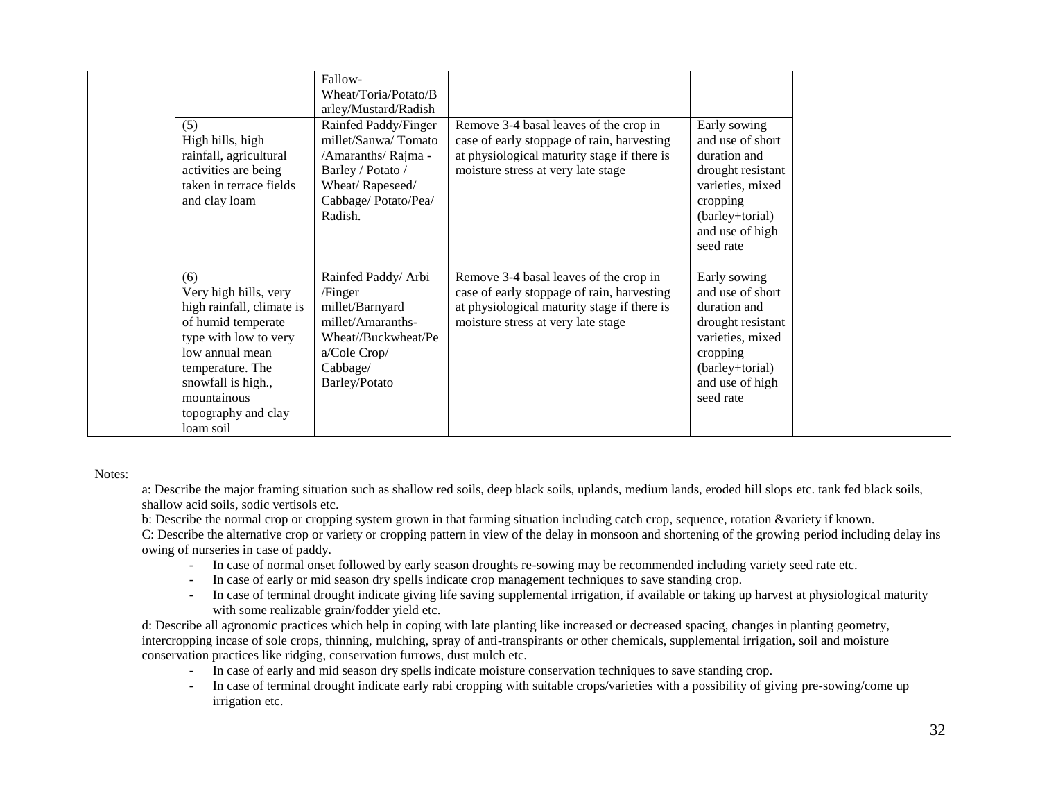| (5)<br>High hills, high<br>rainfall, agricultural<br>activities are being<br>taken in terrace fields<br>and clay loam                                                                                                    | Fallow-<br>Wheat/Toria/Potato/B<br>arley/Mustard/Radish<br>Rainfed Paddy/Finger<br>millet/Sanwa/Tomato<br>/Amaranths/ Rajma -<br>Barley / Potato /<br>Wheat/Rapeseed/<br>Cabbage/Potato/Pea/<br>Radish. | Remove 3-4 basal leaves of the crop in<br>case of early stoppage of rain, harvesting<br>at physiological maturity stage if there is<br>moisture stress at very late stage | Early sowing<br>and use of short<br>duration and<br>drought resistant<br>varieties, mixed<br>cropping<br>(barley+torial)<br>and use of high<br>seed rate |
|--------------------------------------------------------------------------------------------------------------------------------------------------------------------------------------------------------------------------|---------------------------------------------------------------------------------------------------------------------------------------------------------------------------------------------------------|---------------------------------------------------------------------------------------------------------------------------------------------------------------------------|----------------------------------------------------------------------------------------------------------------------------------------------------------|
| (6)<br>Very high hills, very<br>high rainfall, climate is<br>of humid temperate<br>type with low to very<br>low annual mean<br>temperature. The<br>snowfall is high.,<br>mountainous<br>topography and clay<br>loam soil | Rainfed Paddy/ Arbi<br>/Finger<br>millet/Barnyard<br>millet/Amaranths-<br>Wheat//Buckwheat/Pe<br>a/Cole Crop/<br>Cabbage/<br>Barley/Potato                                                              | Remove 3-4 basal leaves of the crop in<br>case of early stoppage of rain, harvesting<br>at physiological maturity stage if there is<br>moisture stress at very late stage | Early sowing<br>and use of short<br>duration and<br>drought resistant<br>varieties, mixed<br>cropping<br>(barley+torial)<br>and use of high<br>seed rate |

Notes:

a: Describe the major framing situation such as shallow red soils, deep black soils, uplands, medium lands, eroded hill slops etc. tank fed black soils, shallow acid soils, sodic vertisols etc.

b: Describe the normal crop or cropping system grown in that farming situation including catch crop, sequence, rotation &variety if known.

C: Describe the alternative crop or variety or cropping pattern in view of the delay in monsoon and shortening of the growing period including delay ins owing of nurseries in case of paddy.

- In case of normal onset followed by early season droughts re-sowing may be recommended including variety seed rate etc.
- In case of early or mid season dry spells indicate crop management techniques to save standing crop.
- In case of terminal drought indicate giving life saving supplemental irrigation, if available or taking up harvest at physiological maturity with some realizable grain/fodder yield etc.

d: Describe all agronomic practices which help in coping with late planting like increased or decreased spacing, changes in planting geometry, intercropping incase of sole crops, thinning, mulching, spray of anti-transpirants or other chemicals, supplemental irrigation, soil and moisture conservation practices like ridging, conservation furrows, dust mulch etc.

- In case of early and mid season dry spells indicate moisture conservation techniques to save standing crop.
- In case of terminal drought indicate early rabi cropping with suitable crops/varieties with a possibility of giving pre-sowing/come up irrigation etc.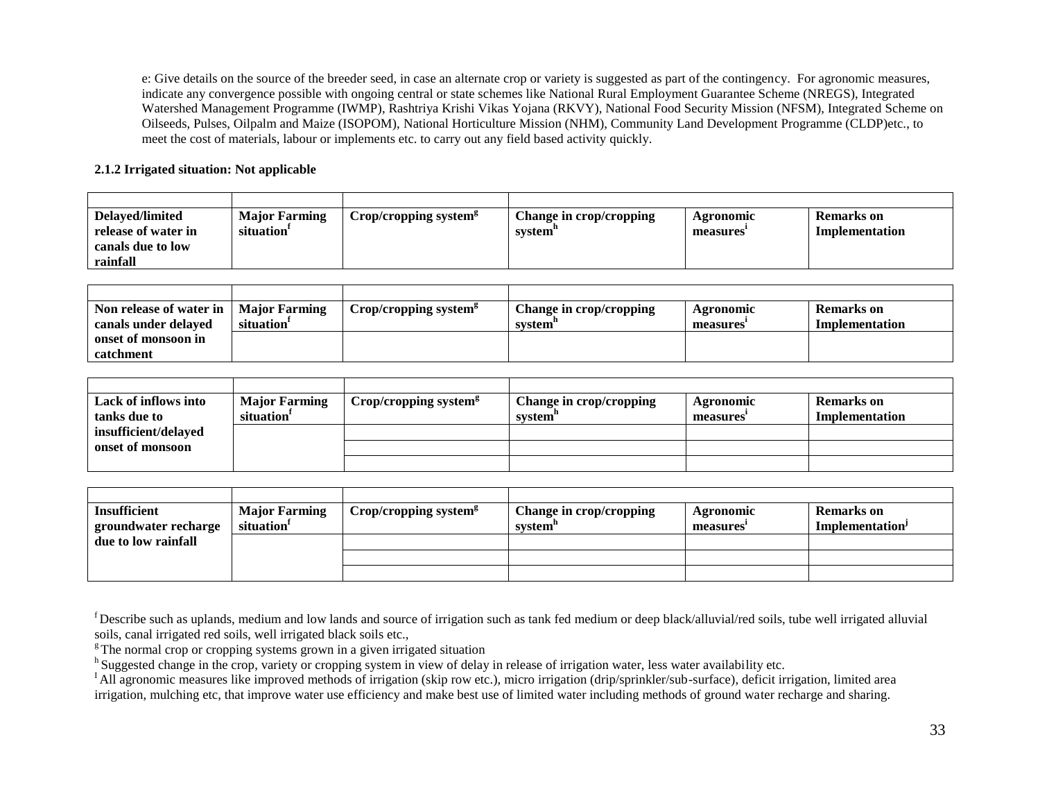e: Give details on the source of the breeder seed, in case an alternate crop or variety is suggested as part of the contingency. For agronomic measures, indicate any convergence possible with ongoing central or state schemes like National Rural Employment Guarantee Scheme (NREGS), Integrated Watershed Management Programme (IWMP), Rashtriya Krishi Vikas Yojana (RKVY), National Food Security Mission (NFSM), Integrated Scheme on Oilseeds, Pulses, Oilpalm and Maize (ISOPOM), National Horticulture Mission (NHM), Community Land Development Programme (CLDP)etc., to meet the cost of materials, labour or implements etc. to carry out any field based activity quickly.

### **2.1.2 Irrigated situation: Not applicable**

| Delaved/limited     | <b>Major Farming</b>   | Crop/cropping system <sup>s</sup> | <b>Change in crop/cropping</b> | Agronomic             | Remarks on     |
|---------------------|------------------------|-----------------------------------|--------------------------------|-----------------------|----------------|
| release of water in | situation <sup>1</sup> |                                   | system"                        | measures <sup>*</sup> | Implementation |
| canals due to low   |                        |                                   |                                |                       |                |
| rainfall            |                        |                                   |                                |                       |                |
|                     |                        |                                   |                                |                       |                |

| Non release of water in $\parallel$ | Maior Farming | $Crop/cropping$ system <sup>s</sup> | Change in crop/cropping | Agronomic | <b>Remarks</b> on |
|-------------------------------------|---------------|-------------------------------------|-------------------------|-----------|-------------------|
| canals under delayed                | situation     |                                     | system <sup>-</sup>     | measures  | Implementation    |
| onset of monsoon in                 |               |                                     |                         |           |                   |
| catchment                           |               |                                     |                         |           |                   |

| Lack of inflows into | <b>Major Farming</b>   | Crop/cropping system $\frac{g}{g}$ | Change in crop/cropping | Agronomic             | <b>Remarks</b> on |
|----------------------|------------------------|------------------------------------|-------------------------|-----------------------|-------------------|
| tanks due to         | situation <sup>1</sup> |                                    | system"                 | measures <sup>*</sup> | Implementation    |
| insufficient/delayed |                        |                                    |                         |                       |                   |
| onset of monsoon     |                        |                                    |                         |                       |                   |
|                      |                        |                                    |                         |                       |                   |

| <b>Insufficient</b>  | <b>Major Farming</b>   | Crop/cropping system <sup>g</sup> | Change in crop/cropping | Agronomic             | <b>Remarks</b> on           |
|----------------------|------------------------|-----------------------------------|-------------------------|-----------------------|-----------------------------|
| groundwater recharge | situation <sup>1</sup> |                                   | system"                 | measures <sup>-</sup> | Implementation <sup>1</sup> |
| due to low rainfall  |                        |                                   |                         |                       |                             |
|                      |                        |                                   |                         |                       |                             |
|                      |                        |                                   |                         |                       |                             |

<sup>f</sup>Describe such as uplands, medium and low lands and source of irrigation such as tank fed medium or deep black/alluvial/red soils, tube well irrigated alluvial soils, canal irrigated red soils, well irrigated black soils etc.,

 $\overline{\text{F}}$ The normal crop or cropping systems grown in a given irrigated situation

<sup>h</sup> Suggested change in the crop, variety or cropping system in view of delay in release of irrigation water, less water availability etc.

<sup>I</sup>All agronomic measures like improved methods of irrigation (skip row etc.), micro irrigation (drip/sprinkler/sub-surface), deficit irrigation, limited area irrigation, mulching etc, that improve water use efficiency and make best use of limited water including methods of ground water recharge and sharing.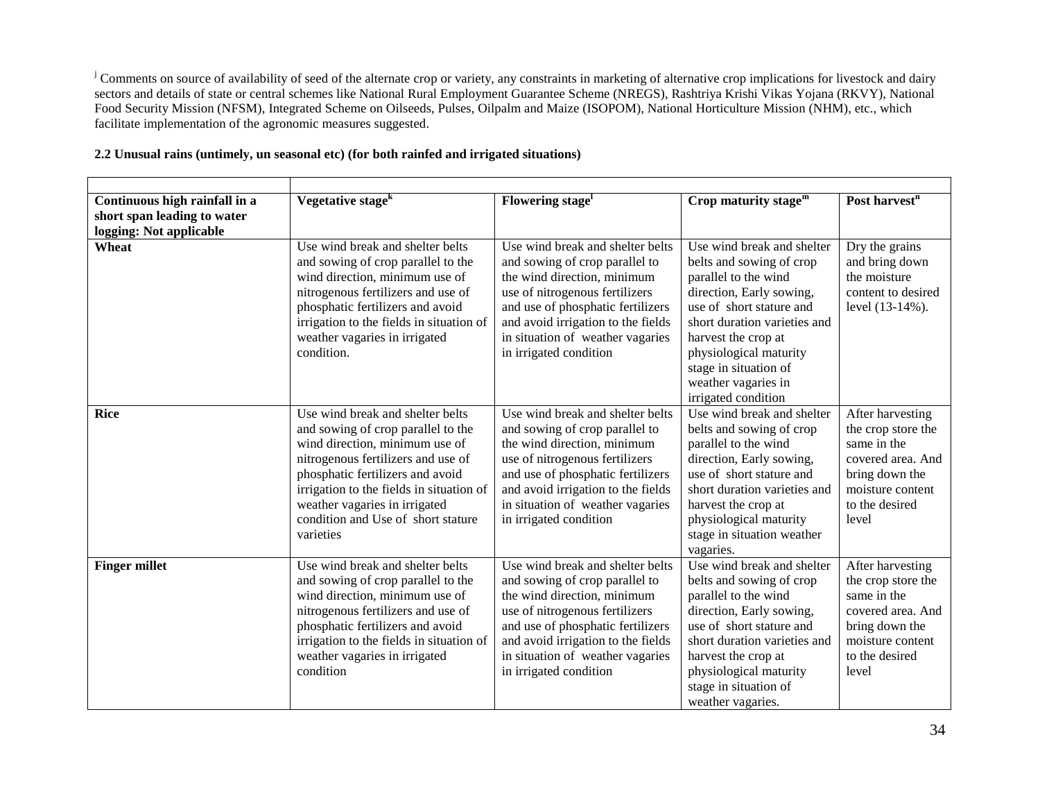<sup>j</sup> Comments on source of availability of seed of the alternate crop or variety, any constraints in marketing of alternative crop implications for livestock and dairy sectors and details of state or central schemes like National Rural Employment Guarantee Scheme (NREGS), Rashtriya Krishi Vikas Yojana (RKVY), National Food Security Mission (NFSM), Integrated Scheme on Oilseeds, Pulses, Oilpalm and Maize (ISOPOM), National Horticulture Mission (NHM), etc., which facilitate implementation of the agronomic measures suggested.

| Continuous high rainfall in a | Vegetative stage <sup>k</sup>                                                                                                                                                                                                                                                                                      | Flowering stage <sup>1</sup>                                                                                                                                                                                                                                                 | Crop maturity stage <sup>m</sup>                                                                                                                                                                                                                                                               | Post harvest <sup>n</sup>                                                                                                                   |
|-------------------------------|--------------------------------------------------------------------------------------------------------------------------------------------------------------------------------------------------------------------------------------------------------------------------------------------------------------------|------------------------------------------------------------------------------------------------------------------------------------------------------------------------------------------------------------------------------------------------------------------------------|------------------------------------------------------------------------------------------------------------------------------------------------------------------------------------------------------------------------------------------------------------------------------------------------|---------------------------------------------------------------------------------------------------------------------------------------------|
| short span leading to water   |                                                                                                                                                                                                                                                                                                                    |                                                                                                                                                                                                                                                                              |                                                                                                                                                                                                                                                                                                |                                                                                                                                             |
| logging: Not applicable       |                                                                                                                                                                                                                                                                                                                    |                                                                                                                                                                                                                                                                              |                                                                                                                                                                                                                                                                                                |                                                                                                                                             |
| Wheat                         | Use wind break and shelter belts<br>and sowing of crop parallel to the<br>wind direction, minimum use of<br>nitrogenous fertilizers and use of<br>phosphatic fertilizers and avoid<br>irrigation to the fields in situation of<br>weather vagaries in irrigated<br>condition.                                      | Use wind break and shelter belts<br>and sowing of crop parallel to<br>the wind direction, minimum<br>use of nitrogenous fertilizers<br>and use of phosphatic fertilizers<br>and avoid irrigation to the fields<br>in situation of weather vagaries<br>in irrigated condition | Use wind break and shelter<br>belts and sowing of crop<br>parallel to the wind<br>direction, Early sowing,<br>use of short stature and<br>short duration varieties and<br>harvest the crop at<br>physiological maturity<br>stage in situation of<br>weather vagaries in<br>irrigated condition | Dry the grains<br>and bring down<br>the moisture<br>content to desired<br>level (13-14%).                                                   |
| <b>Rice</b>                   | Use wind break and shelter belts<br>and sowing of crop parallel to the<br>wind direction, minimum use of<br>nitrogenous fertilizers and use of<br>phosphatic fertilizers and avoid<br>irrigation to the fields in situation of<br>weather vagaries in irrigated<br>condition and Use of short stature<br>varieties | Use wind break and shelter belts<br>and sowing of crop parallel to<br>the wind direction, minimum<br>use of nitrogenous fertilizers<br>and use of phosphatic fertilizers<br>and avoid irrigation to the fields<br>in situation of weather vagaries<br>in irrigated condition | Use wind break and shelter<br>belts and sowing of crop<br>parallel to the wind<br>direction, Early sowing,<br>use of short stature and<br>short duration varieties and<br>harvest the crop at<br>physiological maturity<br>stage in situation weather<br>vagaries.                             | After harvesting<br>the crop store the<br>same in the<br>covered area. And<br>bring down the<br>moisture content<br>to the desired<br>level |
| <b>Finger millet</b>          | Use wind break and shelter belts<br>and sowing of crop parallel to the<br>wind direction, minimum use of<br>nitrogenous fertilizers and use of<br>phosphatic fertilizers and avoid<br>irrigation to the fields in situation of<br>weather vagaries in irrigated<br>condition                                       | Use wind break and shelter belts<br>and sowing of crop parallel to<br>the wind direction, minimum<br>use of nitrogenous fertilizers<br>and use of phosphatic fertilizers<br>and avoid irrigation to the fields<br>in situation of weather vagaries<br>in irrigated condition | Use wind break and shelter<br>belts and sowing of crop<br>parallel to the wind<br>direction, Early sowing,<br>use of short stature and<br>short duration varieties and<br>harvest the crop at<br>physiological maturity<br>stage in situation of<br>weather vagaries.                          | After harvesting<br>the crop store the<br>same in the<br>covered area. And<br>bring down the<br>moisture content<br>to the desired<br>level |

# **2.2 Unusual rains (untimely, un seasonal etc) (for both rainfed and irrigated situations)**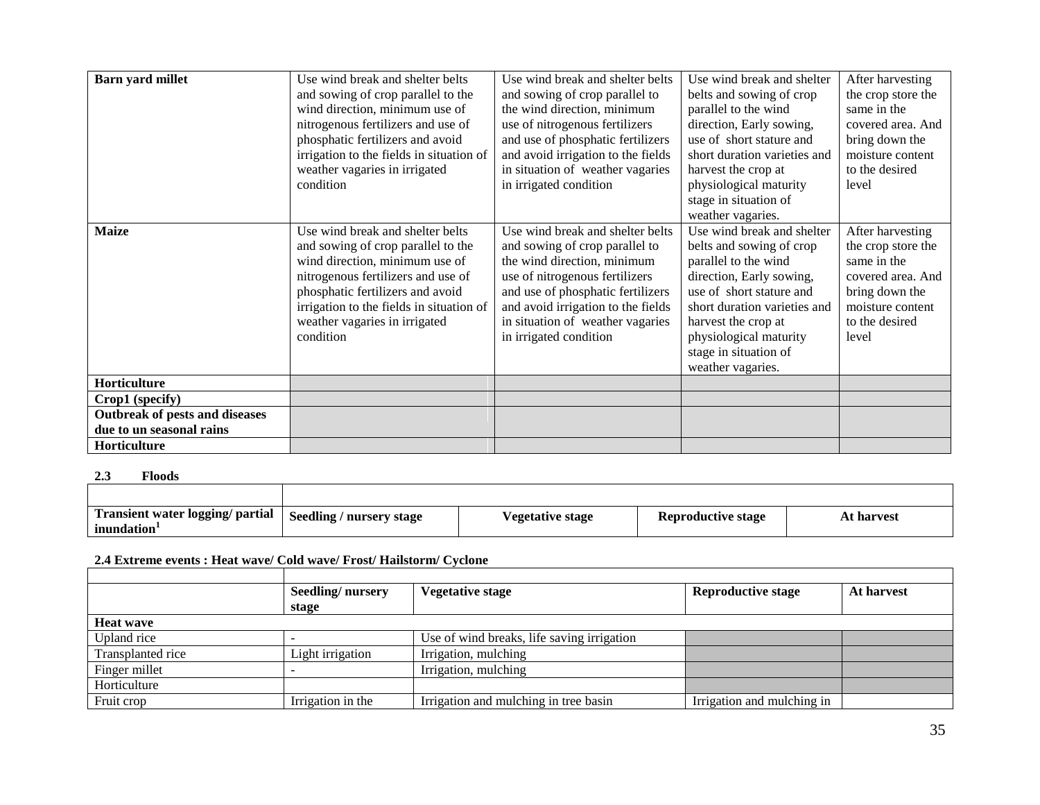| <b>Barn yard millet</b>        | Use wind break and shelter belts         | Use wind break and shelter belts   | Use wind break and shelter   | After harvesting   |
|--------------------------------|------------------------------------------|------------------------------------|------------------------------|--------------------|
|                                | and sowing of crop parallel to the       | and sowing of crop parallel to     | belts and sowing of crop     | the crop store the |
|                                | wind direction, minimum use of           | the wind direction, minimum        | parallel to the wind         | same in the        |
|                                | nitrogenous fertilizers and use of       | use of nitrogenous fertilizers     | direction, Early sowing,     | covered area. And  |
|                                | phosphatic fertilizers and avoid         | and use of phosphatic fertilizers  | use of short stature and     | bring down the     |
|                                | irrigation to the fields in situation of | and avoid irrigation to the fields | short duration varieties and | moisture content   |
|                                | weather vagaries in irrigated            | in situation of weather vagaries   | harvest the crop at          | to the desired     |
|                                | condition                                | in irrigated condition             | physiological maturity       | level              |
|                                |                                          |                                    | stage in situation of        |                    |
|                                |                                          |                                    | weather vagaries.            |                    |
| <b>Maize</b>                   | Use wind break and shelter belts         | Use wind break and shelter belts   | Use wind break and shelter   | After harvesting   |
|                                | and sowing of crop parallel to the       | and sowing of crop parallel to     | belts and sowing of crop     | the crop store the |
|                                | wind direction, minimum use of           | the wind direction, minimum        | parallel to the wind         | same in the        |
|                                | nitrogenous fertilizers and use of       | use of nitrogenous fertilizers     | direction, Early sowing,     | covered area. And  |
|                                | phosphatic fertilizers and avoid         | and use of phosphatic fertilizers  | use of short stature and     | bring down the     |
|                                | irrigation to the fields in situation of | and avoid irrigation to the fields | short duration varieties and | moisture content   |
|                                | weather vagaries in irrigated            | in situation of weather vagaries   | harvest the crop at          | to the desired     |
|                                | condition                                | in irrigated condition             | physiological maturity       | level              |
|                                |                                          |                                    | stage in situation of        |                    |
|                                |                                          |                                    | weather vagaries.            |                    |
| Horticulture                   |                                          |                                    |                              |                    |
| Crop1 (specify)                |                                          |                                    |                              |                    |
| Outbreak of pests and diseases |                                          |                                    |                              |                    |
| due to un seasonal rains       |                                          |                                    |                              |                    |
| Horticulture                   |                                          |                                    |                              |                    |

**2.3 Floods**

| Transient water logging/ partial  <br>inundation | <b>Seedling / nursery stage</b> | <b>Vegetative stage</b> | Reproductive stage | At harvest |
|--------------------------------------------------|---------------------------------|-------------------------|--------------------|------------|

# **2.4 Extreme events : Heat wave/ Cold wave/ Frost/ Hailstorm/ Cyclone**

|                   | Seedling/nursery  | <b>Vegetative stage</b>                    | <b>Reproductive stage</b>  | At harvest |
|-------------------|-------------------|--------------------------------------------|----------------------------|------------|
|                   | stage             |                                            |                            |            |
| <b>Heat wave</b>  |                   |                                            |                            |            |
| Upland rice       |                   | Use of wind breaks, life saving irrigation |                            |            |
| Transplanted rice | Light irrigation  | Irrigation, mulching                       |                            |            |
| Finger millet     |                   | Irrigation, mulching                       |                            |            |
| Horticulture      |                   |                                            |                            |            |
| Fruit crop        | Irrigation in the | Irrigation and mulching in tree basin      | Irrigation and mulching in |            |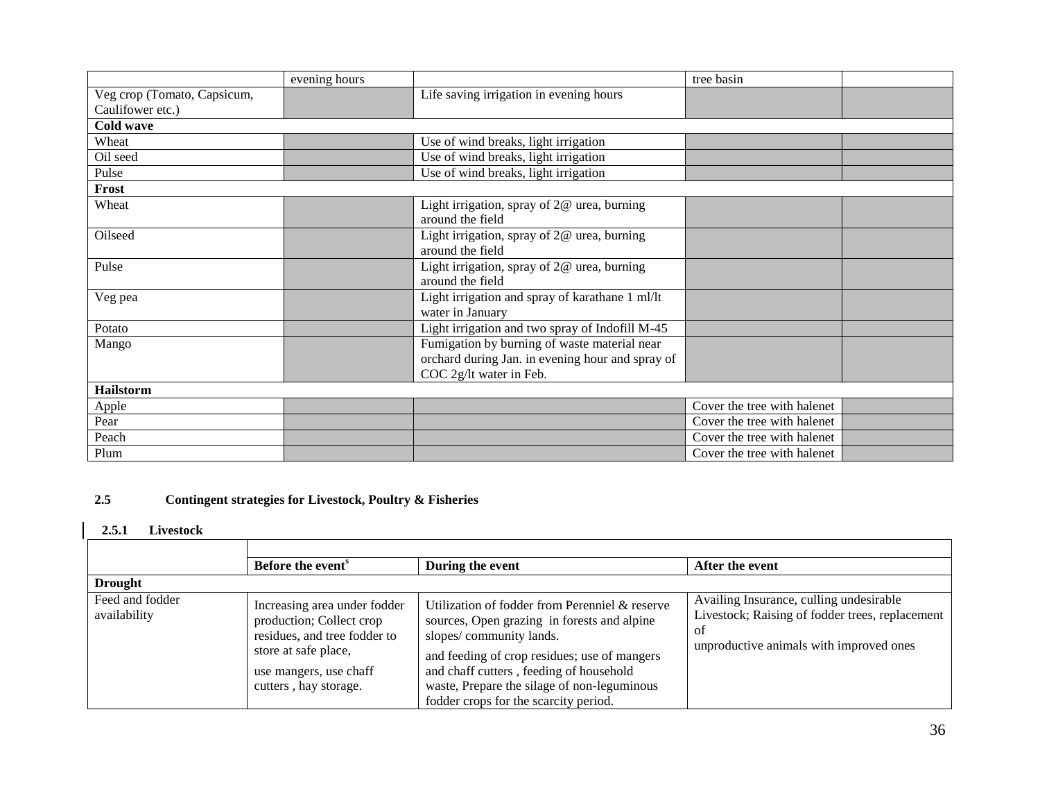|                             | evening hours |                                                  | tree basin                  |  |
|-----------------------------|---------------|--------------------------------------------------|-----------------------------|--|
| Veg crop (Tomato, Capsicum, |               | Life saving irrigation in evening hours          |                             |  |
| Caulifower etc.)            |               |                                                  |                             |  |
| Cold wave                   |               |                                                  |                             |  |
| Wheat                       |               | Use of wind breaks, light irrigation             |                             |  |
| Oil seed                    |               | Use of wind breaks, light irrigation             |                             |  |
| Pulse                       |               | Use of wind breaks, light irrigation             |                             |  |
| Frost                       |               |                                                  |                             |  |
| Wheat                       |               | Light irrigation, spray of $2@$ urea, burning    |                             |  |
|                             |               | around the field                                 |                             |  |
| Oilseed                     |               | Light irrigation, spray of $2@$ urea, burning    |                             |  |
|                             |               | around the field                                 |                             |  |
| Pulse                       |               | Light irrigation, spray of 2@ urea, burning      |                             |  |
|                             |               | around the field                                 |                             |  |
| Veg pea                     |               | Light irrigation and spray of karathane 1 ml/lt  |                             |  |
|                             |               | water in January                                 |                             |  |
| Potato                      |               | Light irrigation and two spray of Indofill M-45  |                             |  |
| Mango                       |               | Fumigation by burning of waste material near     |                             |  |
|                             |               | orchard during Jan. in evening hour and spray of |                             |  |
|                             |               | COC 2g/lt water in Feb.                          |                             |  |
| Hailstorm                   |               |                                                  |                             |  |
| Apple                       |               |                                                  | Cover the tree with halenet |  |
| Pear                        |               |                                                  | Cover the tree with halenet |  |
| Peach                       |               |                                                  | Cover the tree with halenet |  |
| Plum                        |               |                                                  | Cover the tree with halenet |  |

# **2.5 Contingent strategies for Livestock, Poultry & Fisheries**

### **2.5.1 Livestock**

|                                 | Before the event <sup>s</sup>                                                                                                                                       | During the event                                                                                                                                                                                                                                                                                            | After the event                                                                                                                             |
|---------------------------------|---------------------------------------------------------------------------------------------------------------------------------------------------------------------|-------------------------------------------------------------------------------------------------------------------------------------------------------------------------------------------------------------------------------------------------------------------------------------------------------------|---------------------------------------------------------------------------------------------------------------------------------------------|
| <b>Drought</b>                  |                                                                                                                                                                     |                                                                                                                                                                                                                                                                                                             |                                                                                                                                             |
| Feed and fodder<br>availability | Increasing area under fodder<br>production; Collect crop<br>residues, and tree fodder to<br>store at safe place,<br>use mangers, use chaff<br>cutters, hay storage. | Utilization of fodder from Perenniel & reserve<br>sources, Open grazing in forests and alpine<br>slopes/community lands.<br>and feeding of crop residues; use of mangers<br>and chaff cutters, feeding of household<br>waste, Prepare the silage of non-leguminous<br>fodder crops for the scarcity period. | Availing Insurance, culling undesirable<br>Livestock; Raising of fodder trees, replacement<br>0f<br>unproductive animals with improved ones |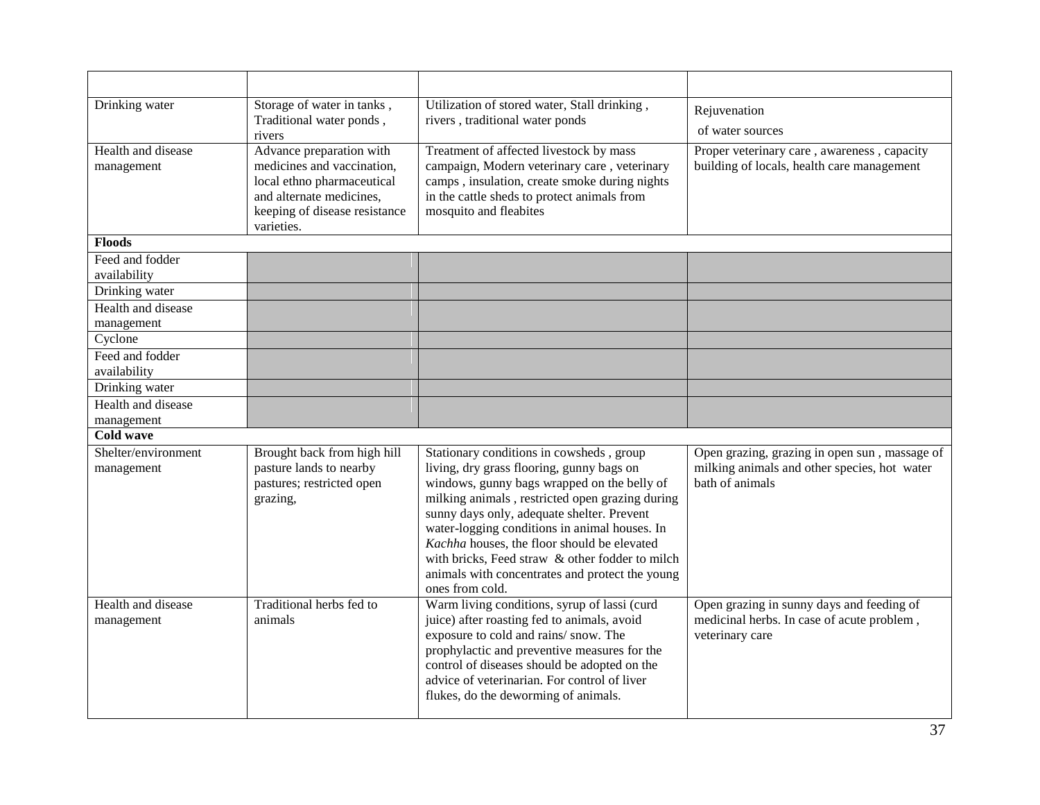| Drinking water                    | Storage of water in tanks,<br>Traditional water ponds,<br>rivers                                                                                                | Utilization of stored water, Stall drinking,<br>rivers, traditional water ponds                                                                                                                                                                                                                                                                                                                                                                                | Rejuvenation<br>of water sources                                                                                 |
|-----------------------------------|-----------------------------------------------------------------------------------------------------------------------------------------------------------------|----------------------------------------------------------------------------------------------------------------------------------------------------------------------------------------------------------------------------------------------------------------------------------------------------------------------------------------------------------------------------------------------------------------------------------------------------------------|------------------------------------------------------------------------------------------------------------------|
| Health and disease<br>management  | Advance preparation with<br>medicines and vaccination,<br>local ethno pharmaceutical<br>and alternate medicines,<br>keeping of disease resistance<br>varieties. | Treatment of affected livestock by mass<br>campaign, Modern veterinary care, veterinary<br>camps, insulation, create smoke during nights<br>in the cattle sheds to protect animals from<br>mosquito and fleabites                                                                                                                                                                                                                                              | Proper veterinary care, awareness, capacity<br>building of locals, health care management                        |
| <b>Floods</b>                     |                                                                                                                                                                 |                                                                                                                                                                                                                                                                                                                                                                                                                                                                |                                                                                                                  |
| Feed and fodder<br>availability   |                                                                                                                                                                 |                                                                                                                                                                                                                                                                                                                                                                                                                                                                |                                                                                                                  |
| Drinking water                    |                                                                                                                                                                 |                                                                                                                                                                                                                                                                                                                                                                                                                                                                |                                                                                                                  |
| Health and disease<br>management  |                                                                                                                                                                 |                                                                                                                                                                                                                                                                                                                                                                                                                                                                |                                                                                                                  |
| Cyclone                           |                                                                                                                                                                 |                                                                                                                                                                                                                                                                                                                                                                                                                                                                |                                                                                                                  |
| Feed and fodder<br>availability   |                                                                                                                                                                 |                                                                                                                                                                                                                                                                                                                                                                                                                                                                |                                                                                                                  |
| Drinking water                    |                                                                                                                                                                 |                                                                                                                                                                                                                                                                                                                                                                                                                                                                |                                                                                                                  |
| Health and disease                |                                                                                                                                                                 |                                                                                                                                                                                                                                                                                                                                                                                                                                                                |                                                                                                                  |
| management                        |                                                                                                                                                                 |                                                                                                                                                                                                                                                                                                                                                                                                                                                                |                                                                                                                  |
| <b>Cold wave</b>                  |                                                                                                                                                                 |                                                                                                                                                                                                                                                                                                                                                                                                                                                                |                                                                                                                  |
| Shelter/environment<br>management | Brought back from high hill<br>pasture lands to nearby<br>pastures; restricted open<br>grazing,                                                                 | Stationary conditions in cowsheds, group<br>living, dry grass flooring, gunny bags on<br>windows, gunny bags wrapped on the belly of<br>milking animals, restricted open grazing during<br>sunny days only, adequate shelter. Prevent<br>water-logging conditions in animal houses. In<br>Kachha houses, the floor should be elevated<br>with bricks, Feed straw & other fodder to milch<br>animals with concentrates and protect the young<br>ones from cold. | Open grazing, grazing in open sun, massage of<br>milking animals and other species, hot water<br>bath of animals |
| Health and disease<br>management  | Traditional herbs fed to<br>animals                                                                                                                             | Warm living conditions, syrup of lassi (curd<br>juice) after roasting fed to animals, avoid<br>exposure to cold and rains/ snow. The<br>prophylactic and preventive measures for the<br>control of diseases should be adopted on the<br>advice of veterinarian. For control of liver<br>flukes, do the deworming of animals.                                                                                                                                   | Open grazing in sunny days and feeding of<br>medicinal herbs. In case of acute problem,<br>veterinary care       |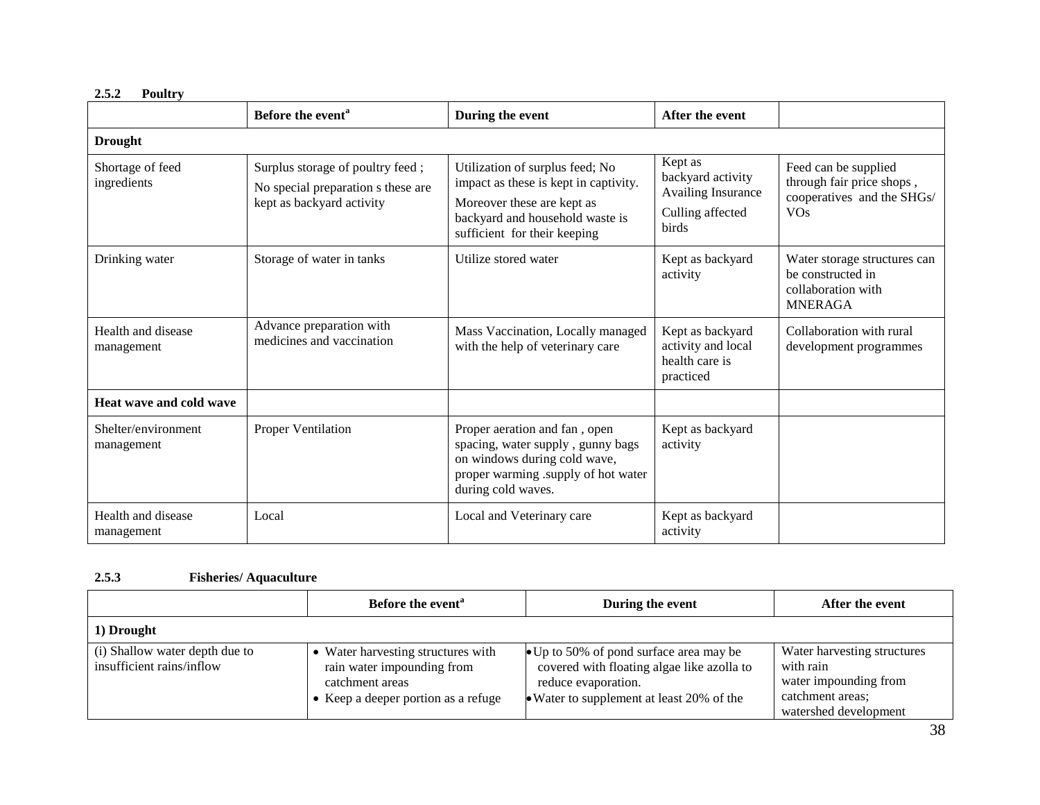|                                   | Before the event <sup>a</sup>                                                                       | During the event                                                                                                                                                          | After the event                                                                        |                                                                                                          |  |  |
|-----------------------------------|-----------------------------------------------------------------------------------------------------|---------------------------------------------------------------------------------------------------------------------------------------------------------------------------|----------------------------------------------------------------------------------------|----------------------------------------------------------------------------------------------------------|--|--|
| <b>Drought</b>                    |                                                                                                     |                                                                                                                                                                           |                                                                                        |                                                                                                          |  |  |
| Shortage of feed<br>ingredients   | Surplus storage of poultry feed;<br>No special preparation s these are<br>kept as backyard activity | Utilization of surplus feed; No<br>impact as these is kept in captivity.<br>Moreover these are kept as<br>backyard and household waste is<br>sufficient for their keeping | Kept as<br>backyard activity<br><b>Availing Insurance</b><br>Culling affected<br>birds | Feed can be supplied<br>through fair price shops,<br>cooperatives and the SHGs/<br><b>VO<sub>s</sub></b> |  |  |
| Drinking water                    | Storage of water in tanks                                                                           | Utilize stored water                                                                                                                                                      | Kept as backyard<br>activity                                                           | Water storage structures can<br>be constructed in<br>collaboration with<br><b>MNERAGA</b>                |  |  |
| Health and disease<br>management  | Advance preparation with<br>medicines and vaccination                                               | Mass Vaccination, Locally managed<br>with the help of veterinary care                                                                                                     | Kept as backyard<br>activity and local<br>health care is<br>practiced                  | Collaboration with rural<br>development programmes                                                       |  |  |
| Heat wave and cold wave           |                                                                                                     |                                                                                                                                                                           |                                                                                        |                                                                                                          |  |  |
| Shelter/environment<br>management | Proper Ventilation                                                                                  | Proper aeration and fan, open<br>spacing, water supply, gunny bags<br>on windows during cold wave,<br>proper warming .supply of hot water<br>during cold waves.           | Kept as backyard<br>activity                                                           |                                                                                                          |  |  |
| Health and disease<br>management  | Local                                                                                               | Local and Veterinary care                                                                                                                                                 | Kept as backyard<br>activity                                                           |                                                                                                          |  |  |

### **2.5.2 Poultry**

# **2.5.3 Fisheries/ Aquaculture**

|                                                             | Before the event <sup>a</sup>                                                                                            | During the event                                                                                                                                          | After the event                                                                                                |
|-------------------------------------------------------------|--------------------------------------------------------------------------------------------------------------------------|-----------------------------------------------------------------------------------------------------------------------------------------------------------|----------------------------------------------------------------------------------------------------------------|
| 1) Drought                                                  |                                                                                                                          |                                                                                                                                                           |                                                                                                                |
| (i) Shallow water depth due to<br>insufficient rains/inflow | Water harvesting structures with<br>rain water impounding from<br>catchment areas<br>• Keep a deeper portion as a refuge | • Up to 50% of pond surface area may be<br>covered with floating algae like azolla to<br>reduce evaporation.<br>• Water to supplement at least 20% of the | Water harvesting structures<br>with rain<br>water impounding from<br>catchment areas;<br>watershed development |